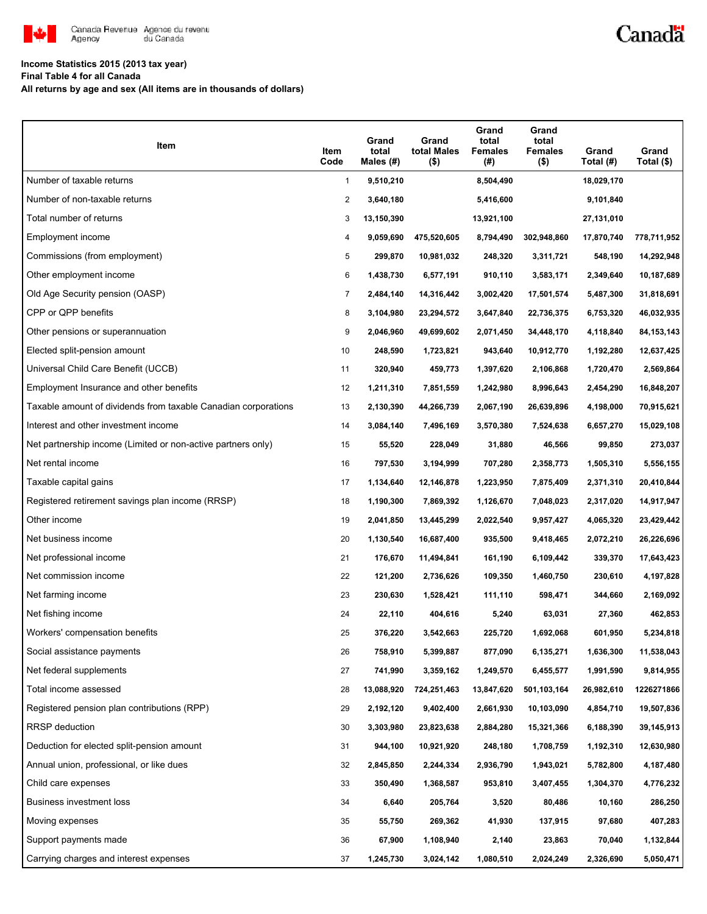

# Canadä

#### **Income Statistics 2015 (2013 tax year)**

**Final Table 4 for all Canada**

**All returns by age and sex (All items are in thousands of dollars)**

| Item                                                           | Item<br>Code   | Grand<br>total<br>Males $(H)$ | Grand<br>total Males<br>$($ \$) | Grand<br>total<br><b>Females</b><br>(# ) | Grand<br>total<br><b>Females</b><br>$($ \$) | Grand<br>Total (#) | Grand<br>Total (\$) |
|----------------------------------------------------------------|----------------|-------------------------------|---------------------------------|------------------------------------------|---------------------------------------------|--------------------|---------------------|
| Number of taxable returns                                      | $\mathbf{1}$   | 9,510,210                     |                                 | 8,504,490                                |                                             | 18,029,170         |                     |
| Number of non-taxable returns                                  | $\overline{c}$ | 3,640,180                     |                                 | 5,416,600                                |                                             | 9,101,840          |                     |
| Total number of returns                                        | 3              | 13,150,390                    |                                 | 13,921,100                               |                                             | 27,131,010         |                     |
| Employment income                                              | 4              | 9,059,690                     | 475,520,605                     | 8,794,490                                | 302,948,860                                 | 17,870,740         | 778,711,952         |
| Commissions (from employment)                                  | 5              | 299,870                       | 10,981,032                      | 248,320                                  | 3,311,721                                   | 548,190            | 14,292,948          |
| Other employment income                                        | 6              | 1,438,730                     | 6,577,191                       | 910,110                                  | 3,583,171                                   | 2,349,640          | 10,187,689          |
| Old Age Security pension (OASP)                                | $\overline{7}$ | 2,484,140                     | 14,316,442                      | 3,002,420                                | 17,501,574                                  | 5,487,300          | 31,818,691          |
| CPP or QPP benefits                                            | 8              | 3,104,980                     | 23,294,572                      | 3,647,840                                | 22,736,375                                  | 6,753,320          | 46,032,935          |
| Other pensions or superannuation                               | 9              | 2,046,960                     | 49,699,602                      | 2,071,450                                | 34,448,170                                  | 4,118,840          | 84, 153, 143        |
| Elected split-pension amount                                   | 10             | 248,590                       | 1,723,821                       | 943,640                                  | 10,912,770                                  | 1,192,280          | 12,637,425          |
| Universal Child Care Benefit (UCCB)                            | 11             | 320,940                       | 459,773                         | 1,397,620                                | 2,106,868                                   | 1,720,470          | 2,569,864           |
| Employment Insurance and other benefits                        | 12             | 1,211,310                     | 7,851,559                       | 1,242,980                                | 8,996,643                                   | 2,454,290          | 16,848,207          |
| Taxable amount of dividends from taxable Canadian corporations | 13             | 2,130,390                     | 44,266,739                      | 2,067,190                                | 26,639,896                                  | 4,198,000          | 70,915,621          |
| Interest and other investment income                           | 14             | 3,084,140                     | 7,496,169                       | 3,570,380                                | 7,524,638                                   | 6,657,270          | 15,029,108          |
| Net partnership income (Limited or non-active partners only)   | 15             | 55,520                        | 228,049                         | 31,880                                   | 46,566                                      | 99,850             | 273,037             |
| Net rental income                                              | 16             | 797,530                       | 3,194,999                       | 707,280                                  | 2,358,773                                   | 1,505,310          | 5,556,155           |
| Taxable capital gains                                          | 17             | 1,134,640                     | 12,146,878                      | 1,223,950                                | 7,875,409                                   | 2,371,310          | 20,410,844          |
| Registered retirement savings plan income (RRSP)               | 18             | 1,190,300                     | 7,869,392                       | 1,126,670                                | 7,048,023                                   | 2,317,020          | 14,917,947          |
| Other income                                                   | 19             | 2,041,850                     | 13,445,299                      | 2,022,540                                | 9,957,427                                   | 4,065,320          | 23,429,442          |
| Net business income                                            | 20             | 1,130,540                     | 16,687,400                      | 935,500                                  | 9,418,465                                   | 2,072,210          | 26,226,696          |
| Net professional income                                        | 21             | 176,670                       | 11,494,841                      | 161,190                                  | 6,109,442                                   | 339,370            | 17,643,423          |
| Net commission income                                          | 22             | 121,200                       | 2,736,626                       | 109,350                                  | 1,460,750                                   | 230,610            | 4,197,828           |
| Net farming income                                             | 23             | 230,630                       | 1,528,421                       | 111,110                                  | 598,471                                     | 344,660            | 2,169,092           |
| Net fishing income                                             | 24             | 22,110                        | 404,616                         | 5,240                                    | 63,031                                      | 27,360             | 462,853             |
| Workers' compensation benefits                                 | 25             | 376,220                       | 3,542,663                       | 225,720                                  | 1,692,068                                   | 601,950            | 5,234,818           |
| Social assistance payments                                     | 26             | 758,910                       | 5,399,887                       | 877,090                                  | 6,135,271                                   | 1,636,300          | 11,538,043          |
| Net federal supplements                                        | 27             | 741,990                       | 3,359,162                       | 1,249,570                                | 6,455,577                                   | 1,991,590          | 9,814,955           |
| Total income assessed                                          | 28             | 13,088,920                    | 724,251,463                     | 13,847,620                               | 501,103,164                                 | 26,982,610         | 1226271866          |
| Registered pension plan contributions (RPP)                    | 29             | 2,192,120                     | 9,402,400                       | 2,661,930                                | 10,103,090                                  | 4,854,710          | 19,507,836          |
| RRSP deduction                                                 | 30             | 3,303,980                     | 23,823,638                      | 2,884,280                                | 15,321,366                                  | 6,188,390          | 39,145,913          |
| Deduction for elected split-pension amount                     | 31             | 944,100                       | 10,921,920                      | 248,180                                  | 1,708,759                                   | 1,192,310          | 12,630,980          |
| Annual union, professional, or like dues                       | 32             | 2,845,850                     | 2,244,334                       | 2,936,790                                | 1,943,021                                   | 5,782,800          | 4,187,480           |
| Child care expenses                                            | 33             | 350,490                       | 1,368,587                       | 953,810                                  | 3,407,455                                   | 1,304,370          | 4,776,232           |
| Business investment loss                                       | 34             | 6,640                         | 205,764                         | 3,520                                    | 80,486                                      | 10,160             | 286,250             |
| Moving expenses                                                | 35             | 55,750                        | 269,362                         | 41,930                                   | 137,915                                     | 97,680             | 407,283             |
| Support payments made                                          | 36             | 67,900                        | 1,108,940                       | 2,140                                    | 23,863                                      | 70,040             | 1,132,844           |
| Carrying charges and interest expenses                         | 37             | 1,245,730                     | 3,024,142                       | 1,080,510                                | 2,024,249                                   | 2,326,690          | 5,050,471           |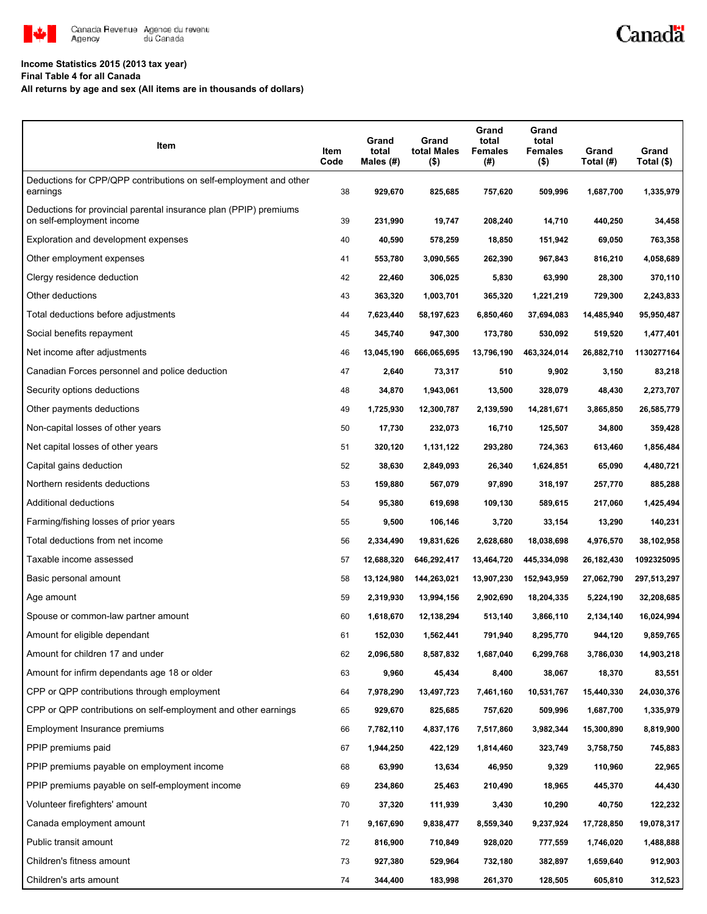

### **Income Statistics 2015 (2013 tax year)**

**Final Table 4 for all Canada**

**All returns by age and sex (All items are in thousands of dollars)**

| Item                                                                                           | Item<br>Code | Grand<br>total<br>Males (#) | Grand<br>total Males<br>$($ \$) | Grand<br>total<br><b>Females</b><br>(#) | Grand<br>total<br><b>Females</b><br>$($ \$) | Grand<br>Total (#) | Grand<br>Total (\$) |
|------------------------------------------------------------------------------------------------|--------------|-----------------------------|---------------------------------|-----------------------------------------|---------------------------------------------|--------------------|---------------------|
| Deductions for CPP/QPP contributions on self-employment and other<br>earnings                  | 38           | 929,670                     | 825,685                         | 757,620                                 | 509,996                                     | 1,687,700          | 1,335,979           |
| Deductions for provincial parental insurance plan (PPIP) premiums<br>on self-employment income | 39           | 231,990                     | 19,747                          | 208,240                                 | 14,710                                      | 440,250            | 34,458              |
| Exploration and development expenses                                                           | 40           | 40,590                      | 578,259                         | 18,850                                  | 151,942                                     | 69,050             | 763,358             |
| Other employment expenses                                                                      | 41           | 553,780                     | 3,090,565                       | 262,390                                 | 967,843                                     | 816,210            | 4,058,689           |
| Clergy residence deduction                                                                     | 42           | 22,460                      | 306,025                         | 5,830                                   | 63,990                                      | 28,300             | 370,110             |
| Other deductions                                                                               | 43           | 363,320                     | 1,003,701                       | 365,320                                 | 1,221,219                                   | 729,300            | 2,243,833           |
| Total deductions before adjustments                                                            | 44           | 7,623,440                   | 58,197,623                      | 6,850,460                               | 37,694,083                                  | 14,485,940         | 95,950,487          |
| Social benefits repayment                                                                      | 45           | 345,740                     | 947,300                         | 173,780                                 | 530,092                                     | 519,520            | 1,477,401           |
| Net income after adjustments                                                                   | 46           | 13,045,190                  | 666,065,695                     | 13,796,190                              | 463,324,014                                 | 26,882,710         | 1130277164          |
| Canadian Forces personnel and police deduction                                                 | 47           | 2,640                       | 73,317                          | 510                                     | 9,902                                       | 3,150              | 83,218              |
| Security options deductions                                                                    | 48           | 34,870                      | 1,943,061                       | 13,500                                  | 328,079                                     | 48,430             | 2,273,707           |
| Other payments deductions                                                                      | 49           | 1,725,930                   | 12,300,787                      | 2,139,590                               | 14,281,671                                  | 3,865,850          | 26,585,779          |
| Non-capital losses of other years                                                              | 50           | 17,730                      | 232,073                         | 16,710                                  | 125,507                                     | 34,800             | 359,428             |
| Net capital losses of other years                                                              | 51           | 320,120                     | 1,131,122                       | 293,280                                 | 724,363                                     | 613,460            | 1,856,484           |
| Capital gains deduction                                                                        | 52           | 38,630                      | 2,849,093                       | 26,340                                  | 1,624,851                                   | 65,090             | 4,480,721           |
| Northern residents deductions                                                                  | 53           | 159,880                     | 567,079                         | 97,890                                  | 318,197                                     | 257,770            | 885,288             |
| Additional deductions                                                                          | 54           | 95,380                      | 619,698                         | 109,130                                 | 589,615                                     | 217,060            | 1,425,494           |
| Farming/fishing losses of prior years                                                          | 55           | 9,500                       | 106,146                         | 3,720                                   | 33,154                                      | 13,290             | 140,231             |
| Total deductions from net income                                                               | 56           | 2,334,490                   | 19,831,626                      | 2,628,680                               | 18,038,698                                  | 4,976,570          | 38,102,958          |
| Taxable income assessed                                                                        | 57           | 12,688,320                  | 646,292,417                     | 13,464,720                              | 445,334,098                                 | 26,182,430         | 1092325095          |
| Basic personal amount                                                                          | 58           | 13,124,980                  | 144,263,021                     | 13,907,230                              | 152,943,959                                 | 27,062,790         | 297,513,297         |
| Age amount                                                                                     | 59           | 2,319,930                   | 13,994,156                      | 2,902,690                               | 18,204,335                                  | 5,224,190          | 32,208,685          |
| Spouse or common-law partner amount                                                            | 60           | 1,618,670                   | 12,138,294                      | 513,140                                 | 3,866,110                                   | 2,134,140          | 16,024,994          |
| Amount for eligible dependant                                                                  | 61           | 152,030                     | 1,562,441                       | 791.940                                 | 8,295,770                                   | 944,120            | 9,859,765           |
| Amount for children 17 and under                                                               | 62           | 2,096,580                   | 8,587,832                       | 1,687,040                               | 6,299,768                                   | 3,786,030          | 14,903,218          |
| Amount for infirm dependants age 18 or older                                                   | 63           | 9,960                       | 45,434                          | 8,400                                   | 38,067                                      | 18,370             | 83,551              |
| CPP or QPP contributions through employment                                                    | 64           | 7,978,290                   | 13,497,723                      | 7,461,160                               | 10,531,767                                  | 15,440,330         | 24,030,376          |
| CPP or QPP contributions on self-employment and other earnings                                 | 65           | 929,670                     | 825,685                         | 757,620                                 | 509,996                                     | 1,687,700          | 1,335,979           |
| Employment Insurance premiums                                                                  | 66           | 7,782,110                   | 4,837,176                       | 7,517,860                               | 3,982,344                                   | 15,300,890         | 8,819,900           |
| PPIP premiums paid                                                                             | 67           | 1,944,250                   | 422,129                         | 1,814,460                               | 323,749                                     | 3,758,750          | 745,883             |
| PPIP premiums payable on employment income                                                     | 68           | 63,990                      | 13,634                          | 46,950                                  | 9,329                                       | 110,960            | 22,965              |
| PPIP premiums payable on self-employment income                                                | 69           | 234,860                     | 25,463                          | 210,490                                 | 18,965                                      | 445,370            | 44,430              |
| Volunteer firefighters' amount                                                                 | 70           | 37,320                      | 111,939                         | 3,430                                   | 10,290                                      | 40,750             | 122,232             |
| Canada employment amount                                                                       | 71           | 9,167,690                   | 9,838,477                       | 8,559,340                               | 9,237,924                                   | 17,728,850         | 19,078,317          |
| Public transit amount                                                                          | 72           | 816,900                     | 710,849                         | 928,020                                 | 777,559                                     | 1,746,020          | 1,488,888           |
| Children's fitness amount                                                                      | 73           | 927,380                     | 529,964                         | 732,180                                 | 382,897                                     | 1,659,640          | 912,903             |
| Children's arts amount                                                                         | 74           | 344,400                     | 183,998                         | 261,370                                 | 128,505                                     | 605,810            | 312,523             |

Canadä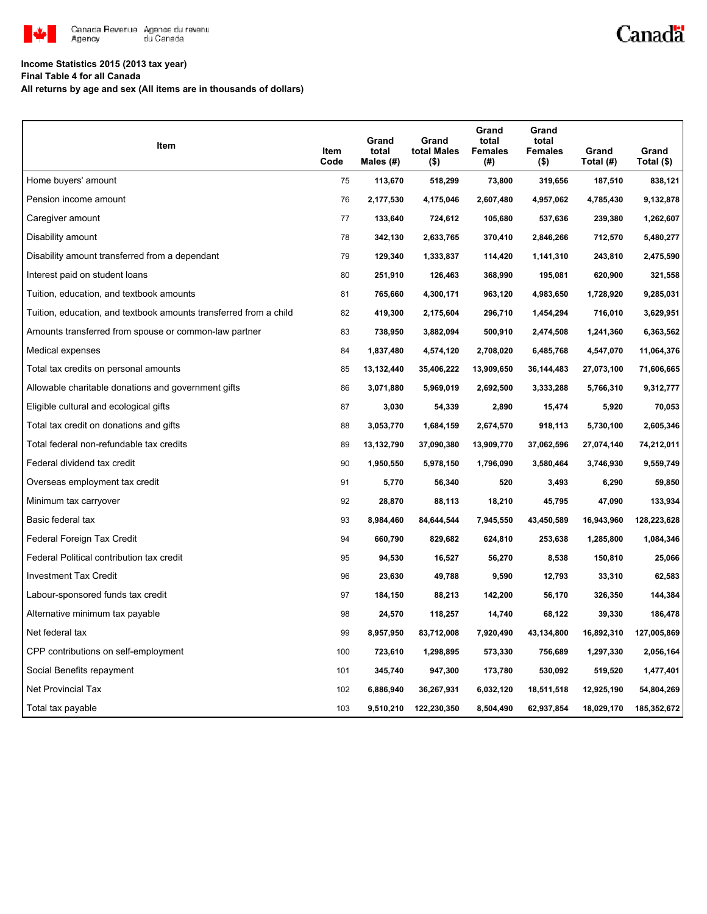

# Canadä

### **Income Statistics 2015 (2013 tax year)**

**Final Table 4 for all Canada**

**All returns by age and sex (All items are in thousands of dollars)**

| Item                                                              | Item<br>Code | Grand<br>total<br>Males $(H)$ | Grand<br>total Males<br>(\$) | Grand<br>total<br><b>Females</b><br>(# ) | Grand<br>total<br><b>Females</b><br>(\$) | Grand<br>Total (#) | Grand<br>Total (\$) |
|-------------------------------------------------------------------|--------------|-------------------------------|------------------------------|------------------------------------------|------------------------------------------|--------------------|---------------------|
| Home buyers' amount                                               | 75           | 113,670                       | 518,299                      | 73,800                                   | 319,656                                  | 187,510            | 838,121             |
| Pension income amount                                             | 76           | 2,177,530                     | 4,175,046                    | 2,607,480                                | 4,957,062                                | 4,785,430          | 9,132,878           |
| Caregiver amount                                                  | 77           | 133,640                       | 724,612                      | 105,680                                  | 537,636                                  | 239,380            | 1,262,607           |
| Disability amount                                                 | 78           | 342,130                       | 2,633,765                    | 370,410                                  | 2,846,266                                | 712,570            | 5,480,277           |
| Disability amount transferred from a dependant                    | 79           | 129,340                       | 1,333,837                    | 114,420                                  | 1,141,310                                | 243,810            | 2,475,590           |
| Interest paid on student loans                                    | 80           | 251,910                       | 126,463                      | 368,990                                  | 195,081                                  | 620,900            | 321,558             |
| Tuition, education, and textbook amounts                          | 81           | 765,660                       | 4,300,171                    | 963,120                                  | 4,983,650                                | 1,728,920          | 9,285,031           |
| Tuition, education, and textbook amounts transferred from a child | 82           | 419,300                       | 2,175,604                    | 296,710                                  | 1,454,294                                | 716,010            | 3,629,951           |
| Amounts transferred from spouse or common-law partner             | 83           | 738,950                       | 3,882,094                    | 500,910                                  | 2,474,508                                | 1,241,360          | 6,363,562           |
| Medical expenses                                                  | 84           | 1,837,480                     | 4,574,120                    | 2,708,020                                | 6,485,768                                | 4,547,070          | 11,064,376          |
| Total tax credits on personal amounts                             | 85           | 13,132,440                    | 35,406,222                   | 13,909,650                               | 36, 144, 483                             | 27,073,100         | 71,606,665          |
| Allowable charitable donations and government gifts               | 86           | 3,071,880                     | 5,969,019                    | 2,692,500                                | 3,333,288                                | 5,766,310          | 9,312,777           |
| Eligible cultural and ecological gifts                            | 87           | 3,030                         | 54,339                       | 2,890                                    | 15,474                                   | 5,920              | 70,053              |
| Total tax credit on donations and gifts                           | 88           | 3,053,770                     | 1,684,159                    | 2,674,570                                | 918,113                                  | 5,730,100          | 2,605,346           |
| Total federal non-refundable tax credits                          | 89           | 13,132,790                    | 37,090,380                   | 13,909,770                               | 37,062,596                               | 27,074,140         | 74,212,011          |
| Federal dividend tax credit                                       | 90           | 1,950,550                     | 5,978,150                    | 1,796,090                                | 3,580,464                                | 3,746,930          | 9,559,749           |
| Overseas employment tax credit                                    | 91           | 5,770                         | 56,340                       | 520                                      | 3,493                                    | 6,290              | 59,850              |
| Minimum tax carryover                                             | 92           | 28,870                        | 88,113                       | 18,210                                   | 45,795                                   | 47,090             | 133,934             |
| Basic federal tax                                                 | 93           | 8,984,460                     | 84,644,544                   | 7,945,550                                | 43,450,589                               | 16,943,960         | 128,223,628         |
| Federal Foreign Tax Credit                                        | 94           | 660,790                       | 829,682                      | 624,810                                  | 253,638                                  | 1,285,800          | 1,084,346           |
| Federal Political contribution tax credit                         | 95           | 94,530                        | 16,527                       | 56,270                                   | 8,538                                    | 150,810            | 25,066              |
| Investment Tax Credit                                             | 96           | 23,630                        | 49,788                       | 9,590                                    | 12,793                                   | 33,310             | 62,583              |
| Labour-sponsored funds tax credit                                 | 97           | 184,150                       | 88,213                       | 142,200                                  | 56,170                                   | 326,350            | 144,384             |
| Alternative minimum tax payable                                   | 98           | 24,570                        | 118,257                      | 14,740                                   | 68,122                                   | 39,330             | 186,478             |
| Net federal tax                                                   | 99           | 8,957,950                     | 83,712,008                   | 7,920,490                                | 43,134,800                               | 16,892,310         | 127,005,869         |
| CPP contributions on self-employment                              | 100          | 723,610                       | 1,298,895                    | 573,330                                  | 756,689                                  | 1,297,330          | 2,056,164           |
| Social Benefits repayment                                         | 101          | 345,740                       | 947,300                      | 173,780                                  | 530,092                                  | 519,520            | 1,477,401           |
| Net Provincial Tax                                                | 102          | 6,886,940                     | 36,267,931                   | 6,032,120                                | 18,511,518                               | 12,925,190         | 54,804,269          |
| Total tax payable                                                 | 103          | 9,510,210                     | 122,230,350                  | 8,504,490                                | 62,937,854                               | 18,029,170         | 185,352,672         |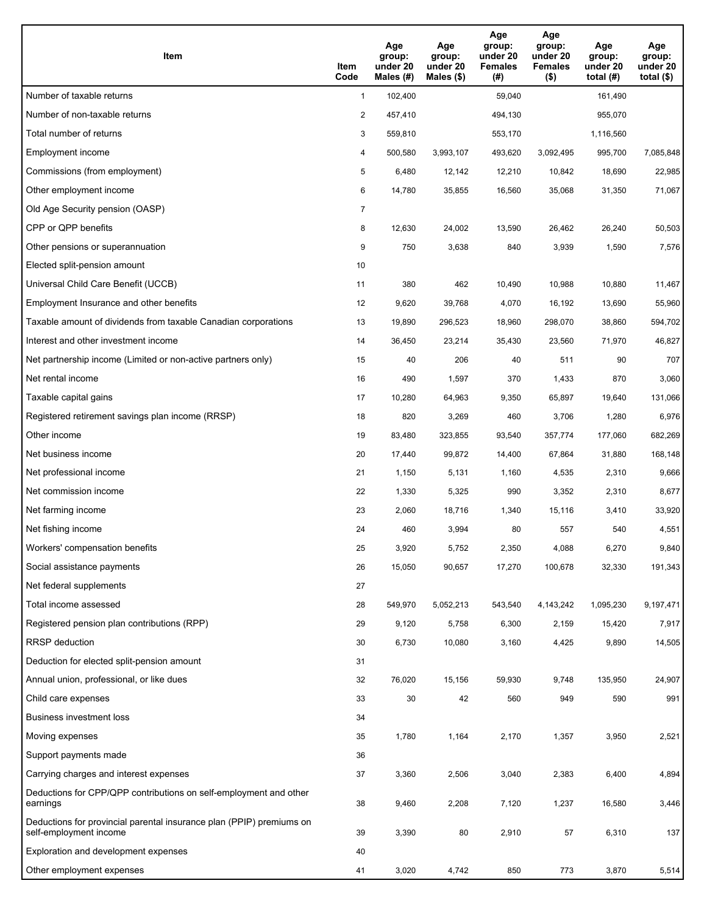| <b>Item</b>                                                                                    | Item<br>Code   | Age<br>group:<br>under 20<br>Males (#) | Age<br>group:<br>under 20<br>Males $(\$)$ | Age<br>group:<br>under 20<br><b>Females</b><br>(#) | Age<br>group:<br>under 20<br><b>Females</b><br>$($ \$) | Age<br>group:<br>under 20<br>total $(H)$ | Age<br>group:<br>under 20<br>total $($)$ |
|------------------------------------------------------------------------------------------------|----------------|----------------------------------------|-------------------------------------------|----------------------------------------------------|--------------------------------------------------------|------------------------------------------|------------------------------------------|
| Number of taxable returns                                                                      | $\mathbf{1}$   | 102,400                                |                                           | 59,040                                             |                                                        | 161,490                                  |                                          |
| Number of non-taxable returns                                                                  | $\overline{2}$ | 457,410                                |                                           | 494,130                                            |                                                        | 955,070                                  |                                          |
| Total number of returns                                                                        | 3              | 559,810                                |                                           | 553,170                                            |                                                        | 1,116,560                                |                                          |
| Employment income                                                                              | 4              | 500,580                                | 3,993,107                                 | 493,620                                            | 3,092,495                                              | 995,700                                  | 7,085,848                                |
| Commissions (from employment)                                                                  | 5              | 6,480                                  | 12,142                                    | 12,210                                             | 10,842                                                 | 18,690                                   | 22,985                                   |
| Other employment income                                                                        | 6              | 14,780                                 | 35,855                                    | 16,560                                             | 35,068                                                 | 31,350                                   | 71,067                                   |
| Old Age Security pension (OASP)                                                                | $\overline{7}$ |                                        |                                           |                                                    |                                                        |                                          |                                          |
| CPP or QPP benefits                                                                            | 8              | 12,630                                 | 24,002                                    | 13,590                                             | 26,462                                                 | 26,240                                   | 50,503                                   |
| Other pensions or superannuation                                                               | 9              | 750                                    | 3,638                                     | 840                                                | 3,939                                                  | 1,590                                    | 7,576                                    |
| Elected split-pension amount                                                                   | 10             |                                        |                                           |                                                    |                                                        |                                          |                                          |
| Universal Child Care Benefit (UCCB)                                                            | 11             | 380                                    | 462                                       | 10,490                                             | 10,988                                                 | 10,880                                   | 11,467                                   |
| Employment Insurance and other benefits                                                        | 12             | 9,620                                  | 39,768                                    | 4,070                                              | 16,192                                                 | 13,690                                   | 55,960                                   |
| Taxable amount of dividends from taxable Canadian corporations                                 | 13             | 19,890                                 | 296,523                                   | 18,960                                             | 298,070                                                | 38,860                                   | 594,702                                  |
| Interest and other investment income                                                           | 14             | 36,450                                 | 23,214                                    | 35,430                                             | 23,560                                                 | 71,970                                   | 46,827                                   |
| Net partnership income (Limited or non-active partners only)                                   | 15             | 40                                     | 206                                       | 40                                                 | 511                                                    | 90                                       | 707                                      |
| Net rental income                                                                              | 16             | 490                                    | 1,597                                     | 370                                                | 1,433                                                  | 870                                      | 3,060                                    |
| Taxable capital gains                                                                          | 17             | 10,280                                 | 64,963                                    | 9,350                                              | 65,897                                                 | 19,640                                   | 131,066                                  |
| Registered retirement savings plan income (RRSP)                                               | 18             | 820                                    | 3,269                                     | 460                                                | 3,706                                                  | 1,280                                    | 6,976                                    |
| Other income                                                                                   | 19             | 83,480                                 | 323,855                                   | 93,540                                             | 357,774                                                | 177,060                                  | 682,269                                  |
| Net business income                                                                            | 20             | 17,440                                 | 99,872                                    | 14,400                                             | 67,864                                                 | 31,880                                   | 168,148                                  |
| Net professional income                                                                        | 21             | 1,150                                  | 5,131                                     | 1,160                                              | 4,535                                                  | 2,310                                    | 9,666                                    |
| Net commission income                                                                          | 22             | 1,330                                  | 5,325                                     | 990                                                | 3,352                                                  | 2,310                                    | 8,677                                    |
| Net farming income                                                                             | 23             | 2,060                                  | 18,716                                    | 1,340                                              | 15,116                                                 | 3,410                                    | 33,920                                   |
| Net fishing income                                                                             | 24             | 460                                    | 3,994                                     | 80                                                 | 557                                                    | 540                                      | 4,551                                    |
| Workers' compensation benefits                                                                 | 25             | 3,920                                  | 5,752                                     | 2,350                                              | 4,088                                                  | 6,270                                    | 9,840                                    |
| Social assistance payments                                                                     | 26             | 15,050                                 | 90,657                                    | 17,270                                             | 100,678                                                | 32,330                                   | 191,343                                  |
| Net federal supplements                                                                        | 27             |                                        |                                           |                                                    |                                                        |                                          |                                          |
| Total income assessed                                                                          | 28             | 549,970                                | 5,052,213                                 | 543,540                                            | 4,143,242                                              | 1,095,230                                | 9,197,471                                |
| Registered pension plan contributions (RPP)                                                    | 29             | 9,120                                  | 5,758                                     | 6,300                                              | 2,159                                                  | 15,420                                   | 7,917                                    |
| RRSP deduction                                                                                 | 30             | 6,730                                  | 10,080                                    | 3,160                                              | 4,425                                                  | 9,890                                    | 14,505                                   |
| Deduction for elected split-pension amount                                                     | 31             |                                        |                                           |                                                    |                                                        |                                          |                                          |
| Annual union, professional, or like dues                                                       | 32             | 76,020                                 | 15,156                                    | 59,930                                             | 9,748                                                  | 135,950                                  | 24,907                                   |
| Child care expenses                                                                            | 33             | 30                                     | 42                                        | 560                                                | 949                                                    | 590                                      | 991                                      |
| <b>Business investment loss</b>                                                                | 34             |                                        |                                           |                                                    |                                                        |                                          |                                          |
| Moving expenses                                                                                | 35             | 1,780                                  | 1,164                                     | 2,170                                              | 1,357                                                  | 3,950                                    | 2,521                                    |
| Support payments made                                                                          | 36             |                                        |                                           |                                                    |                                                        |                                          |                                          |
| Carrying charges and interest expenses                                                         | 37             | 3,360                                  | 2,506                                     | 3,040                                              | 2,383                                                  | 6,400                                    | 4,894                                    |
| Deductions for CPP/QPP contributions on self-employment and other<br>earnings                  | 38             | 9,460                                  | 2,208                                     | 7,120                                              | 1,237                                                  | 16,580                                   | 3,446                                    |
| Deductions for provincial parental insurance plan (PPIP) premiums on<br>self-employment income | 39             | 3,390                                  | 80                                        | 2,910                                              | 57                                                     | 6,310                                    | 137                                      |
| Exploration and development expenses                                                           | 40             |                                        |                                           |                                                    |                                                        |                                          |                                          |
| Other employment expenses                                                                      | 41             | 3,020                                  | 4,742                                     | 850                                                | 773                                                    | 3,870                                    | 5,514                                    |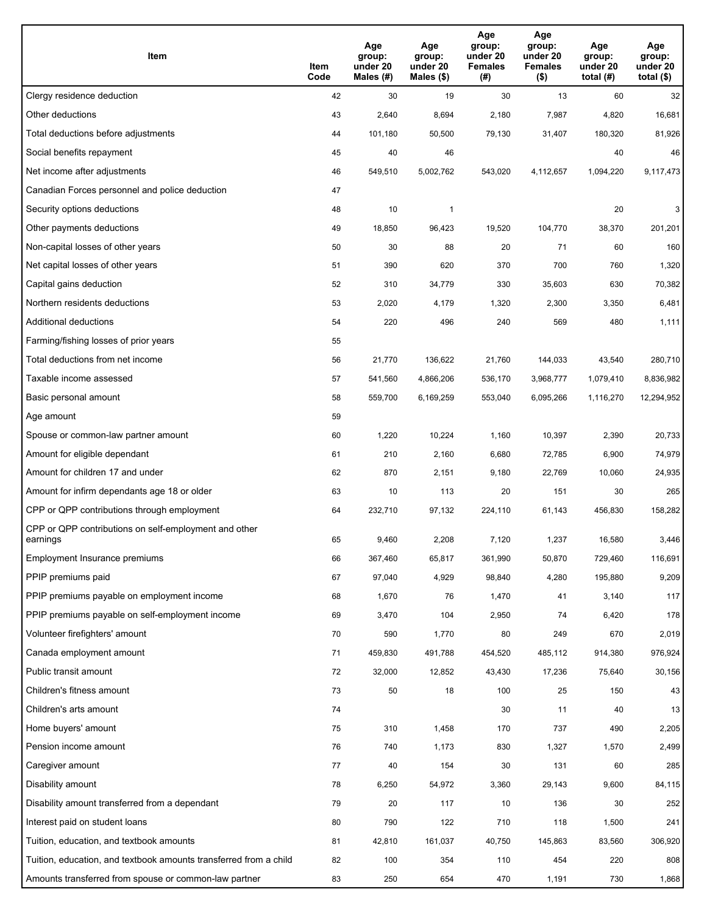| Item                                                              | Item<br>Code | Age<br>group:<br>under 20<br>Males (#) | Age<br>group:<br>under 20<br>Males (\$) | Age<br>group:<br>under 20<br><b>Females</b><br>(# ) | Age<br>group:<br>under 20<br><b>Females</b><br>$($ \$) | Age<br>group:<br>under 20<br>total $(H)$ | Age<br>group:<br>under 20<br>total $($)$ |
|-------------------------------------------------------------------|--------------|----------------------------------------|-----------------------------------------|-----------------------------------------------------|--------------------------------------------------------|------------------------------------------|------------------------------------------|
| Clergy residence deduction                                        | 42           | 30                                     | 19                                      | 30                                                  | 13                                                     | 60                                       | 32                                       |
| Other deductions                                                  | 43           | 2,640                                  | 8,694                                   | 2,180                                               | 7,987                                                  | 4,820                                    | 16,681                                   |
| Total deductions before adjustments                               | 44           | 101,180                                | 50,500                                  | 79,130                                              | 31,407                                                 | 180,320                                  | 81,926                                   |
| Social benefits repayment                                         | 45           | 40                                     | 46                                      |                                                     |                                                        | 40                                       | 46                                       |
| Net income after adjustments                                      | 46           | 549,510                                | 5,002,762                               | 543,020                                             | 4,112,657                                              | 1,094,220                                | 9,117,473                                |
| Canadian Forces personnel and police deduction                    | 47           |                                        |                                         |                                                     |                                                        |                                          |                                          |
| Security options deductions                                       | 48           | 10                                     | 1                                       |                                                     |                                                        | 20                                       | 3                                        |
| Other payments deductions                                         | 49           | 18,850                                 | 96,423                                  | 19,520                                              | 104,770                                                | 38,370                                   | 201,201                                  |
| Non-capital losses of other years                                 | 50           | 30                                     | 88                                      | 20                                                  | 71                                                     | 60                                       | 160                                      |
| Net capital losses of other years                                 | 51           | 390                                    | 620                                     | 370                                                 | 700                                                    | 760                                      | 1,320                                    |
| Capital gains deduction                                           | 52           | 310                                    | 34,779                                  | 330                                                 | 35,603                                                 | 630                                      | 70,382                                   |
| Northern residents deductions                                     | 53           | 2,020                                  | 4,179                                   | 1,320                                               | 2,300                                                  | 3,350                                    | 6,481                                    |
| Additional deductions                                             | 54           | 220                                    | 496                                     | 240                                                 | 569                                                    | 480                                      | 1,111                                    |
| Farming/fishing losses of prior years                             | 55           |                                        |                                         |                                                     |                                                        |                                          |                                          |
| Total deductions from net income                                  | 56           | 21,770                                 | 136,622                                 | 21,760                                              | 144,033                                                | 43,540                                   | 280,710                                  |
| Taxable income assessed                                           | 57           | 541,560                                | 4,866,206                               | 536,170                                             | 3,968,777                                              | 1,079,410                                | 8,836,982                                |
| Basic personal amount                                             | 58           | 559,700                                | 6,169,259                               | 553,040                                             | 6,095,266                                              | 1,116,270                                | 12,294,952                               |
| Age amount                                                        | 59           |                                        |                                         |                                                     |                                                        |                                          |                                          |
| Spouse or common-law partner amount                               | 60           | 1,220                                  | 10,224                                  | 1,160                                               | 10,397                                                 | 2,390                                    | 20,733                                   |
| Amount for eligible dependant                                     | 61           | 210                                    | 2,160                                   | 6,680                                               | 72,785                                                 | 6,900                                    | 74,979                                   |
| Amount for children 17 and under                                  | 62           | 870                                    | 2,151                                   | 9,180                                               | 22,769                                                 | 10,060                                   | 24,935                                   |
| Amount for infirm dependants age 18 or older                      | 63           | 10                                     | 113                                     | 20                                                  | 151                                                    | 30                                       | 265                                      |
| CPP or QPP contributions through employment                       | 64           | 232,710                                | 97,132                                  | 224,110                                             | 61,143                                                 | 456,830                                  | 158,282                                  |
| CPP or QPP contributions on self-employment and other<br>earnings | 65           | 9,460                                  | 2,208                                   | 7,120                                               | 1,237                                                  | 16,580                                   | 3,446                                    |
| Employment Insurance premiums                                     | 66           | 367,460                                | 65,817                                  | 361,990                                             | 50,870                                                 | 729,460                                  | 116,691                                  |
| PPIP premiums paid                                                | 67           | 97,040                                 | 4,929                                   | 98,840                                              | 4,280                                                  | 195,880                                  | 9,209                                    |
| PPIP premiums payable on employment income                        | 68           | 1,670                                  | 76                                      | 1,470                                               | 41                                                     | 3,140                                    | 117                                      |
| PPIP premiums payable on self-employment income                   | 69           | 3,470                                  | 104                                     | 2,950                                               | 74                                                     | 6,420                                    | 178                                      |
| Volunteer firefighters' amount                                    | 70           | 590                                    | 1,770                                   | 80                                                  | 249                                                    | 670                                      | 2,019                                    |
| Canada employment amount                                          | 71           | 459,830                                | 491,788                                 | 454,520                                             | 485,112                                                | 914,380                                  | 976,924                                  |
| Public transit amount                                             | 72           | 32,000                                 | 12,852                                  | 43,430                                              | 17,236                                                 | 75,640                                   | 30,156                                   |
| Children's fitness amount                                         | 73           | 50                                     | 18                                      | 100                                                 | 25                                                     | 150                                      | 43                                       |
| Children's arts amount                                            | 74           |                                        |                                         | 30                                                  | 11                                                     | 40                                       | 13                                       |
| Home buyers' amount                                               | 75           | 310                                    | 1,458                                   | 170                                                 | 737                                                    | 490                                      | 2,205                                    |
| Pension income amount                                             | 76           | 740                                    | 1,173                                   | 830                                                 | 1,327                                                  | 1,570                                    | 2,499                                    |
| Caregiver amount                                                  | 77           | 40                                     | 154                                     | 30                                                  | 131                                                    | 60                                       | 285                                      |
| Disability amount                                                 | 78           | 6,250                                  | 54,972                                  | 3,360                                               | 29,143                                                 | 9,600                                    | 84,115                                   |
| Disability amount transferred from a dependant                    | 79           | 20                                     | 117                                     | 10                                                  | 136                                                    | 30                                       | 252                                      |
| Interest paid on student loans                                    | 80           | 790                                    | 122                                     | 710                                                 | 118                                                    | 1,500                                    | 241                                      |
| Tuition, education, and textbook amounts                          | 81           | 42,810                                 | 161,037                                 | 40,750                                              | 145,863                                                | 83,560                                   | 306,920                                  |
| Tuition, education, and textbook amounts transferred from a child | 82           | 100                                    | 354                                     | 110                                                 | 454                                                    | 220                                      | 808                                      |
| Amounts transferred from spouse or common-law partner             | 83           | 250                                    | 654                                     | 470                                                 | 1,191                                                  | 730                                      | 1,868                                    |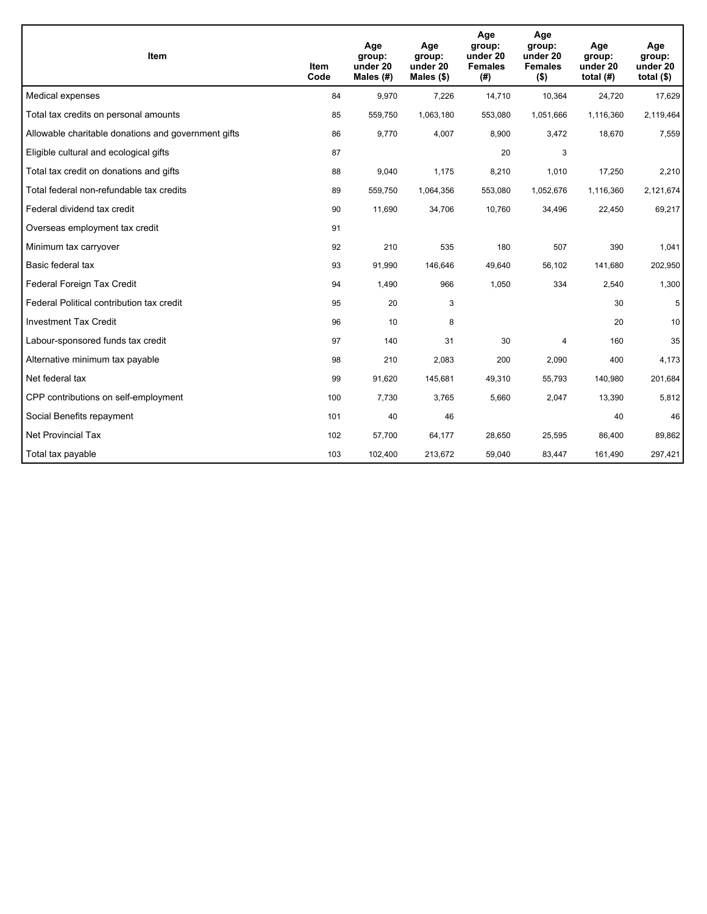| <b>Item</b>                                         | Item<br>Code | Age<br>group:<br>under 20<br>Males (#) | Age<br>group:<br>under 20<br>Males $(\$)$ | Age<br>group:<br>under 20<br><b>Females</b><br>(#) | Age<br>group:<br>under 20<br><b>Females</b><br>$($ \$) | Age<br>group:<br>under 20<br>total $(H)$ | Age<br>group:<br>under 20<br>total $($)$ |
|-----------------------------------------------------|--------------|----------------------------------------|-------------------------------------------|----------------------------------------------------|--------------------------------------------------------|------------------------------------------|------------------------------------------|
| Medical expenses                                    | 84           | 9,970                                  | 7,226                                     | 14,710                                             | 10,364                                                 | 24,720                                   | 17,629                                   |
| Total tax credits on personal amounts               | 85           | 559,750                                | 1,063,180                                 | 553,080                                            | 1,051,666                                              | 1,116,360                                | 2,119,464                                |
| Allowable charitable donations and government gifts | 86           | 9,770                                  | 4,007                                     | 8,900                                              | 3,472                                                  | 18,670                                   | 7,559                                    |
| Eligible cultural and ecological gifts              | 87           |                                        |                                           | 20                                                 | 3                                                      |                                          |                                          |
| Total tax credit on donations and gifts             | 88           | 9,040                                  | 1,175                                     | 8,210                                              | 1,010                                                  | 17,250                                   | 2,210                                    |
| Total federal non-refundable tax credits            | 89           | 559,750                                | 1,064,356                                 | 553,080                                            | 1,052,676                                              | 1,116,360                                | 2,121,674                                |
| Federal dividend tax credit                         | 90           | 11,690                                 | 34,706                                    | 10,760                                             | 34,496                                                 | 22,450                                   | 69,217                                   |
| Overseas employment tax credit                      | 91           |                                        |                                           |                                                    |                                                        |                                          |                                          |
| Minimum tax carryover                               | 92           | 210                                    | 535                                       | 180                                                | 507                                                    | 390                                      | 1,041                                    |
| Basic federal tax                                   | 93           | 91,990                                 | 146,646                                   | 49.640                                             | 56.102                                                 | 141.680                                  | 202,950                                  |
| Federal Foreign Tax Credit                          | 94           | 1,490                                  | 966                                       | 1,050                                              | 334                                                    | 2,540                                    | 1,300                                    |
| Federal Political contribution tax credit           | 95           | 20                                     | 3                                         |                                                    |                                                        | 30                                       | 5                                        |
| <b>Investment Tax Credit</b>                        | 96           | 10                                     | 8                                         |                                                    |                                                        | 20                                       | 10                                       |
| Labour-sponsored funds tax credit                   | 97           | 140                                    | 31                                        | 30                                                 | 4                                                      | 160                                      | 35                                       |
| Alternative minimum tax payable                     | 98           | 210                                    | 2,083                                     | 200                                                | 2,090                                                  | 400                                      | 4,173                                    |
| Net federal tax                                     | 99           | 91,620                                 | 145,681                                   | 49,310                                             | 55,793                                                 | 140,980                                  | 201,684                                  |
| CPP contributions on self-employment                | 100          | 7,730                                  | 3,765                                     | 5,660                                              | 2,047                                                  | 13,390                                   | 5,812                                    |
| Social Benefits repayment                           | 101          | 40                                     | 46                                        |                                                    |                                                        | 40                                       | 46                                       |
| <b>Net Provincial Tax</b>                           | 102          | 57,700                                 | 64,177                                    | 28,650                                             | 25,595                                                 | 86,400                                   | 89,862                                   |
| Total tax payable                                   | 103          | 102,400                                | 213,672                                   | 59,040                                             | 83,447                                                 | 161,490                                  | 297,421                                  |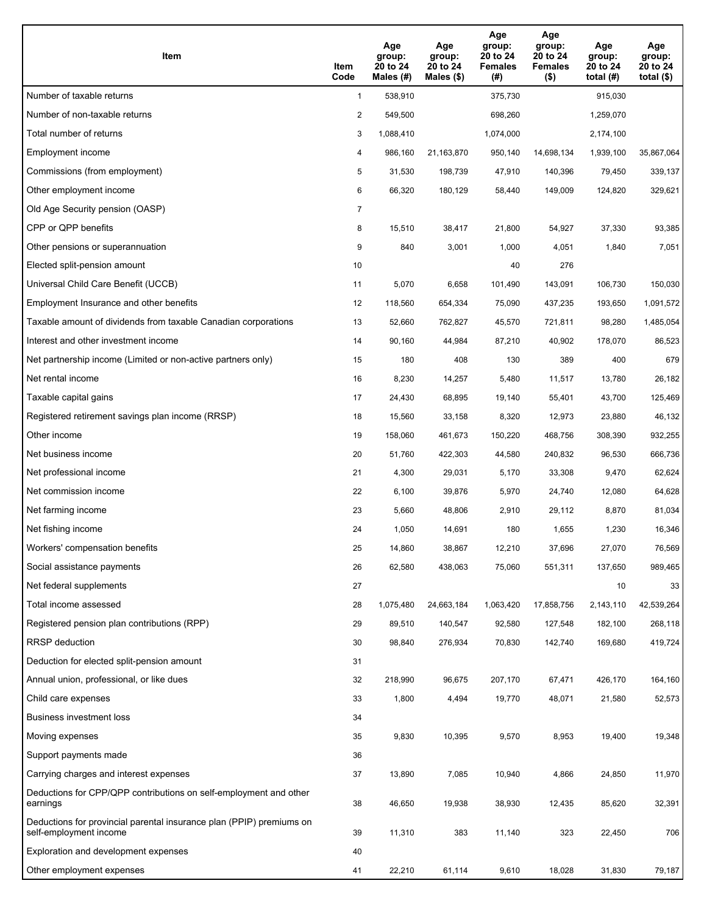| Item                                                                                           | Item<br>Code   | Age<br>group:<br>20 to 24<br>Males (#) | Age<br>group:<br>20 to 24<br>Males $(\$)$ | Age<br>group:<br>20 to 24<br><b>Females</b><br>(#) | Age<br>group:<br>20 to 24<br><b>Females</b><br>$($ \$) | Age<br>group:<br>20 to 24<br>total $(H)$ | Age<br>group:<br>20 to 24<br>total $($ \$) |
|------------------------------------------------------------------------------------------------|----------------|----------------------------------------|-------------------------------------------|----------------------------------------------------|--------------------------------------------------------|------------------------------------------|--------------------------------------------|
| Number of taxable returns                                                                      | $\mathbf{1}$   | 538,910                                |                                           | 375,730                                            |                                                        | 915,030                                  |                                            |
| Number of non-taxable returns                                                                  | $\overline{2}$ | 549,500                                |                                           | 698,260                                            |                                                        | 1,259,070                                |                                            |
| Total number of returns                                                                        | 3              | 1,088,410                              |                                           | 1,074,000                                          |                                                        | 2,174,100                                |                                            |
| Employment income                                                                              | 4              | 986,160                                | 21,163,870                                | 950,140                                            | 14,698,134                                             | 1,939,100                                | 35,867,064                                 |
| Commissions (from employment)                                                                  | 5              | 31,530                                 | 198,739                                   | 47,910                                             | 140,396                                                | 79,450                                   | 339,137                                    |
| Other employment income                                                                        | 6              | 66,320                                 | 180,129                                   | 58,440                                             | 149,009                                                | 124,820                                  | 329,621                                    |
| Old Age Security pension (OASP)                                                                | $\overline{7}$ |                                        |                                           |                                                    |                                                        |                                          |                                            |
| CPP or QPP benefits                                                                            | 8              | 15,510                                 | 38,417                                    | 21,800                                             | 54,927                                                 | 37,330                                   | 93,385                                     |
| Other pensions or superannuation                                                               | 9              | 840                                    | 3,001                                     | 1,000                                              | 4,051                                                  | 1,840                                    | 7,051                                      |
| Elected split-pension amount                                                                   | 10             |                                        |                                           | 40                                                 | 276                                                    |                                          |                                            |
| Universal Child Care Benefit (UCCB)                                                            | 11             | 5,070                                  | 6,658                                     | 101,490                                            | 143,091                                                | 106,730                                  | 150,030                                    |
| Employment Insurance and other benefits                                                        | 12             | 118,560                                | 654,334                                   | 75,090                                             | 437,235                                                | 193,650                                  | 1,091,572                                  |
| Taxable amount of dividends from taxable Canadian corporations                                 | 13             | 52,660                                 | 762,827                                   | 45,570                                             | 721,811                                                | 98,280                                   | 1,485,054                                  |
| Interest and other investment income                                                           | 14             | 90,160                                 | 44,984                                    | 87,210                                             | 40,902                                                 | 178,070                                  | 86,523                                     |
| Net partnership income (Limited or non-active partners only)                                   | 15             | 180                                    | 408                                       | 130                                                | 389                                                    | 400                                      | 679                                        |
| Net rental income                                                                              | 16             | 8,230                                  | 14,257                                    | 5,480                                              | 11,517                                                 | 13,780                                   | 26,182                                     |
| Taxable capital gains                                                                          | 17             | 24,430                                 | 68,895                                    | 19,140                                             | 55,401                                                 | 43,700                                   | 125,469                                    |
| Registered retirement savings plan income (RRSP)                                               | 18             | 15,560                                 | 33,158                                    | 8,320                                              | 12,973                                                 | 23,880                                   | 46,132                                     |
| Other income                                                                                   | 19             | 158,060                                | 461,673                                   | 150,220                                            | 468,756                                                | 308,390                                  | 932,255                                    |
| Net business income                                                                            | 20             | 51,760                                 | 422,303                                   | 44,580                                             | 240,832                                                | 96,530                                   | 666,736                                    |
| Net professional income                                                                        | 21             | 4,300                                  | 29,031                                    | 5,170                                              | 33,308                                                 | 9,470                                    | 62,624                                     |
| Net commission income                                                                          | 22             | 6,100                                  | 39,876                                    | 5,970                                              | 24,740                                                 | 12,080                                   | 64,628                                     |
| Net farming income                                                                             | 23             | 5,660                                  | 48,806                                    | 2,910                                              | 29,112                                                 | 8,870                                    | 81,034                                     |
| Net fishing income                                                                             | 24             | 1,050                                  | 14,691                                    | 180                                                | 1,655                                                  | 1,230                                    | 16,346                                     |
| Workers' compensation benefits                                                                 | 25             | 14,860                                 | 38,867                                    | 12,210                                             | 37,696                                                 | 27,070                                   | 76,569                                     |
| Social assistance payments                                                                     | 26             | 62,580                                 | 438,063                                   | 75,060                                             | 551,311                                                | 137,650                                  | 989,465                                    |
| Net federal supplements                                                                        | 27             |                                        |                                           |                                                    |                                                        | 10                                       | 33                                         |
| Total income assessed                                                                          | 28             | 1,075,480                              | 24,663,184                                | 1,063,420                                          | 17,858,756                                             | 2,143,110                                | 42,539,264                                 |
| Registered pension plan contributions (RPP)                                                    | 29             | 89,510                                 | 140,547                                   | 92,580                                             | 127,548                                                | 182,100                                  | 268,118                                    |
| RRSP deduction                                                                                 | 30             | 98,840                                 | 276,934                                   | 70,830                                             | 142,740                                                | 169,680                                  | 419,724                                    |
| Deduction for elected split-pension amount                                                     | 31             |                                        |                                           |                                                    |                                                        |                                          |                                            |
| Annual union, professional, or like dues                                                       | 32             | 218,990                                | 96,675                                    | 207,170                                            | 67,471                                                 | 426,170                                  | 164,160                                    |
| Child care expenses                                                                            | 33             | 1,800                                  | 4,494                                     | 19,770                                             | 48,071                                                 | 21,580                                   | 52,573                                     |
| <b>Business investment loss</b>                                                                | 34             |                                        |                                           |                                                    |                                                        |                                          |                                            |
| Moving expenses                                                                                | 35             | 9,830                                  | 10,395                                    | 9,570                                              | 8,953                                                  | 19,400                                   | 19,348                                     |
| Support payments made                                                                          | 36             |                                        |                                           |                                                    |                                                        |                                          |                                            |
| Carrying charges and interest expenses                                                         | 37             | 13,890                                 | 7,085                                     | 10,940                                             | 4,866                                                  | 24,850                                   | 11,970                                     |
| Deductions for CPP/QPP contributions on self-employment and other<br>earnings                  | 38             | 46,650                                 | 19,938                                    | 38,930                                             | 12,435                                                 | 85,620                                   | 32,391                                     |
| Deductions for provincial parental insurance plan (PPIP) premiums on<br>self-employment income | 39             | 11,310                                 | 383                                       | 11,140                                             | 323                                                    | 22,450                                   | 706                                        |
| Exploration and development expenses                                                           | 40             |                                        |                                           |                                                    |                                                        |                                          |                                            |
| Other employment expenses                                                                      | 41             | 22,210                                 | 61,114                                    | 9,610                                              | 18,028                                                 | 31,830                                   | 79,187                                     |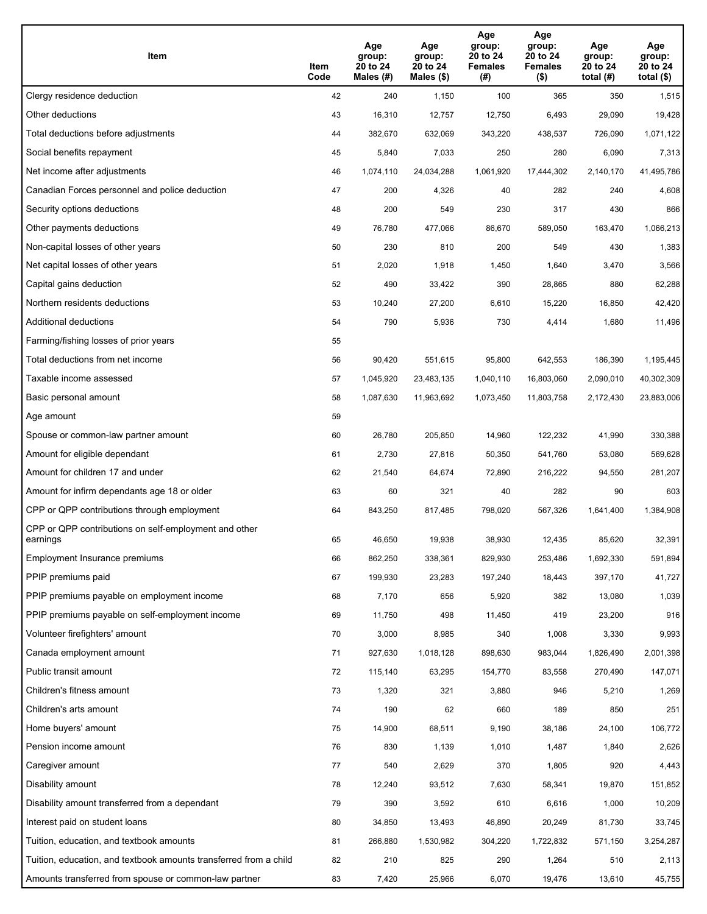| Item                                                              | Item<br>Code | Age<br>group:<br>20 to 24<br>Males (#) | Age<br>group:<br>20 to 24<br>Males (\$) | Age<br>group:<br>20 to 24<br><b>Females</b><br>(#) | Age<br>group:<br>20 to 24<br><b>Females</b><br>$($ \$) | Age<br>group:<br>20 to 24<br>total $(H)$ | Age<br>group:<br>20 to 24<br>total (\$) |
|-------------------------------------------------------------------|--------------|----------------------------------------|-----------------------------------------|----------------------------------------------------|--------------------------------------------------------|------------------------------------------|-----------------------------------------|
| Clergy residence deduction                                        | 42           | 240                                    | 1,150                                   | 100                                                | 365                                                    | 350                                      | 1,515                                   |
| Other deductions                                                  | 43           | 16,310                                 | 12,757                                  | 12,750                                             | 6,493                                                  | 29,090                                   | 19,428                                  |
| Total deductions before adjustments                               | 44           | 382,670                                | 632,069                                 | 343,220                                            | 438,537                                                | 726,090                                  | 1,071,122                               |
| Social benefits repayment                                         | 45           | 5,840                                  | 7,033                                   | 250                                                | 280                                                    | 6,090                                    | 7,313                                   |
| Net income after adjustments                                      | 46           | 1,074,110                              | 24,034,288                              | 1,061,920                                          | 17,444,302                                             | 2,140,170                                | 41,495,786                              |
| Canadian Forces personnel and police deduction                    | 47           | 200                                    | 4,326                                   | 40                                                 | 282                                                    | 240                                      | 4,608                                   |
| Security options deductions                                       | 48           | 200                                    | 549                                     | 230                                                | 317                                                    | 430                                      | 866                                     |
| Other payments deductions                                         | 49           | 76,780                                 | 477,066                                 | 86,670                                             | 589,050                                                | 163,470                                  | 1,066,213                               |
| Non-capital losses of other years                                 | 50           | 230                                    | 810                                     | 200                                                | 549                                                    | 430                                      | 1,383                                   |
| Net capital losses of other years                                 | 51           | 2,020                                  | 1,918                                   | 1,450                                              | 1,640                                                  | 3,470                                    | 3,566                                   |
| Capital gains deduction                                           | 52           | 490                                    | 33,422                                  | 390                                                | 28,865                                                 | 880                                      | 62,288                                  |
| Northern residents deductions                                     | 53           | 10,240                                 | 27,200                                  | 6,610                                              | 15,220                                                 | 16,850                                   | 42,420                                  |
| Additional deductions                                             | 54           | 790                                    | 5,936                                   | 730                                                | 4,414                                                  | 1,680                                    | 11,496                                  |
| Farming/fishing losses of prior years                             | 55           |                                        |                                         |                                                    |                                                        |                                          |                                         |
| Total deductions from net income                                  | 56           | 90,420                                 | 551,615                                 | 95,800                                             | 642,553                                                | 186,390                                  | 1,195,445                               |
| Taxable income assessed                                           | 57           | 1,045,920                              | 23,483,135                              | 1,040,110                                          | 16,803,060                                             | 2,090,010                                | 40,302,309                              |
| Basic personal amount                                             | 58           | 1,087,630                              | 11,963,692                              | 1,073,450                                          | 11,803,758                                             | 2,172,430                                | 23,883,006                              |
| Age amount                                                        | 59           |                                        |                                         |                                                    |                                                        |                                          |                                         |
| Spouse or common-law partner amount                               | 60           | 26,780                                 | 205,850                                 | 14,960                                             | 122,232                                                | 41,990                                   | 330,388                                 |
| Amount for eligible dependant                                     | 61           | 2,730                                  | 27,816                                  | 50,350                                             | 541,760                                                | 53,080                                   | 569,628                                 |
| Amount for children 17 and under                                  | 62           | 21,540                                 | 64,674                                  | 72,890                                             | 216,222                                                | 94,550                                   | 281,207                                 |
| Amount for infirm dependants age 18 or older                      | 63           | 60                                     | 321                                     | 40                                                 | 282                                                    | 90                                       | 603                                     |
| CPP or QPP contributions through employment                       | 64           | 843,250                                | 817,485                                 | 798,020                                            | 567,326                                                | 1,641,400                                | 1,384,908                               |
| CPP or QPP contributions on self-employment and other<br>earnings | 65           | 46,650                                 | 19,938                                  | 38,930                                             | 12,435                                                 | 85,620                                   | 32,391                                  |
| Employment Insurance premiums                                     | 66           | 862,250                                | 338,361                                 | 829,930                                            | 253,486                                                | 1,692,330                                | 591,894                                 |
| PPIP premiums paid                                                | 67           | 199,930                                | 23,283                                  | 197,240                                            | 18,443                                                 | 397,170                                  | 41,727                                  |
| PPIP premiums payable on employment income                        | 68           | 7,170                                  | 656                                     | 5,920                                              | 382                                                    | 13,080                                   | 1,039                                   |
| PPIP premiums payable on self-employment income                   | 69           | 11,750                                 | 498                                     | 11,450                                             | 419                                                    | 23,200                                   | 916                                     |
| Volunteer firefighters' amount                                    | 70           | 3,000                                  | 8,985                                   | 340                                                | 1,008                                                  | 3,330                                    | 9,993                                   |
| Canada employment amount                                          | 71           | 927,630                                | 1,018,128                               | 898,630                                            | 983,044                                                | 1,826,490                                | 2,001,398                               |
| Public transit amount                                             | 72           | 115,140                                | 63,295                                  | 154,770                                            | 83,558                                                 | 270,490                                  | 147,071                                 |
| Children's fitness amount                                         | 73           | 1,320                                  | 321                                     | 3,880                                              | 946                                                    | 5,210                                    | 1,269                                   |
| Children's arts amount                                            | 74           | 190                                    | 62                                      | 660                                                | 189                                                    | 850                                      | 251                                     |
| Home buyers' amount                                               | 75           | 14,900                                 | 68,511                                  | 9,190                                              | 38,186                                                 | 24,100                                   | 106,772                                 |
| Pension income amount                                             | 76           | 830                                    | 1,139                                   | 1,010                                              | 1,487                                                  | 1,840                                    | 2,626                                   |
| Caregiver amount                                                  | 77           | 540                                    | 2,629                                   | 370                                                | 1,805                                                  | 920                                      | 4,443                                   |
| Disability amount                                                 | 78           | 12,240                                 | 93,512                                  | 7,630                                              | 58,341                                                 | 19,870                                   | 151,852                                 |
| Disability amount transferred from a dependant                    | 79           | 390                                    | 3,592                                   | 610                                                | 6,616                                                  | 1,000                                    | 10,209                                  |
| Interest paid on student loans                                    | 80           | 34,850                                 | 13,493                                  | 46,890                                             | 20,249                                                 | 81,730                                   | 33,745                                  |
| Tuition, education, and textbook amounts                          | 81           | 266,880                                | 1,530,982                               | 304,220                                            | 1,722,832                                              | 571,150                                  | 3,254,287                               |
| Tuition, education, and textbook amounts transferred from a child | 82           | 210                                    | 825                                     | 290                                                | 1,264                                                  | 510                                      | 2,113                                   |
| Amounts transferred from spouse or common-law partner             | 83           | 7,420                                  | 25,966                                  | 6,070                                              | 19,476                                                 | 13,610                                   | 45,755                                  |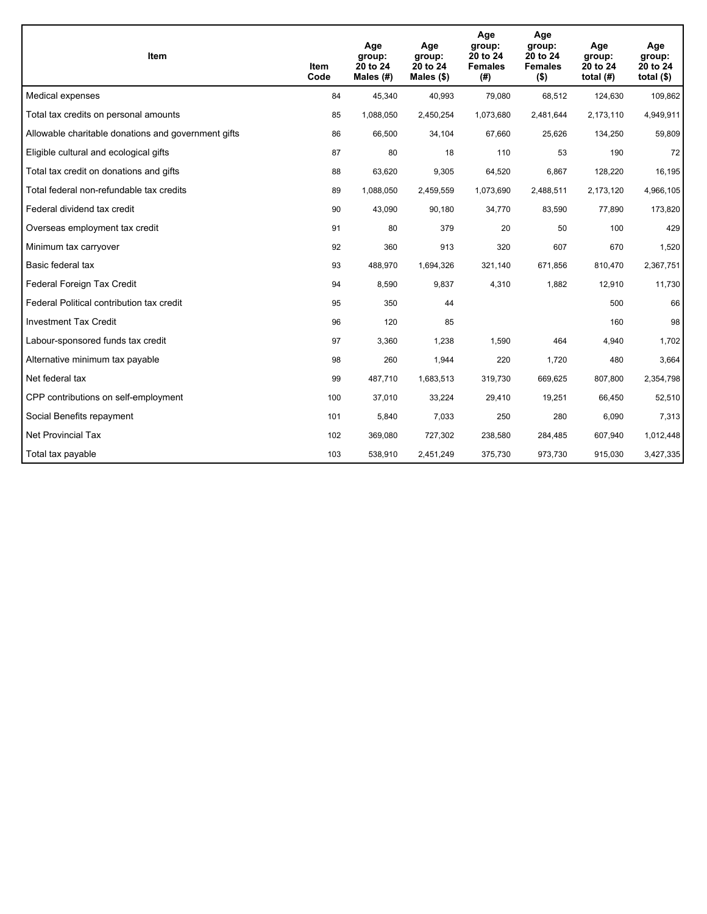| Item                                                | Item<br>Code | Age<br>group:<br>20 to 24<br>Males $(H)$ | Age<br>group:<br>20 to 24<br>Males $(\$)$ | Age<br>group:<br>20 to 24<br><b>Females</b><br>(#) | Age<br>group:<br>20 to 24<br><b>Females</b><br>$($ \$) | Age<br>group:<br>20 to 24<br>total $(H)$ | Age<br>group:<br>20 to 24<br>total $($)$ |
|-----------------------------------------------------|--------------|------------------------------------------|-------------------------------------------|----------------------------------------------------|--------------------------------------------------------|------------------------------------------|------------------------------------------|
| Medical expenses                                    | 84           | 45,340                                   | 40,993                                    | 79,080                                             | 68,512                                                 | 124,630                                  | 109,862                                  |
| Total tax credits on personal amounts               | 85           | 1,088,050                                | 2,450,254                                 | 1,073,680                                          | 2,481,644                                              | 2,173,110                                | 4,949,911                                |
| Allowable charitable donations and government gifts | 86           | 66,500                                   | 34,104                                    | 67,660                                             | 25,626                                                 | 134,250                                  | 59,809                                   |
| Eligible cultural and ecological gifts              | 87           | 80                                       | 18                                        | 110                                                | 53                                                     | 190                                      | 72                                       |
| Total tax credit on donations and gifts             | 88           | 63,620                                   | 9,305                                     | 64,520                                             | 6,867                                                  | 128,220                                  | 16,195                                   |
| Total federal non-refundable tax credits            | 89           | 1,088,050                                | 2,459,559                                 | 1,073,690                                          | 2,488,511                                              | 2,173,120                                | 4,966,105                                |
| Federal dividend tax credit                         | 90           | 43,090                                   | 90,180                                    | 34,770                                             | 83,590                                                 | 77,890                                   | 173,820                                  |
| Overseas employment tax credit                      | 91           | 80                                       | 379                                       | 20                                                 | 50                                                     | 100                                      | 429                                      |
| Minimum tax carryover                               | 92           | 360                                      | 913                                       | 320                                                | 607                                                    | 670                                      | 1,520                                    |
| Basic federal tax                                   | 93           | 488,970                                  | 1,694,326                                 | 321,140                                            | 671,856                                                | 810,470                                  | 2,367,751                                |
| Federal Foreign Tax Credit                          | 94           | 8,590                                    | 9,837                                     | 4,310                                              | 1,882                                                  | 12,910                                   | 11,730                                   |
| Federal Political contribution tax credit           | 95           | 350                                      | 44                                        |                                                    |                                                        | 500                                      | 66                                       |
| <b>Investment Tax Credit</b>                        | 96           | 120                                      | 85                                        |                                                    |                                                        | 160                                      | 98                                       |
| Labour-sponsored funds tax credit                   | 97           | 3,360                                    | 1,238                                     | 1,590                                              | 464                                                    | 4,940                                    | 1,702                                    |
| Alternative minimum tax payable                     | 98           | 260                                      | 1,944                                     | 220                                                | 1,720                                                  | 480                                      | 3,664                                    |
| Net federal tax                                     | 99           | 487,710                                  | 1,683,513                                 | 319,730                                            | 669,625                                                | 807,800                                  | 2,354,798                                |
| CPP contributions on self-employment                | 100          | 37,010                                   | 33,224                                    | 29,410                                             | 19,251                                                 | 66,450                                   | 52,510                                   |
| Social Benefits repayment                           | 101          | 5,840                                    | 7,033                                     | 250                                                | 280                                                    | 6,090                                    | 7,313                                    |
| Net Provincial Tax                                  | 102          | 369,080                                  | 727,302                                   | 238,580                                            | 284,485                                                | 607,940                                  | 1,012,448                                |
| Total tax payable                                   | 103          | 538,910                                  | 2,451,249                                 | 375,730                                            | 973,730                                                | 915,030                                  | 3,427,335                                |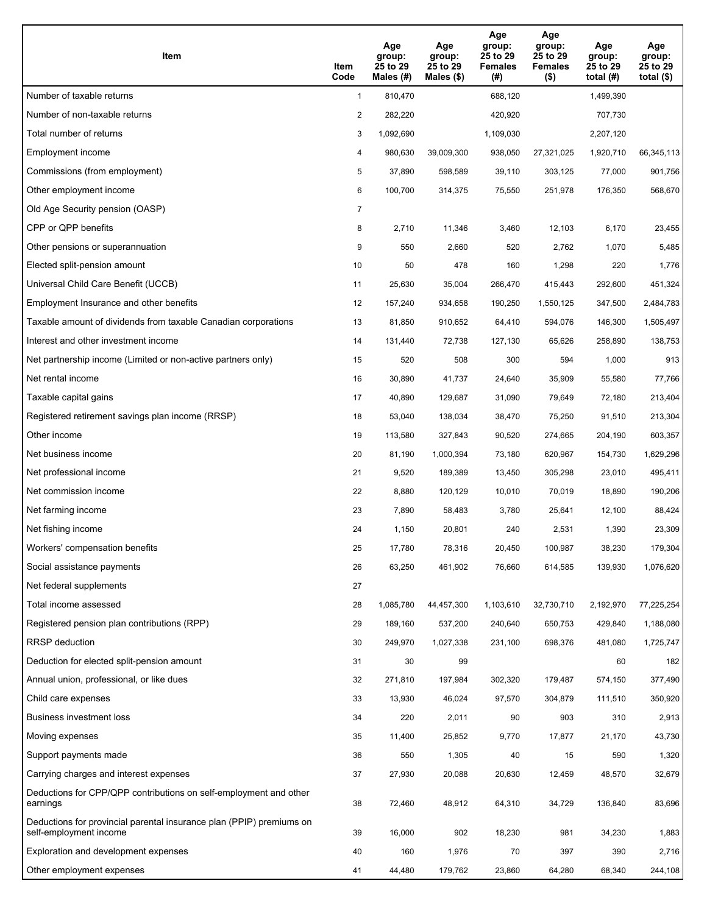| Item                                                                                           | Item<br>Code   | Age<br>group:<br>25 to 29<br>Males (#) | Age<br>group:<br>25 to 29<br>Males $(\$)$ | Age<br>group:<br>25 to 29<br><b>Females</b><br>(# ) | Age<br>group:<br>25 to 29<br><b>Females</b><br>$($ \$) | Age<br>group:<br>25 to 29<br>total $(H)$ | Age<br>group:<br>25 to 29<br>total $($)$ |
|------------------------------------------------------------------------------------------------|----------------|----------------------------------------|-------------------------------------------|-----------------------------------------------------|--------------------------------------------------------|------------------------------------------|------------------------------------------|
| Number of taxable returns                                                                      | $\mathbf{1}$   | 810,470                                |                                           | 688,120                                             |                                                        | 1,499,390                                |                                          |
| Number of non-taxable returns                                                                  | 2              | 282,220                                |                                           | 420,920                                             |                                                        | 707,730                                  |                                          |
| Total number of returns                                                                        | 3              | 1,092,690                              |                                           | 1,109,030                                           |                                                        | 2,207,120                                |                                          |
| Employment income                                                                              | 4              | 980,630                                | 39,009,300                                | 938,050                                             | 27,321,025                                             | 1,920,710                                | 66,345,113                               |
| Commissions (from employment)                                                                  | 5              | 37,890                                 | 598,589                                   | 39,110                                              | 303,125                                                | 77,000                                   | 901,756                                  |
| Other employment income                                                                        | 6              | 100,700                                | 314,375                                   | 75,550                                              | 251,978                                                | 176,350                                  | 568,670                                  |
| Old Age Security pension (OASP)                                                                | $\overline{7}$ |                                        |                                           |                                                     |                                                        |                                          |                                          |
| CPP or QPP benefits                                                                            | 8              | 2,710                                  | 11,346                                    | 3,460                                               | 12,103                                                 | 6,170                                    | 23,455                                   |
| Other pensions or superannuation                                                               | 9              | 550                                    | 2,660                                     | 520                                                 | 2,762                                                  | 1,070                                    | 5,485                                    |
| Elected split-pension amount                                                                   | 10             | 50                                     | 478                                       | 160                                                 | 1,298                                                  | 220                                      | 1,776                                    |
| Universal Child Care Benefit (UCCB)                                                            | 11             | 25,630                                 | 35,004                                    | 266,470                                             | 415,443                                                | 292,600                                  | 451,324                                  |
| Employment Insurance and other benefits                                                        | 12             | 157,240                                | 934,658                                   | 190,250                                             | 1,550,125                                              | 347,500                                  | 2,484,783                                |
| Taxable amount of dividends from taxable Canadian corporations                                 | 13             | 81,850                                 | 910,652                                   | 64,410                                              | 594,076                                                | 146,300                                  | 1,505,497                                |
| Interest and other investment income                                                           | 14             | 131,440                                | 72,738                                    | 127,130                                             | 65,626                                                 | 258,890                                  | 138,753                                  |
| Net partnership income (Limited or non-active partners only)                                   | 15             | 520                                    | 508                                       | 300                                                 | 594                                                    | 1,000                                    | 913                                      |
| Net rental income                                                                              | 16             | 30,890                                 | 41,737                                    | 24,640                                              | 35,909                                                 | 55,580                                   | 77,766                                   |
| Taxable capital gains                                                                          | 17             | 40,890                                 | 129,687                                   | 31,090                                              | 79,649                                                 | 72,180                                   | 213,404                                  |
| Registered retirement savings plan income (RRSP)                                               | 18             | 53,040                                 | 138,034                                   | 38,470                                              | 75,250                                                 | 91,510                                   | 213,304                                  |
| Other income                                                                                   | 19             | 113,580                                | 327,843                                   | 90,520                                              | 274,665                                                | 204,190                                  | 603,357                                  |
| Net business income                                                                            | 20             | 81,190                                 | 1,000,394                                 | 73,180                                              | 620,967                                                | 154,730                                  | 1,629,296                                |
| Net professional income                                                                        | 21             | 9,520                                  | 189,389                                   | 13,450                                              | 305,298                                                | 23,010                                   | 495,411                                  |
| Net commission income                                                                          | 22             | 8,880                                  | 120,129                                   | 10,010                                              | 70,019                                                 | 18,890                                   | 190,206                                  |
| Net farming income                                                                             | 23             | 7,890                                  | 58,483                                    | 3,780                                               | 25,641                                                 | 12,100                                   | 88,424                                   |
| Net fishing income                                                                             | 24             | 1,150                                  | 20,801                                    | 240                                                 | 2,531                                                  | 1,390                                    | 23,309                                   |
| Workers' compensation benefits                                                                 | 25             | 17,780                                 | 78,316                                    | 20,450                                              | 100,987                                                | 38,230                                   | 179,304                                  |
| Social assistance payments                                                                     | 26             | 63,250                                 | 461,902                                   | 76,660                                              | 614,585                                                | 139,930                                  | 1,076,620                                |
| Net federal supplements                                                                        | 27             |                                        |                                           |                                                     |                                                        |                                          |                                          |
| Total income assessed                                                                          | 28             | 1,085,780                              | 44,457,300                                | 1,103,610                                           | 32,730,710                                             | 2,192,970                                | 77,225,254                               |
| Registered pension plan contributions (RPP)                                                    | 29             | 189,160                                | 537,200                                   | 240,640                                             | 650,753                                                | 429,840                                  | 1,188,080                                |
| RRSP deduction                                                                                 | 30             | 249,970                                | 1,027,338                                 | 231,100                                             | 698,376                                                | 481,080                                  | 1,725,747                                |
| Deduction for elected split-pension amount                                                     | 31             | 30                                     | 99                                        |                                                     |                                                        | 60                                       | 182                                      |
| Annual union, professional, or like dues                                                       | 32             | 271,810                                | 197,984                                   | 302,320                                             | 179,487                                                | 574,150                                  | 377,490                                  |
| Child care expenses                                                                            | 33             | 13,930                                 | 46,024                                    | 97,570                                              | 304,879                                                | 111,510                                  | 350,920                                  |
| <b>Business investment loss</b>                                                                | 34             | 220                                    | 2,011                                     | 90                                                  | 903                                                    | 310                                      | 2,913                                    |
| Moving expenses                                                                                | 35             | 11,400                                 | 25,852                                    | 9,770                                               | 17,877                                                 | 21,170                                   | 43,730                                   |
| Support payments made                                                                          | 36             | 550                                    | 1,305                                     | 40                                                  | 15                                                     | 590                                      | 1,320                                    |
| Carrying charges and interest expenses                                                         | 37             | 27,930                                 | 20,088                                    | 20,630                                              | 12,459                                                 | 48,570                                   | 32,679                                   |
| Deductions for CPP/QPP contributions on self-employment and other<br>earnings                  | 38             | 72,460                                 | 48,912                                    | 64,310                                              | 34,729                                                 | 136,840                                  | 83,696                                   |
| Deductions for provincial parental insurance plan (PPIP) premiums on<br>self-employment income | 39             | 16,000                                 | 902                                       | 18,230                                              | 981                                                    | 34,230                                   | 1,883                                    |
| Exploration and development expenses                                                           | 40             | 160                                    | 1,976                                     | 70                                                  | 397                                                    | 390                                      | 2,716                                    |
| Other employment expenses                                                                      | 41             | 44,480                                 | 179,762                                   | 23,860                                              | 64,280                                                 | 68,340                                   | 244,108                                  |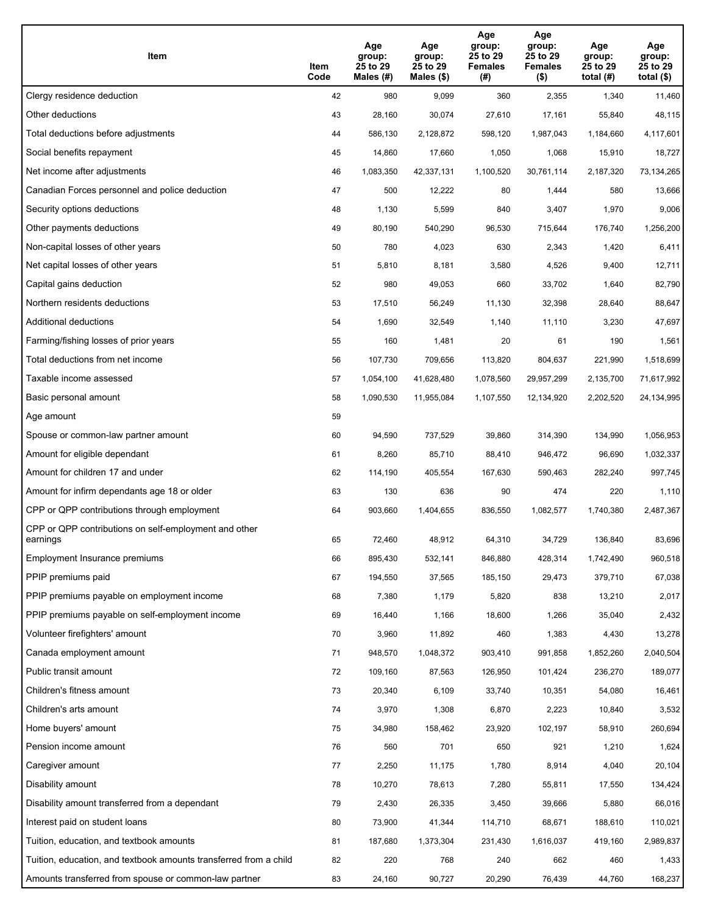| Item                                                              | Item<br>Code | Age<br>group:<br>25 to 29<br>Males (#) | Age<br>group:<br>25 to 29<br>Males (\$) | Age<br>group:<br>25 to 29<br><b>Females</b><br>(# ) | Age<br>group:<br>25 to 29<br><b>Females</b><br>$($ \$) | Age<br>group:<br>25 to 29<br>total $(#)$ | Age<br>group:<br>25 to 29<br>total $($)$ |
|-------------------------------------------------------------------|--------------|----------------------------------------|-----------------------------------------|-----------------------------------------------------|--------------------------------------------------------|------------------------------------------|------------------------------------------|
| Clergy residence deduction                                        | 42           | 980                                    | 9,099                                   | 360                                                 | 2,355                                                  | 1,340                                    | 11,460                                   |
| Other deductions                                                  | 43           | 28,160                                 | 30,074                                  | 27,610                                              | 17,161                                                 | 55,840                                   | 48,115                                   |
| Total deductions before adjustments                               | 44           | 586,130                                | 2,128,872                               | 598,120                                             | 1,987,043                                              | 1,184,660                                | 4,117,601                                |
| Social benefits repayment                                         | 45           | 14,860                                 | 17,660                                  | 1,050                                               | 1,068                                                  | 15,910                                   | 18,727                                   |
| Net income after adjustments                                      | 46           | 1,083,350                              | 42,337,131                              | 1,100,520                                           | 30,761,114                                             | 2,187,320                                | 73,134,265                               |
| Canadian Forces personnel and police deduction                    | 47           | 500                                    | 12,222                                  | 80                                                  | 1,444                                                  | 580                                      | 13,666                                   |
| Security options deductions                                       | 48           | 1,130                                  | 5,599                                   | 840                                                 | 3,407                                                  | 1,970                                    | 9,006                                    |
| Other payments deductions                                         | 49           | 80,190                                 | 540,290                                 | 96,530                                              | 715,644                                                | 176,740                                  | 1,256,200                                |
| Non-capital losses of other years                                 | 50           | 780                                    | 4,023                                   | 630                                                 | 2,343                                                  | 1,420                                    | 6,411                                    |
| Net capital losses of other years                                 | 51           | 5,810                                  | 8,181                                   | 3,580                                               | 4,526                                                  | 9,400                                    | 12,711                                   |
| Capital gains deduction                                           | 52           | 980                                    | 49,053                                  | 660                                                 | 33,702                                                 | 1,640                                    | 82,790                                   |
| Northern residents deductions                                     | 53           | 17,510                                 | 56,249                                  | 11,130                                              | 32,398                                                 | 28,640                                   | 88,647                                   |
| Additional deductions                                             | 54           | 1,690                                  | 32,549                                  | 1,140                                               | 11,110                                                 | 3,230                                    | 47,697                                   |
| Farming/fishing losses of prior years                             | 55           | 160                                    | 1,481                                   | 20                                                  | 61                                                     | 190                                      | 1,561                                    |
| Total deductions from net income                                  | 56           | 107,730                                | 709,656                                 | 113,820                                             | 804,637                                                | 221,990                                  | 1,518,699                                |
| Taxable income assessed                                           | 57           | 1,054,100                              | 41,628,480                              | 1,078,560                                           | 29,957,299                                             | 2,135,700                                | 71,617,992                               |
| Basic personal amount                                             | 58           | 1,090,530                              | 11,955,084                              | 1,107,550                                           | 12,134,920                                             | 2,202,520                                | 24,134,995                               |
| Age amount                                                        | 59           |                                        |                                         |                                                     |                                                        |                                          |                                          |
| Spouse or common-law partner amount                               | 60           | 94,590                                 | 737,529                                 | 39,860                                              | 314,390                                                | 134,990                                  | 1,056,953                                |
| Amount for eligible dependant                                     | 61           | 8,260                                  | 85,710                                  | 88,410                                              | 946,472                                                | 96,690                                   | 1,032,337                                |
| Amount for children 17 and under                                  | 62           | 114,190                                | 405,554                                 | 167,630                                             | 590,463                                                | 282,240                                  | 997,745                                  |
| Amount for infirm dependants age 18 or older                      | 63           | 130                                    | 636                                     | 90                                                  | 474                                                    | 220                                      | 1,110                                    |
| CPP or QPP contributions through employment                       | 64           | 903,660                                | 1,404,655                               | 836,550                                             | 1,082,577                                              | 1,740,380                                | 2,487,367                                |
| CPP or QPP contributions on self-employment and other<br>earnings | 65           | 72,460                                 | 48,912                                  | 64,310                                              | 34,729                                                 | 136,840                                  | 83,696                                   |
| Employment Insurance premiums                                     | 66           | 895,430                                | 532,141                                 | 846,880                                             | 428,314                                                | 1,742,490                                | 960,518                                  |
| PPIP premiums paid                                                | 67           | 194,550                                | 37,565                                  | 185,150                                             | 29,473                                                 | 379,710                                  | 67,038                                   |
| PPIP premiums payable on employment income                        | 68           | 7,380                                  | 1,179                                   | 5,820                                               | 838                                                    | 13,210                                   | 2,017                                    |
| PPIP premiums payable on self-employment income                   | 69           | 16,440                                 | 1,166                                   | 18,600                                              | 1,266                                                  | 35,040                                   | 2,432                                    |
| Volunteer firefighters' amount                                    | 70           | 3,960                                  | 11,892                                  | 460                                                 | 1,383                                                  | 4,430                                    | 13,278                                   |
| Canada employment amount                                          | 71           | 948,570                                | 1,048,372                               | 903,410                                             | 991,858                                                | 1,852,260                                | 2,040,504                                |
| Public transit amount                                             | 72           | 109,160                                | 87,563                                  | 126,950                                             | 101,424                                                | 236,270                                  | 189,077                                  |
| Children's fitness amount                                         | 73           | 20,340                                 | 6,109                                   | 33,740                                              | 10,351                                                 | 54,080                                   | 16,461                                   |
| Children's arts amount                                            | 74           | 3,970                                  | 1,308                                   | 6,870                                               | 2,223                                                  | 10,840                                   | 3,532                                    |
| Home buyers' amount                                               | 75           | 34,980                                 | 158,462                                 | 23,920                                              | 102,197                                                | 58,910                                   | 260,694                                  |
| Pension income amount                                             | 76           | 560                                    | 701                                     | 650                                                 | 921                                                    | 1,210                                    | 1,624                                    |
| Caregiver amount                                                  | 77           | 2,250                                  | 11,175                                  | 1,780                                               | 8,914                                                  | 4,040                                    | 20,104                                   |
| Disability amount                                                 | 78           | 10,270                                 | 78,613                                  | 7,280                                               | 55,811                                                 | 17,550                                   | 134,424                                  |
| Disability amount transferred from a dependant                    | 79           | 2,430                                  | 26,335                                  | 3,450                                               | 39,666                                                 | 5,880                                    | 66,016                                   |
| Interest paid on student loans                                    | 80           | 73,900                                 | 41,344                                  | 114,710                                             | 68,671                                                 | 188,610                                  | 110,021                                  |
| Tuition, education, and textbook amounts                          | 81           | 187,680                                | 1,373,304                               | 231,430                                             | 1,616,037                                              | 419,160                                  | 2,989,837                                |
| Tuition, education, and textbook amounts transferred from a child | 82           | 220                                    | 768                                     | 240                                                 | 662                                                    | 460                                      | 1,433                                    |
| Amounts transferred from spouse or common-law partner             | 83           | 24,160                                 | 90,727                                  | 20,290                                              | 76,439                                                 | 44,760                                   | 168,237                                  |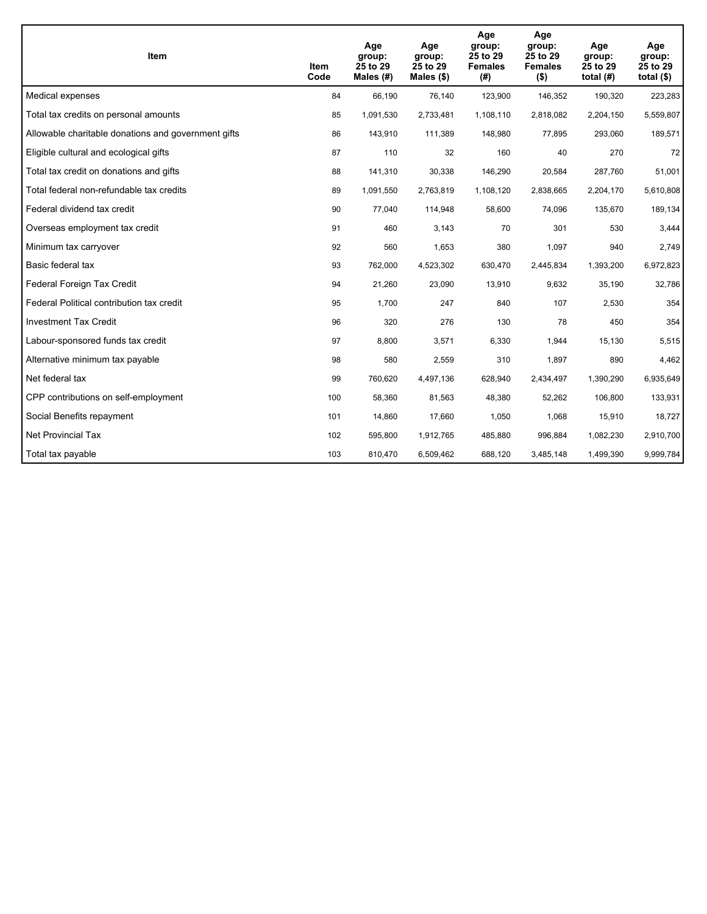| Item                                                | Item<br>Code | Age<br>group:<br>25 to 29<br>Males $(H)$ | Age<br>group:<br>25 to 29<br>Males $(\$)$ | Age<br>group:<br>25 to 29<br><b>Females</b><br>(# ) | Age<br>group:<br>25 to 29<br><b>Females</b><br>$($ \$) | Age<br>group:<br>25 to 29<br>total $(H)$ | Age<br>group:<br>25 to 29<br>total $($)$ |
|-----------------------------------------------------|--------------|------------------------------------------|-------------------------------------------|-----------------------------------------------------|--------------------------------------------------------|------------------------------------------|------------------------------------------|
| Medical expenses                                    | 84           | 66,190                                   | 76,140                                    | 123,900                                             | 146,352                                                | 190,320                                  | 223,283                                  |
| Total tax credits on personal amounts               | 85           | 1,091,530                                | 2,733,481                                 | 1,108,110                                           | 2,818,082                                              | 2,204,150                                | 5,559,807                                |
| Allowable charitable donations and government gifts | 86           | 143,910                                  | 111,389                                   | 148,980                                             | 77,895                                                 | 293,060                                  | 189,571                                  |
| Eligible cultural and ecological gifts              | 87           | 110                                      | 32                                        | 160                                                 | 40                                                     | 270                                      | 72                                       |
| Total tax credit on donations and gifts             | 88           | 141,310                                  | 30,338                                    | 146,290                                             | 20,584                                                 | 287,760                                  | 51,001                                   |
| Total federal non-refundable tax credits            | 89           | 1,091,550                                | 2,763,819                                 | 1,108,120                                           | 2,838,665                                              | 2,204,170                                | 5,610,808                                |
| Federal dividend tax credit                         | 90           | 77,040                                   | 114,948                                   | 58,600                                              | 74,096                                                 | 135,670                                  | 189,134                                  |
| Overseas employment tax credit                      | 91           | 460                                      | 3,143                                     | 70                                                  | 301                                                    | 530                                      | 3,444                                    |
| Minimum tax carryover                               | 92           | 560                                      | 1,653                                     | 380                                                 | 1,097                                                  | 940                                      | 2,749                                    |
| Basic federal tax                                   | 93           | 762,000                                  | 4,523,302                                 | 630.470                                             | 2,445,834                                              | 1,393,200                                | 6,972,823                                |
| Federal Foreign Tax Credit                          | 94           | 21,260                                   | 23,090                                    | 13,910                                              | 9,632                                                  | 35,190                                   | 32,786                                   |
| Federal Political contribution tax credit           | 95           | 1,700                                    | 247                                       | 840                                                 | 107                                                    | 2,530                                    | 354                                      |
| <b>Investment Tax Credit</b>                        | 96           | 320                                      | 276                                       | 130                                                 | 78                                                     | 450                                      | 354                                      |
| Labour-sponsored funds tax credit                   | 97           | 8,800                                    | 3,571                                     | 6,330                                               | 1,944                                                  | 15,130                                   | 5,515                                    |
| Alternative minimum tax payable                     | 98           | 580                                      | 2,559                                     | 310                                                 | 1,897                                                  | 890                                      | 4,462                                    |
| Net federal tax                                     | 99           | 760,620                                  | 4,497,136                                 | 628,940                                             | 2,434,497                                              | 1,390,290                                | 6,935,649                                |
| CPP contributions on self-employment                | 100          | 58,360                                   | 81,563                                    | 48,380                                              | 52,262                                                 | 106,800                                  | 133,931                                  |
| Social Benefits repayment                           | 101          | 14,860                                   | 17,660                                    | 1,050                                               | 1,068                                                  | 15,910                                   | 18,727                                   |
| <b>Net Provincial Tax</b>                           | 102          | 595,800                                  | 1,912,765                                 | 485,880                                             | 996.884                                                | 1,082,230                                | 2,910,700                                |
| Total tax payable                                   | 103          | 810,470                                  | 6,509,462                                 | 688,120                                             | 3,485,148                                              | 1,499,390                                | 9,999,784                                |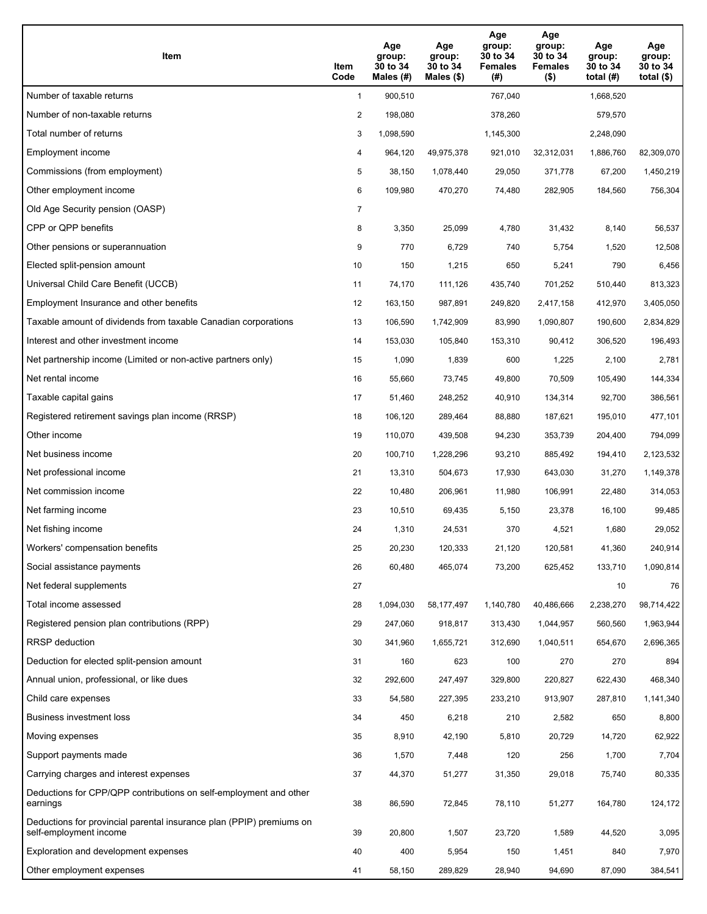| Item                                                                                           | Item<br>Code   | Age<br>group:<br>30 to 34<br>Males (#) | Age<br>group:<br>30 to 34<br>Males $(\$)$ | Age<br>group:<br>30 to 34<br><b>Females</b><br>(#) | Age<br>group:<br>30 to 34<br><b>Females</b><br>$($ \$) | Age<br>group:<br>30 to 34<br>total $(H)$ | Age<br>group:<br>30 to 34<br>total $($ \$) |
|------------------------------------------------------------------------------------------------|----------------|----------------------------------------|-------------------------------------------|----------------------------------------------------|--------------------------------------------------------|------------------------------------------|--------------------------------------------|
| Number of taxable returns                                                                      | $\mathbf{1}$   | 900,510                                |                                           | 767,040                                            |                                                        | 1,668,520                                |                                            |
| Number of non-taxable returns                                                                  | 2              | 198,080                                |                                           | 378,260                                            |                                                        | 579,570                                  |                                            |
| Total number of returns                                                                        | 3              | 1,098,590                              |                                           | 1,145,300                                          |                                                        | 2,248,090                                |                                            |
| Employment income                                                                              | 4              | 964,120                                | 49,975,378                                | 921,010                                            | 32,312,031                                             | 1,886,760                                | 82,309,070                                 |
| Commissions (from employment)                                                                  | 5              | 38,150                                 | 1,078,440                                 | 29,050                                             | 371,778                                                | 67,200                                   | 1,450,219                                  |
| Other employment income                                                                        | 6              | 109,980                                | 470,270                                   | 74,480                                             | 282,905                                                | 184,560                                  | 756,304                                    |
| Old Age Security pension (OASP)                                                                | $\overline{7}$ |                                        |                                           |                                                    |                                                        |                                          |                                            |
| CPP or QPP benefits                                                                            | 8              | 3,350                                  | 25,099                                    | 4,780                                              | 31,432                                                 | 8,140                                    | 56,537                                     |
| Other pensions or superannuation                                                               | 9              | 770                                    | 6,729                                     | 740                                                | 5,754                                                  | 1,520                                    | 12,508                                     |
| Elected split-pension amount                                                                   | 10             | 150                                    | 1,215                                     | 650                                                | 5,241                                                  | 790                                      | 6,456                                      |
| Universal Child Care Benefit (UCCB)                                                            | 11             | 74,170                                 | 111,126                                   | 435,740                                            | 701,252                                                | 510,440                                  | 813,323                                    |
| Employment Insurance and other benefits                                                        | 12             | 163,150                                | 987,891                                   | 249,820                                            | 2,417,158                                              | 412,970                                  | 3,405,050                                  |
| Taxable amount of dividends from taxable Canadian corporations                                 | 13             | 106,590                                | 1,742,909                                 | 83,990                                             | 1,090,807                                              | 190,600                                  | 2,834,829                                  |
| Interest and other investment income                                                           | 14             | 153,030                                | 105,840                                   | 153,310                                            | 90,412                                                 | 306,520                                  | 196,493                                    |
| Net partnership income (Limited or non-active partners only)                                   | 15             | 1,090                                  | 1,839                                     | 600                                                | 1,225                                                  | 2,100                                    | 2,781                                      |
| Net rental income                                                                              | 16             | 55,660                                 | 73,745                                    | 49,800                                             | 70,509                                                 | 105,490                                  | 144,334                                    |
| Taxable capital gains                                                                          | 17             | 51,460                                 | 248,252                                   | 40,910                                             | 134,314                                                | 92,700                                   | 386,561                                    |
| Registered retirement savings plan income (RRSP)                                               | 18             | 106,120                                | 289,464                                   | 88,880                                             | 187,621                                                | 195,010                                  | 477,101                                    |
| Other income                                                                                   | 19             | 110,070                                | 439,508                                   | 94,230                                             | 353,739                                                | 204,400                                  | 794,099                                    |
| Net business income                                                                            | 20             | 100,710                                | 1,228,296                                 | 93,210                                             | 885,492                                                | 194,410                                  | 2,123,532                                  |
| Net professional income                                                                        | 21             | 13,310                                 | 504,673                                   | 17,930                                             | 643,030                                                | 31,270                                   | 1,149,378                                  |
| Net commission income                                                                          | 22             | 10,480                                 | 206,961                                   | 11,980                                             | 106,991                                                | 22,480                                   | 314,053                                    |
| Net farming income                                                                             | 23             | 10,510                                 | 69,435                                    | 5,150                                              | 23,378                                                 | 16,100                                   | 99,485                                     |
| Net fishing income                                                                             | 24             | 1,310                                  | 24,531                                    | 370                                                | 4,521                                                  | 1,680                                    | 29,052                                     |
| Workers' compensation benefits                                                                 | 25             | 20,230                                 | 120,333                                   | 21,120                                             | 120,581                                                | 41,360                                   | 240,914                                    |
| Social assistance payments                                                                     | 26             | 60,480                                 | 465,074                                   | 73,200                                             | 625,452                                                | 133,710                                  | 1,090,814                                  |
| Net federal supplements                                                                        | 27             |                                        |                                           |                                                    |                                                        | 10                                       | 76                                         |
| Total income assessed                                                                          | 28             | 1,094,030                              | 58,177,497                                | 1,140,780                                          | 40,486,666                                             | 2,238,270                                | 98,714,422                                 |
| Registered pension plan contributions (RPP)                                                    | 29             | 247,060                                | 918,817                                   | 313,430                                            | 1,044,957                                              | 560,560                                  | 1,963,944                                  |
| RRSP deduction                                                                                 | 30             | 341,960                                | 1,655,721                                 | 312,690                                            | 1,040,511                                              | 654,670                                  | 2,696,365                                  |
| Deduction for elected split-pension amount                                                     | 31             | 160                                    | 623                                       | 100                                                | 270                                                    | 270                                      | 894                                        |
| Annual union, professional, or like dues                                                       | 32             | 292,600                                | 247,497                                   | 329,800                                            | 220,827                                                | 622,430                                  | 468,340                                    |
| Child care expenses                                                                            | 33             | 54,580                                 | 227,395                                   | 233,210                                            | 913,907                                                | 287,810                                  | 1,141,340                                  |
| Business investment loss                                                                       | 34             | 450                                    | 6,218                                     | 210                                                | 2,582                                                  | 650                                      | 8,800                                      |
| Moving expenses                                                                                | 35             | 8,910                                  | 42,190                                    | 5,810                                              | 20,729                                                 | 14,720                                   | 62,922                                     |
| Support payments made                                                                          | 36             | 1,570                                  | 7,448                                     | 120                                                | 256                                                    | 1,700                                    | 7,704                                      |
| Carrying charges and interest expenses                                                         | 37             | 44,370                                 | 51,277                                    | 31,350                                             | 29,018                                                 | 75,740                                   | 80,335                                     |
| Deductions for CPP/QPP contributions on self-employment and other<br>earnings                  | 38             | 86,590                                 | 72,845                                    | 78,110                                             | 51,277                                                 | 164,780                                  | 124,172                                    |
| Deductions for provincial parental insurance plan (PPIP) premiums on<br>self-employment income | 39             | 20,800                                 | 1,507                                     | 23,720                                             | 1,589                                                  | 44,520                                   | 3,095                                      |
| Exploration and development expenses                                                           | 40             | 400                                    | 5,954                                     | 150                                                | 1,451                                                  | 840                                      | 7,970                                      |
| Other employment expenses                                                                      | 41             | 58,150                                 | 289,829                                   | 28,940                                             | 94,690                                                 | 87,090                                   | 384,541                                    |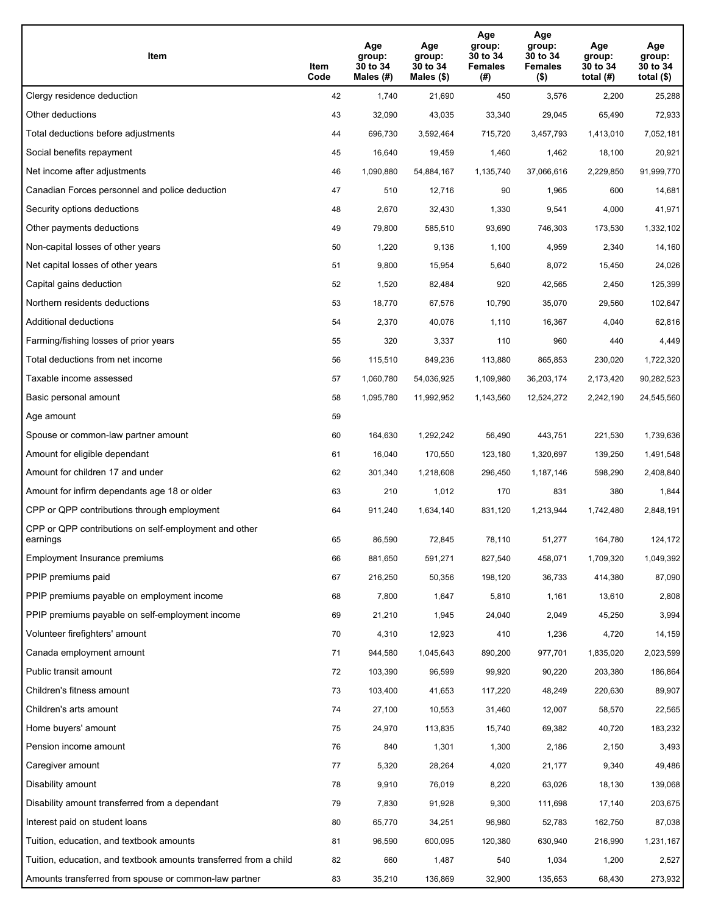| Item                                                              | Item<br>Code | Age<br>group:<br>30 to 34<br>Males (#) | Age<br>group:<br>30 to 34<br>Males (\$) | Age<br>group:<br>30 to 34<br><b>Females</b><br>(# ) | Age<br>group:<br>30 to 34<br>Females<br>$($ \$) | Age<br>group:<br>30 to 34<br>total (#) | Age<br>group:<br>30 to 34<br>total $($)$ |
|-------------------------------------------------------------------|--------------|----------------------------------------|-----------------------------------------|-----------------------------------------------------|-------------------------------------------------|----------------------------------------|------------------------------------------|
| Clergy residence deduction                                        | 42           | 1,740                                  | 21,690                                  | 450                                                 | 3,576                                           | 2,200                                  | 25,288                                   |
| Other deductions                                                  | 43           | 32,090                                 | 43,035                                  | 33,340                                              | 29,045                                          | 65,490                                 | 72,933                                   |
| Total deductions before adjustments                               | 44           | 696,730                                | 3,592,464                               | 715,720                                             | 3,457,793                                       | 1,413,010                              | 7,052,181                                |
| Social benefits repayment                                         | 45           | 16,640                                 | 19,459                                  | 1,460                                               | 1,462                                           | 18,100                                 | 20,921                                   |
| Net income after adjustments                                      | 46           | 1,090,880                              | 54,884,167                              | 1,135,740                                           | 37,066,616                                      | 2,229,850                              | 91,999,770                               |
| Canadian Forces personnel and police deduction                    | 47           | 510                                    | 12,716                                  | 90                                                  | 1,965                                           | 600                                    | 14,681                                   |
| Security options deductions                                       | 48           | 2,670                                  | 32,430                                  | 1,330                                               | 9,541                                           | 4,000                                  | 41,971                                   |
| Other payments deductions                                         | 49           | 79,800                                 | 585,510                                 | 93,690                                              | 746,303                                         | 173,530                                | 1,332,102                                |
| Non-capital losses of other years                                 | 50           | 1,220                                  | 9,136                                   | 1,100                                               | 4,959                                           | 2,340                                  | 14,160                                   |
| Net capital losses of other years                                 | 51           | 9,800                                  | 15,954                                  | 5,640                                               | 8,072                                           | 15,450                                 | 24,026                                   |
| Capital gains deduction                                           | 52           | 1,520                                  | 82,484                                  | 920                                                 | 42,565                                          | 2,450                                  | 125,399                                  |
| Northern residents deductions                                     | 53           | 18,770                                 | 67,576                                  | 10,790                                              | 35,070                                          | 29,560                                 | 102,647                                  |
| Additional deductions                                             | 54           | 2,370                                  | 40,076                                  | 1,110                                               | 16,367                                          | 4,040                                  | 62,816                                   |
| Farming/fishing losses of prior years                             | 55           | 320                                    | 3,337                                   | 110                                                 | 960                                             | 440                                    | 4,449                                    |
| Total deductions from net income                                  | 56           | 115,510                                | 849,236                                 | 113,880                                             | 865,853                                         | 230,020                                | 1,722,320                                |
| Taxable income assessed                                           | 57           | 1,060,780                              | 54,036,925                              | 1,109,980                                           | 36,203,174                                      | 2,173,420                              | 90,282,523                               |
| Basic personal amount                                             | 58           | 1,095,780                              | 11,992,952                              | 1,143,560                                           | 12,524,272                                      | 2,242,190                              | 24,545,560                               |
| Age amount                                                        | 59           |                                        |                                         |                                                     |                                                 |                                        |                                          |
| Spouse or common-law partner amount                               | 60           | 164,630                                | 1,292,242                               | 56,490                                              | 443,751                                         | 221,530                                | 1,739,636                                |
| Amount for eligible dependant                                     | 61           | 16,040                                 | 170,550                                 | 123,180                                             | 1,320,697                                       | 139,250                                | 1,491,548                                |
| Amount for children 17 and under                                  | 62           | 301,340                                | 1,218,608                               | 296,450                                             | 1,187,146                                       | 598,290                                | 2,408,840                                |
| Amount for infirm dependants age 18 or older                      | 63           | 210                                    | 1,012                                   | 170                                                 | 831                                             | 380                                    | 1,844                                    |
| CPP or QPP contributions through employment                       | 64           | 911,240                                | 1,634,140                               | 831,120                                             | 1,213,944                                       | 1,742,480                              | 2,848,191                                |
| CPP or QPP contributions on self-employment and other<br>earnings | 65           | 86,590                                 | 72,845                                  | 78,110                                              | 51,277                                          | 164,780                                | 124,172                                  |
| Employment Insurance premiums                                     | 66           | 881,650                                | 591,271                                 | 827,540                                             | 458,071                                         | 1,709,320                              | 1,049,392                                |
| PPIP premiums paid                                                | 67           | 216,250                                | 50,356                                  | 198,120                                             | 36,733                                          | 414,380                                | 87,090                                   |
| PPIP premiums payable on employment income                        | 68           | 7,800                                  | 1,647                                   | 5,810                                               | 1,161                                           | 13,610                                 | 2,808                                    |
| PPIP premiums payable on self-employment income                   | 69           | 21,210                                 | 1,945                                   | 24,040                                              | 2,049                                           | 45,250                                 | 3,994                                    |
| Volunteer firefighters' amount                                    | 70           | 4,310                                  | 12,923                                  | 410                                                 | 1,236                                           | 4,720                                  | 14,159                                   |
| Canada employment amount                                          | 71           | 944,580                                | 1,045,643                               | 890,200                                             | 977,701                                         | 1,835,020                              | 2,023,599                                |
| Public transit amount                                             | 72           | 103,390                                | 96,599                                  | 99,920                                              | 90,220                                          | 203,380                                | 186,864                                  |
| Children's fitness amount                                         | 73           | 103,400                                | 41,653                                  | 117,220                                             | 48,249                                          | 220,630                                | 89,907                                   |
| Children's arts amount                                            | 74           | 27,100                                 | 10,553                                  | 31,460                                              | 12,007                                          | 58,570                                 | 22,565                                   |
| Home buyers' amount                                               | 75           | 24,970                                 | 113,835                                 | 15,740                                              | 69,382                                          | 40,720                                 | 183,232                                  |
| Pension income amount                                             | 76           | 840                                    | 1,301                                   | 1,300                                               | 2,186                                           | 2,150                                  | 3,493                                    |
| Caregiver amount                                                  | 77           | 5,320                                  | 28,264                                  | 4,020                                               | 21,177                                          | 9,340                                  | 49,486                                   |
| Disability amount                                                 | 78           | 9,910                                  | 76,019                                  | 8,220                                               | 63,026                                          | 18,130                                 | 139,068                                  |
| Disability amount transferred from a dependant                    | 79           | 7,830                                  | 91,928                                  | 9,300                                               | 111,698                                         | 17,140                                 | 203,675                                  |
| Interest paid on student loans                                    | 80           | 65,770                                 | 34,251                                  | 96,980                                              | 52,783                                          | 162,750                                | 87,038                                   |
| Tuition, education, and textbook amounts                          | 81           | 96,590                                 | 600,095                                 | 120,380                                             | 630,940                                         | 216,990                                | 1,231,167                                |
| Tuition, education, and textbook amounts transferred from a child | 82           | 660                                    | 1,487                                   | 540                                                 | 1,034                                           | 1,200                                  | 2,527                                    |
| Amounts transferred from spouse or common-law partner             | 83           | 35,210                                 | 136,869                                 | 32,900                                              | 135,653                                         | 68,430                                 | 273,932                                  |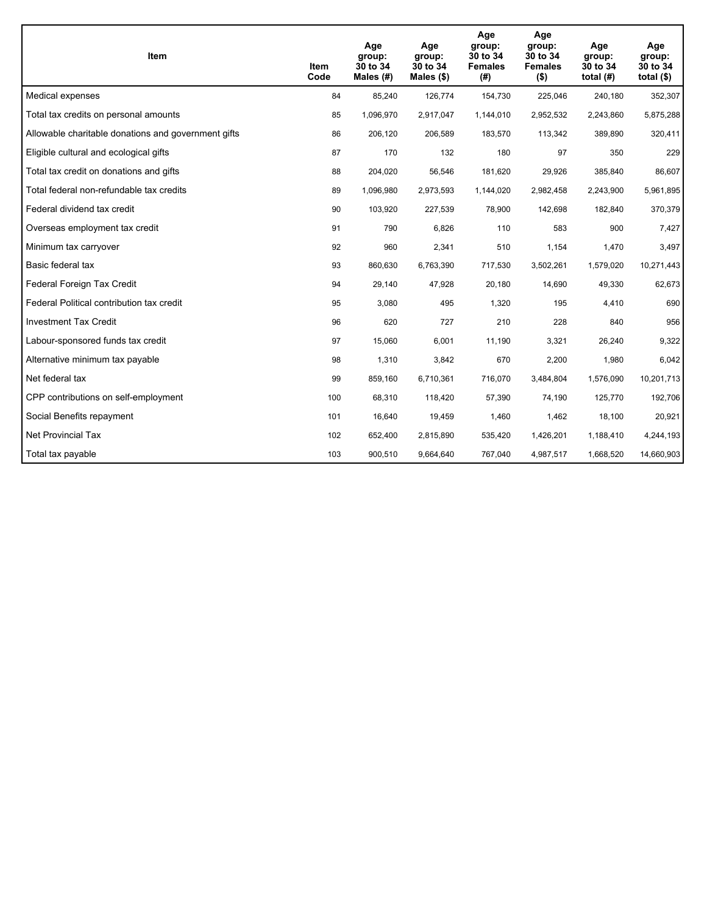| Item                                                | Item<br>Code | Age<br>group:<br>30 to 34<br>Males $(H)$ | Age<br>group:<br>30 to 34<br>Males $(\$)$ | Age<br>group:<br>30 to 34<br><b>Females</b><br>(#) | Age<br>group:<br>30 to 34<br><b>Females</b><br>$($ \$) | Age<br>group:<br>30 to 34<br>total $(H)$ | Age<br>group:<br>30 to 34<br>total $($)$ |
|-----------------------------------------------------|--------------|------------------------------------------|-------------------------------------------|----------------------------------------------------|--------------------------------------------------------|------------------------------------------|------------------------------------------|
| Medical expenses                                    | 84           | 85,240                                   | 126,774                                   | 154,730                                            | 225,046                                                | 240,180                                  | 352,307                                  |
| Total tax credits on personal amounts               | 85           | 1,096,970                                | 2,917,047                                 | 1,144,010                                          | 2,952,532                                              | 2,243,860                                | 5,875,288                                |
| Allowable charitable donations and government gifts | 86           | 206,120                                  | 206,589                                   | 183,570                                            | 113,342                                                | 389,890                                  | 320,411                                  |
| Eligible cultural and ecological gifts              | 87           | 170                                      | 132                                       | 180                                                | 97                                                     | 350                                      | 229                                      |
| Total tax credit on donations and gifts             | 88           | 204,020                                  | 56,546                                    | 181,620                                            | 29,926                                                 | 385,840                                  | 86,607                                   |
| Total federal non-refundable tax credits            | 89           | 1,096,980                                | 2,973,593                                 | 1,144,020                                          | 2,982,458                                              | 2,243,900                                | 5,961,895                                |
| Federal dividend tax credit                         | 90           | 103,920                                  | 227,539                                   | 78,900                                             | 142,698                                                | 182,840                                  | 370,379                                  |
| Overseas employment tax credit                      | 91           | 790                                      | 6,826                                     | 110                                                | 583                                                    | 900                                      | 7,427                                    |
| Minimum tax carryover                               | 92           | 960                                      | 2,341                                     | 510                                                | 1,154                                                  | 1,470                                    | 3,497                                    |
| Basic federal tax                                   | 93           | 860,630                                  | 6,763,390                                 | 717.530                                            | 3,502,261                                              | 1,579,020                                | 10,271,443                               |
| Federal Foreign Tax Credit                          | 94           | 29,140                                   | 47,928                                    | 20,180                                             | 14,690                                                 | 49,330                                   | 62,673                                   |
| Federal Political contribution tax credit           | 95           | 3,080                                    | 495                                       | 1,320                                              | 195                                                    | 4,410                                    | 690                                      |
| <b>Investment Tax Credit</b>                        | 96           | 620                                      | 727                                       | 210                                                | 228                                                    | 840                                      | 956                                      |
| Labour-sponsored funds tax credit                   | 97           | 15,060                                   | 6,001                                     | 11,190                                             | 3,321                                                  | 26,240                                   | 9,322                                    |
| Alternative minimum tax payable                     | 98           | 1,310                                    | 3,842                                     | 670                                                | 2,200                                                  | 1,980                                    | 6,042                                    |
| Net federal tax                                     | 99           | 859,160                                  | 6,710,361                                 | 716,070                                            | 3,484,804                                              | 1,576,090                                | 10,201,713                               |
| CPP contributions on self-employment                | 100          | 68,310                                   | 118,420                                   | 57,390                                             | 74,190                                                 | 125,770                                  | 192,706                                  |
| Social Benefits repayment                           | 101          | 16,640                                   | 19,459                                    | 1,460                                              | 1,462                                                  | 18,100                                   | 20,921                                   |
| <b>Net Provincial Tax</b>                           | 102          | 652,400                                  | 2,815,890                                 | 535,420                                            | 1,426,201                                              | 1,188,410                                | 4,244,193                                |
| Total tax payable                                   | 103          | 900,510                                  | 9,664,640                                 | 767,040                                            | 4,987,517                                              | 1,668,520                                | 14,660,903                               |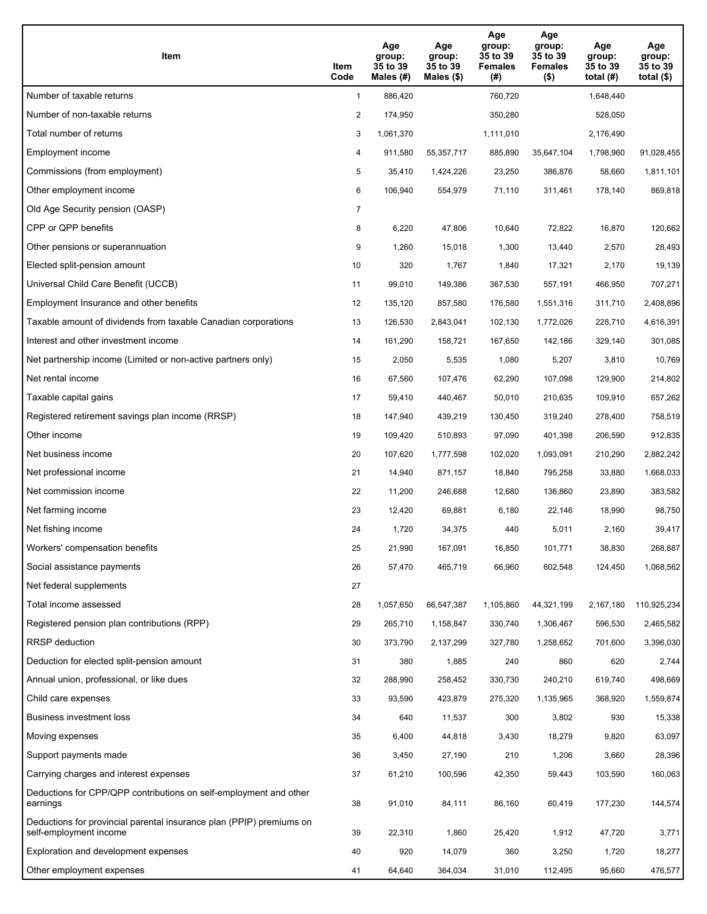| Item                                                                                           | Item<br>Code   | Age<br>group:<br>35 to 39<br>Males (#) | Age<br>group:<br>35 to 39<br>Males $(\$)$ | Age<br>group:<br>35 to 39<br><b>Females</b><br>(# ) | Age<br>group:<br>35 to 39<br><b>Females</b><br>$($ \$) | Age<br>group:<br>35 to 39<br>total $(H)$ | Age<br>group:<br>35 to 39<br>total $($)$ |
|------------------------------------------------------------------------------------------------|----------------|----------------------------------------|-------------------------------------------|-----------------------------------------------------|--------------------------------------------------------|------------------------------------------|------------------------------------------|
| Number of taxable returns                                                                      | $\mathbf{1}$   | 886,420                                |                                           | 760,720                                             |                                                        | 1.648.440                                |                                          |
| Number of non-taxable returns                                                                  | 2              | 174,950                                |                                           | 350,280                                             |                                                        | 528,050                                  |                                          |
| Total number of returns                                                                        | 3              | 1,061,370                              |                                           | 1,111,010                                           |                                                        | 2,176,490                                |                                          |
| Employment income                                                                              | 4              | 911,580                                | 55,357,717                                | 885,890                                             | 35,647,104                                             | 1,798,960                                | 91,028,455                               |
| Commissions (from employment)                                                                  | 5              | 35,410                                 | 1,424,226                                 | 23,250                                              | 386,876                                                | 58,660                                   | 1,811,101                                |
| Other employment income                                                                        | 6              | 106,940                                | 554,979                                   | 71,110                                              | 311,461                                                | 178,140                                  | 869,818                                  |
| Old Age Security pension (OASP)                                                                | $\overline{7}$ |                                        |                                           |                                                     |                                                        |                                          |                                          |
| CPP or QPP benefits                                                                            | 8              | 6,220                                  | 47,806                                    | 10,640                                              | 72,822                                                 | 16,870                                   | 120,662                                  |
| Other pensions or superannuation                                                               | 9              | 1,260                                  | 15,018                                    | 1,300                                               | 13,440                                                 | 2,570                                    | 28,493                                   |
| Elected split-pension amount                                                                   | 10             | 320                                    | 1,767                                     | 1,840                                               | 17,321                                                 | 2,170                                    | 19,139                                   |
| Universal Child Care Benefit (UCCB)                                                            | 11             | 99,010                                 | 149,386                                   | 367,530                                             | 557,191                                                | 466,950                                  | 707,271                                  |
| Employment Insurance and other benefits                                                        | 12             | 135,120                                | 857,580                                   | 176,580                                             | 1,551,316                                              | 311,710                                  | 2,408,896                                |
| Taxable amount of dividends from taxable Canadian corporations                                 | 13             | 126,530                                | 2,843,041                                 | 102,130                                             | 1,772,026                                              | 228,710                                  | 4,616,391                                |
| Interest and other investment income                                                           | 14             | 161,290                                | 158,721                                   | 167,650                                             | 142,186                                                | 329,140                                  | 301,085                                  |
| Net partnership income (Limited or non-active partners only)                                   | 15             | 2,050                                  | 5,535                                     | 1,080                                               | 5,207                                                  | 3,810                                    | 10,769                                   |
| Net rental income                                                                              | 16             | 67,560                                 | 107,476                                   | 62,290                                              | 107,098                                                | 129,900                                  | 214,802                                  |
| Taxable capital gains                                                                          | 17             | 59,410                                 | 440,467                                   | 50,010                                              | 210,635                                                | 109,910                                  | 657,262                                  |
| Registered retirement savings plan income (RRSP)                                               | 18             | 147,940                                | 439,219                                   | 130,450                                             | 319,240                                                | 278,400                                  | 758,519                                  |
| Other income                                                                                   | 19             | 109,420                                | 510,893                                   | 97,090                                              | 401,398                                                | 206,590                                  | 912,835                                  |
| Net business income                                                                            | 20             | 107,620                                | 1,777,598                                 | 102,020                                             | 1,093,091                                              | 210,290                                  | 2,882,242                                |
| Net professional income                                                                        | 21             | 14,940                                 | 871,157                                   | 18,840                                              | 795,258                                                | 33,880                                   | 1,668,033                                |
| Net commission income                                                                          | 22             | 11,200                                 | 246,688                                   | 12,680                                              | 136,860                                                | 23,890                                   | 383,582                                  |
| Net farming income                                                                             | 23             | 12,420                                 | 69,881                                    | 6,180                                               | 22,146                                                 | 18,990                                   | 98,750                                   |
| Net fishing income                                                                             | 24             | 1,720                                  | 34,375                                    | 440                                                 | 5,011                                                  | 2,160                                    | 39,417                                   |
| Workers' compensation benefits                                                                 | 25             | 21,990                                 | 167,091                                   | 16,850                                              | 101,771                                                | 38,830                                   | 268,887                                  |
| Social assistance payments                                                                     | 26             | 57,470                                 | 465,719                                   | 66,960                                              | 602,548                                                | 124,450                                  | 1,068,562                                |
| Net federal supplements                                                                        | 27             |                                        |                                           |                                                     |                                                        |                                          |                                          |
| Total income assessed                                                                          | 28             | 1,057,650                              | 66,547,387                                | 1,105,860                                           | 44,321,199                                             | 2,167,180                                | 110,925,234                              |
| Registered pension plan contributions (RPP)                                                    | 29             | 265,710                                | 1,158,847                                 | 330,740                                             | 1,306,467                                              | 596,530                                  | 2,465,582                                |
| RRSP deduction                                                                                 | 30             | 373,790                                | 2,137,299                                 | 327,780                                             | 1,258,652                                              | 701,600                                  | 3,396,030                                |
| Deduction for elected split-pension amount                                                     | 31             | 380                                    | 1,885                                     | 240                                                 | 860                                                    | 620                                      | 2,744                                    |
| Annual union, professional, or like dues                                                       | 32             | 288,990                                | 258,452                                   | 330,730                                             | 240,210                                                | 619,740                                  | 498,669                                  |
| Child care expenses                                                                            | 33             | 93,590                                 | 423,879                                   | 275,320                                             | 1,135,965                                              | 368,920                                  | 1,559,874                                |
| <b>Business investment loss</b>                                                                | 34             | 640                                    | 11,537                                    | 300                                                 | 3,802                                                  | 930                                      | 15,338                                   |
| Moving expenses                                                                                | 35             | 6,400                                  | 44,818                                    | 3,430                                               | 18,279                                                 | 9,820                                    | 63,097                                   |
| Support payments made                                                                          | 36             | 3,450                                  | 27,190                                    | 210                                                 | 1,206                                                  | 3,660                                    | 28,396                                   |
| Carrying charges and interest expenses                                                         | 37             | 61,210                                 | 100,596                                   | 42,350                                              | 59,443                                                 | 103,590                                  | 160,063                                  |
| Deductions for CPP/QPP contributions on self-employment and other<br>earnings                  | 38             | 91,010                                 | 84,111                                    | 86,160                                              | 60,419                                                 | 177,230                                  | 144,574                                  |
| Deductions for provincial parental insurance plan (PPIP) premiums on<br>self-employment income | 39             | 22,310                                 | 1,860                                     | 25,420                                              | 1,912                                                  | 47,720                                   | 3,771                                    |
| Exploration and development expenses                                                           | 40             | 920                                    | 14,079                                    | 360                                                 | 3,250                                                  | 1,720                                    | 18,277                                   |
| Other employment expenses                                                                      | 41             | 64,640                                 | 364,034                                   | 31,010                                              | 112,495                                                | 95,660                                   | 476,577                                  |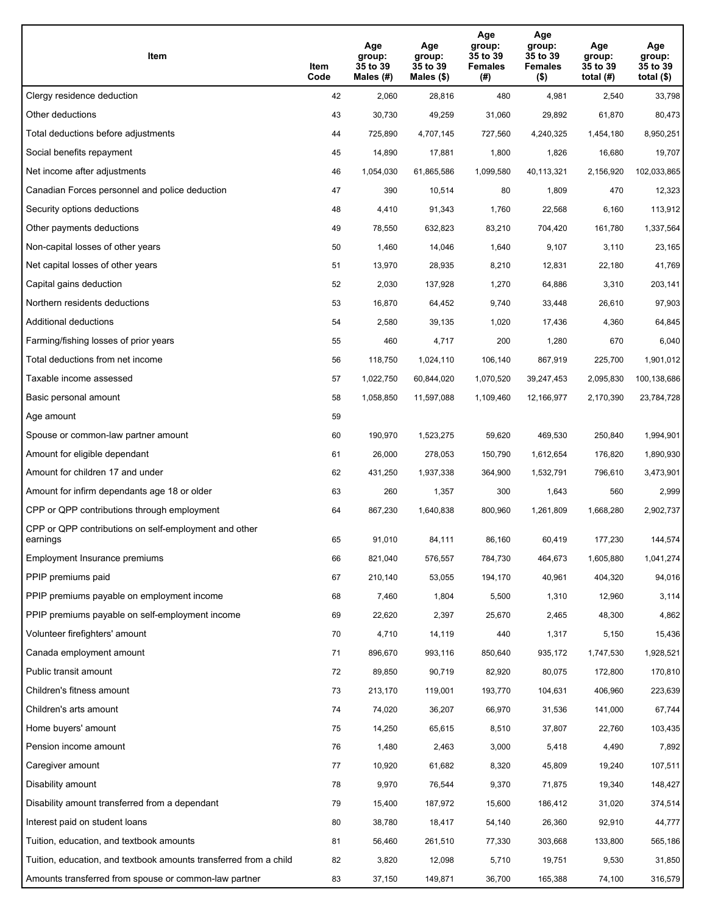| Item                                                              | Item<br>Code | Age<br>group:<br>35 to 39<br>Males (#) | Age<br>group:<br>35 to 39<br>Males (\$) | Age<br>group:<br>35 to 39<br><b>Females</b><br>(#) | Age<br>group:<br>35 to 39<br><b>Females</b><br>$($ \$) | Age<br>group:<br>35 to 39<br>total $(H)$ | Age<br>group:<br>35 to 39<br>total $($)$ |
|-------------------------------------------------------------------|--------------|----------------------------------------|-----------------------------------------|----------------------------------------------------|--------------------------------------------------------|------------------------------------------|------------------------------------------|
| Clergy residence deduction                                        | 42           | 2,060                                  | 28,816                                  | 480                                                | 4,981                                                  | 2,540                                    | 33,798                                   |
| Other deductions                                                  | 43           | 30,730                                 | 49,259                                  | 31,060                                             | 29,892                                                 | 61,870                                   | 80,473                                   |
| Total deductions before adjustments                               | 44           | 725,890                                | 4,707,145                               | 727,560                                            | 4,240,325                                              | 1,454,180                                | 8,950,251                                |
| Social benefits repayment                                         | 45           | 14,890                                 | 17,881                                  | 1,800                                              | 1,826                                                  | 16,680                                   | 19,707                                   |
| Net income after adjustments                                      | 46           | 1,054,030                              | 61,865,586                              | 1,099,580                                          | 40,113,321                                             | 2,156,920                                | 102,033,865                              |
| Canadian Forces personnel and police deduction                    | 47           | 390                                    | 10,514                                  | 80                                                 | 1,809                                                  | 470                                      | 12,323                                   |
| Security options deductions                                       | 48           | 4,410                                  | 91,343                                  | 1,760                                              | 22,568                                                 | 6,160                                    | 113,912                                  |
| Other payments deductions                                         | 49           | 78,550                                 | 632,823                                 | 83,210                                             | 704,420                                                | 161,780                                  | 1,337,564                                |
| Non-capital losses of other years                                 | 50           | 1,460                                  | 14,046                                  | 1,640                                              | 9,107                                                  | 3,110                                    | 23,165                                   |
| Net capital losses of other years                                 | 51           | 13,970                                 | 28,935                                  | 8,210                                              | 12,831                                                 | 22,180                                   | 41,769                                   |
| Capital gains deduction                                           | 52           | 2,030                                  | 137,928                                 | 1,270                                              | 64,886                                                 | 3,310                                    | 203,141                                  |
| Northern residents deductions                                     | 53           | 16,870                                 | 64,452                                  | 9,740                                              | 33,448                                                 | 26,610                                   | 97,903                                   |
| <b>Additional deductions</b>                                      | 54           | 2,580                                  | 39,135                                  | 1,020                                              | 17,436                                                 | 4,360                                    | 64,845                                   |
| Farming/fishing losses of prior years                             | 55           | 460                                    | 4,717                                   | 200                                                | 1,280                                                  | 670                                      | 6,040                                    |
| Total deductions from net income                                  | 56           | 118,750                                | 1,024,110                               | 106,140                                            | 867,919                                                | 225,700                                  | 1,901,012                                |
| Taxable income assessed                                           | 57           | 1,022,750                              | 60,844,020                              | 1,070,520                                          | 39,247,453                                             | 2,095,830                                | 100,138,686                              |
| Basic personal amount                                             | 58           | 1,058,850                              | 11,597,088                              | 1,109,460                                          | 12,166,977                                             | 2,170,390                                | 23,784,728                               |
| Age amount                                                        | 59           |                                        |                                         |                                                    |                                                        |                                          |                                          |
| Spouse or common-law partner amount                               | 60           | 190,970                                | 1,523,275                               | 59,620                                             | 469,530                                                | 250,840                                  | 1,994,901                                |
| Amount for eligible dependant                                     | 61           | 26,000                                 | 278,053                                 | 150,790                                            | 1,612,654                                              | 176,820                                  | 1,890,930                                |
| Amount for children 17 and under                                  | 62           | 431,250                                | 1,937,338                               | 364,900                                            | 1,532,791                                              | 796,610                                  | 3,473,901                                |
| Amount for infirm dependants age 18 or older                      | 63           | 260                                    | 1,357                                   | 300                                                | 1,643                                                  | 560                                      | 2,999                                    |
| CPP or QPP contributions through employment                       | 64           | 867,230                                | 1,640,838                               | 800,960                                            | 1,261,809                                              | 1,668,280                                | 2,902,737                                |
| CPP or QPP contributions on self-employment and other<br>earnings | 65           | 91,010                                 | 84,111                                  | 86,160                                             | 60,419                                                 | 177,230                                  | 144,574                                  |
| Employment Insurance premiums                                     | 66           | 821,040                                | 576,557                                 | 784,730                                            | 464,673                                                | 1,605,880                                | 1,041,274                                |
| PPIP premiums paid                                                | 67           | 210,140                                | 53,055                                  | 194,170                                            | 40,961                                                 | 404,320                                  | 94,016                                   |
| PPIP premiums payable on employment income                        | 68           | 7,460                                  | 1,804                                   | 5,500                                              | 1,310                                                  | 12,960                                   | 3,114                                    |
| PPIP premiums payable on self-employment income                   | 69           | 22,620                                 | 2,397                                   | 25,670                                             | 2,465                                                  | 48,300                                   | 4,862                                    |
| Volunteer firefighters' amount                                    | 70           | 4,710                                  | 14,119                                  | 440                                                | 1,317                                                  | 5,150                                    | 15,436                                   |
| Canada employment amount                                          | 71           | 896,670                                | 993,116                                 | 850,640                                            | 935,172                                                | 1,747,530                                | 1,928,521                                |
| Public transit amount                                             | 72           | 89,850                                 | 90,719                                  | 82,920                                             | 80,075                                                 | 172,800                                  | 170,810                                  |
| Children's fitness amount                                         | 73           | 213,170                                | 119,001                                 | 193,770                                            | 104,631                                                | 406,960                                  | 223,639                                  |
| Children's arts amount                                            | 74           | 74,020                                 | 36,207                                  | 66,970                                             | 31,536                                                 | 141,000                                  | 67,744                                   |
| Home buyers' amount                                               | 75           | 14,250                                 | 65,615                                  | 8,510                                              | 37,807                                                 | 22,760                                   | 103,435                                  |
| Pension income amount                                             | 76           | 1,480                                  | 2,463                                   | 3,000                                              | 5,418                                                  | 4,490                                    | 7,892                                    |
| Caregiver amount                                                  | 77           | 10,920                                 | 61,682                                  | 8,320                                              | 45,809                                                 | 19,240                                   | 107,511                                  |
| Disability amount                                                 | 78           | 9,970                                  | 76,544                                  | 9,370                                              | 71,875                                                 | 19,340                                   | 148,427                                  |
| Disability amount transferred from a dependant                    | 79           | 15,400                                 | 187,972                                 | 15,600                                             | 186,412                                                | 31,020                                   | 374,514                                  |
| Interest paid on student loans                                    | 80           | 38,780                                 | 18,417                                  | 54,140                                             | 26,360                                                 | 92,910                                   | 44,777                                   |
| Tuition, education, and textbook amounts                          | 81           | 56,460                                 | 261,510                                 | 77,330                                             | 303,668                                                | 133,800                                  | 565,186                                  |
| Tuition, education, and textbook amounts transferred from a child | 82           | 3,820                                  | 12,098                                  | 5,710                                              | 19,751                                                 | 9,530                                    | 31,850                                   |
| Amounts transferred from spouse or common-law partner             | 83           | 37,150                                 | 149,871                                 | 36,700                                             | 165,388                                                | 74,100                                   | 316,579                                  |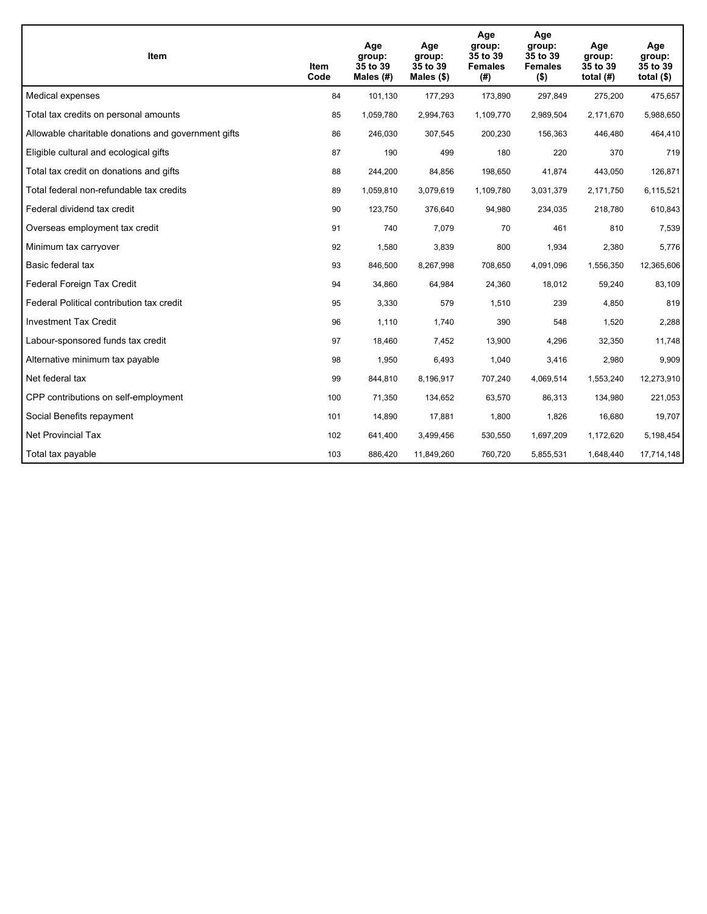| <b>Item</b>                                         | Item<br>Code | Age<br>group:<br>35 to 39<br>Males $(H)$ | Age<br>group:<br>35 to 39<br>Males $(\$)$ | Age<br>group:<br>35 to 39<br><b>Females</b><br>(#) | Age<br>group:<br>35 to 39<br><b>Females</b><br>$($ \$) | Age<br>group:<br>35 to 39<br>total $(H)$ | Age<br>group:<br>35 to 39<br>total $($)$ |
|-----------------------------------------------------|--------------|------------------------------------------|-------------------------------------------|----------------------------------------------------|--------------------------------------------------------|------------------------------------------|------------------------------------------|
| Medical expenses                                    | 84           | 101,130                                  | 177,293                                   | 173,890                                            | 297,849                                                | 275,200                                  | 475,657                                  |
| Total tax credits on personal amounts               | 85           | 1,059,780                                | 2,994,763                                 | 1,109,770                                          | 2,989,504                                              | 2,171,670                                | 5,988,650                                |
| Allowable charitable donations and government gifts | 86           | 246,030                                  | 307,545                                   | 200,230                                            | 156,363                                                | 446,480                                  | 464,410                                  |
| Eligible cultural and ecological gifts              | 87           | 190                                      | 499                                       | 180                                                | 220                                                    | 370                                      | 719                                      |
| Total tax credit on donations and gifts             | 88           | 244,200                                  | 84,856                                    | 198,650                                            | 41,874                                                 | 443,050                                  | 126,871                                  |
| Total federal non-refundable tax credits            | 89           | 1,059,810                                | 3,079,619                                 | 1,109,780                                          | 3,031,379                                              | 2,171,750                                | 6,115,521                                |
| Federal dividend tax credit                         | 90           | 123,750                                  | 376,640                                   | 94,980                                             | 234,035                                                | 218,780                                  | 610,843                                  |
| Overseas employment tax credit                      | 91           | 740                                      | 7,079                                     | 70                                                 | 461                                                    | 810                                      | 7,539                                    |
| Minimum tax carryover                               | 92           | 1,580                                    | 3,839                                     | 800                                                | 1,934                                                  | 2,380                                    | 5,776                                    |
| Basic federal tax                                   | 93           | 846,500                                  | 8,267,998                                 | 708,650                                            | 4,091,096                                              | 1,556,350                                | 12,365,606                               |
| Federal Foreign Tax Credit                          | 94           | 34,860                                   | 64,984                                    | 24,360                                             | 18,012                                                 | 59,240                                   | 83,109                                   |
| Federal Political contribution tax credit           | 95           | 3,330                                    | 579                                       | 1,510                                              | 239                                                    | 4,850                                    | 819                                      |
| <b>Investment Tax Credit</b>                        | 96           | 1,110                                    | 1,740                                     | 390                                                | 548                                                    | 1,520                                    | 2,288                                    |
| Labour-sponsored funds tax credit                   | 97           | 18,460                                   | 7,452                                     | 13,900                                             | 4,296                                                  | 32,350                                   | 11,748                                   |
| Alternative minimum tax payable                     | 98           | 1,950                                    | 6,493                                     | 1,040                                              | 3,416                                                  | 2,980                                    | 9,909                                    |
| Net federal tax                                     | 99           | 844,810                                  | 8,196,917                                 | 707,240                                            | 4,069,514                                              | 1,553,240                                | 12,273,910                               |
| CPP contributions on self-employment                | 100          | 71,350                                   | 134,652                                   | 63,570                                             | 86,313                                                 | 134,980                                  | 221,053                                  |
| Social Benefits repayment                           | 101          | 14,890                                   | 17,881                                    | 1,800                                              | 1,826                                                  | 16,680                                   | 19,707                                   |
| <b>Net Provincial Tax</b>                           | 102          | 641,400                                  | 3,499,456                                 | 530,550                                            | 1,697,209                                              | 1,172,620                                | 5.198,454                                |
| Total tax payable                                   | 103          | 886,420                                  | 11,849,260                                | 760,720                                            | 5,855,531                                              | 1,648,440                                | 17,714,148                               |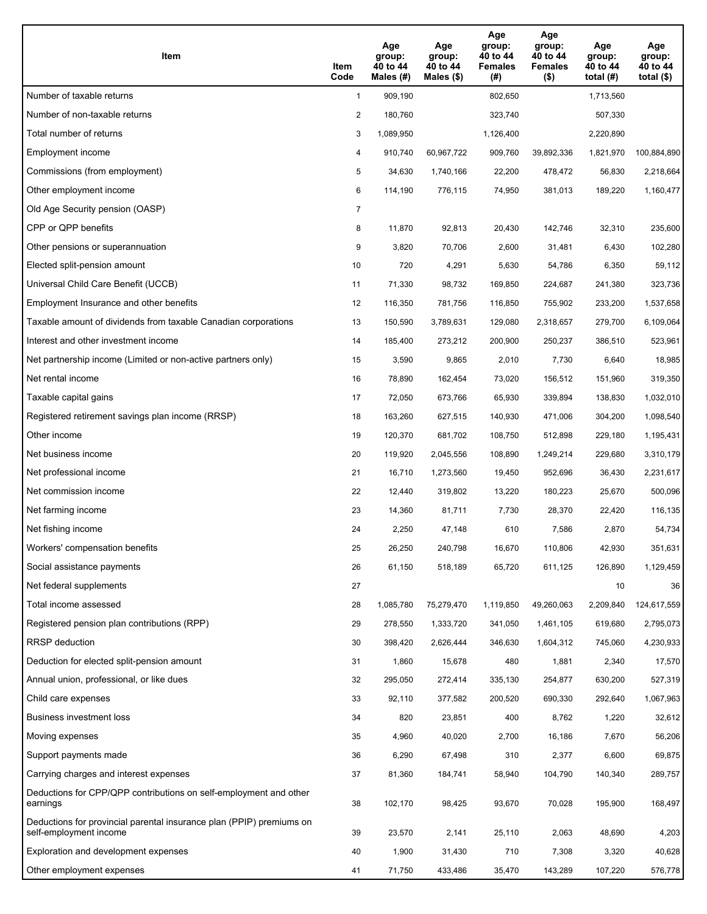| Item                                                                                           | Item<br>Code   | Age<br>group:<br>40 to 44<br>Males (#) | Age<br>group:<br>40 to 44<br>Males $(\$)$ | Age<br>group:<br>40 to 44<br><b>Females</b><br>(#) | Age<br>group:<br>40 to 44<br><b>Females</b><br>$($ \$) | Age<br>group:<br>40 to 44<br>total $(H)$ | Age<br>group:<br>40 to 44<br>total $($)$ |
|------------------------------------------------------------------------------------------------|----------------|----------------------------------------|-------------------------------------------|----------------------------------------------------|--------------------------------------------------------|------------------------------------------|------------------------------------------|
| Number of taxable returns                                                                      | $\mathbf{1}$   | 909.190                                |                                           | 802,650                                            |                                                        | 1,713,560                                |                                          |
| Number of non-taxable returns                                                                  | 2              | 180,760                                |                                           | 323,740                                            |                                                        | 507,330                                  |                                          |
| Total number of returns                                                                        | 3              | 1,089,950                              |                                           | 1,126,400                                          |                                                        | 2,220,890                                |                                          |
| Employment income                                                                              | 4              | 910,740                                | 60,967,722                                | 909,760                                            | 39,892,336                                             | 1,821,970                                | 100,884,890                              |
| Commissions (from employment)                                                                  | 5              | 34,630                                 | 1,740,166                                 | 22,200                                             | 478,472                                                | 56,830                                   | 2,218,664                                |
| Other employment income                                                                        | 6              | 114,190                                | 776,115                                   | 74,950                                             | 381,013                                                | 189,220                                  | 1,160,477                                |
| Old Age Security pension (OASP)                                                                | $\overline{7}$ |                                        |                                           |                                                    |                                                        |                                          |                                          |
| CPP or QPP benefits                                                                            | 8              | 11,870                                 | 92,813                                    | 20,430                                             | 142,746                                                | 32,310                                   | 235,600                                  |
| Other pensions or superannuation                                                               | 9              | 3,820                                  | 70,706                                    | 2,600                                              | 31,481                                                 | 6,430                                    | 102,280                                  |
| Elected split-pension amount                                                                   | 10             | 720                                    | 4,291                                     | 5,630                                              | 54,786                                                 | 6,350                                    | 59,112                                   |
| Universal Child Care Benefit (UCCB)                                                            | 11             | 71,330                                 | 98,732                                    | 169,850                                            | 224,687                                                | 241,380                                  | 323,736                                  |
| Employment Insurance and other benefits                                                        | 12             | 116,350                                | 781,756                                   | 116,850                                            | 755,902                                                | 233,200                                  | 1,537,658                                |
| Taxable amount of dividends from taxable Canadian corporations                                 | 13             | 150,590                                | 3,789,631                                 | 129,080                                            | 2,318,657                                              | 279,700                                  | 6,109,064                                |
| Interest and other investment income                                                           | 14             | 185,400                                | 273,212                                   | 200,900                                            | 250,237                                                | 386,510                                  | 523,961                                  |
| Net partnership income (Limited or non-active partners only)                                   | 15             | 3,590                                  | 9,865                                     | 2,010                                              | 7,730                                                  | 6,640                                    | 18,985                                   |
| Net rental income                                                                              | 16             | 78,890                                 | 162,454                                   | 73,020                                             | 156,512                                                | 151,960                                  | 319,350                                  |
| Taxable capital gains                                                                          | 17             | 72,050                                 | 673,766                                   | 65,930                                             | 339,894                                                | 138,830                                  | 1,032,010                                |
| Registered retirement savings plan income (RRSP)                                               | 18             | 163,260                                | 627,515                                   | 140,930                                            | 471,006                                                | 304,200                                  | 1,098,540                                |
| Other income                                                                                   | 19             | 120,370                                | 681,702                                   | 108,750                                            | 512,898                                                | 229,180                                  | 1,195,431                                |
| Net business income                                                                            | 20             | 119,920                                | 2,045,556                                 | 108,890                                            | 1,249,214                                              | 229,680                                  | 3,310,179                                |
| Net professional income                                                                        | 21             | 16,710                                 | 1,273,560                                 | 19,450                                             | 952,696                                                | 36,430                                   | 2,231,617                                |
| Net commission income                                                                          | 22             | 12,440                                 | 319,802                                   | 13,220                                             | 180,223                                                | 25,670                                   | 500,096                                  |
| Net farming income                                                                             | 23             | 14,360                                 | 81,711                                    | 7,730                                              | 28,370                                                 | 22,420                                   | 116,135                                  |
| Net fishing income                                                                             | 24             | 2,250                                  | 47,148                                    | 610                                                | 7,586                                                  | 2,870                                    | 54,734                                   |
| Workers' compensation benefits                                                                 | 25             | 26,250                                 | 240,798                                   | 16,670                                             | 110,806                                                | 42,930                                   | 351,631                                  |
| Social assistance payments                                                                     | 26             | 61,150                                 | 518,189                                   | 65,720                                             | 611,125                                                | 126,890                                  | 1,129,459                                |
| Net federal supplements                                                                        | 27             |                                        |                                           |                                                    |                                                        | 10                                       | 36                                       |
| Total income assessed                                                                          | 28             | 1,085,780                              | 75,279,470                                | 1,119,850                                          | 49,260,063                                             | 2,209,840                                | 124,617,559                              |
| Registered pension plan contributions (RPP)                                                    | 29             | 278,550                                | 1,333,720                                 | 341,050                                            | 1,461,105                                              | 619,680                                  | 2,795,073                                |
| RRSP deduction                                                                                 | 30             | 398,420                                | 2,626,444                                 | 346,630                                            | 1,604,312                                              | 745,060                                  | 4,230,933                                |
| Deduction for elected split-pension amount                                                     | 31             | 1,860                                  | 15,678                                    | 480                                                | 1,881                                                  | 2,340                                    | 17,570                                   |
| Annual union, professional, or like dues                                                       | 32             | 295,050                                | 272,414                                   | 335,130                                            | 254,877                                                | 630,200                                  | 527,319                                  |
| Child care expenses                                                                            | 33             | 92,110                                 | 377,582                                   | 200,520                                            | 690,330                                                | 292,640                                  | 1,067,963                                |
| <b>Business investment loss</b>                                                                | 34             | 820                                    | 23,851                                    | 400                                                | 8,762                                                  | 1,220                                    | 32,612                                   |
| Moving expenses                                                                                | 35             | 4,960                                  | 40,020                                    | 2,700                                              | 16,186                                                 | 7,670                                    | 56,206                                   |
| Support payments made                                                                          | 36             | 6,290                                  | 67,498                                    | 310                                                | 2,377                                                  | 6,600                                    | 69,875                                   |
| Carrying charges and interest expenses                                                         | 37             | 81,360                                 | 184,741                                   | 58,940                                             | 104,790                                                | 140,340                                  | 289,757                                  |
| Deductions for CPP/QPP contributions on self-employment and other<br>earnings                  | 38             | 102,170                                | 98,425                                    | 93,670                                             | 70,028                                                 | 195,900                                  | 168,497                                  |
| Deductions for provincial parental insurance plan (PPIP) premiums on<br>self-employment income | 39             | 23,570                                 | 2,141                                     | 25,110                                             | 2,063                                                  | 48,690                                   | 4,203                                    |
| Exploration and development expenses                                                           | 40             | 1,900                                  | 31,430                                    | 710                                                | 7,308                                                  | 3,320                                    | 40,628                                   |
| Other employment expenses                                                                      | 41             | 71,750                                 | 433,486                                   | 35,470                                             | 143,289                                                | 107,220                                  | 576,778                                  |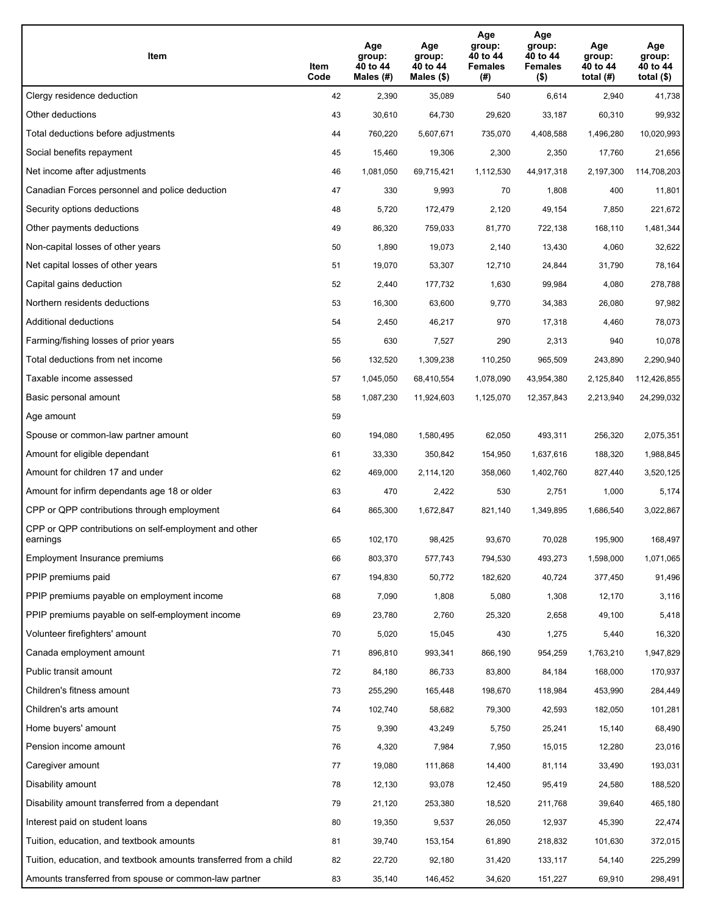| Item                                                              | Item<br>Code | Age<br>group:<br>40 to 44<br>Males (#) | Age<br>group:<br>40 to 44<br>Males (\$) | Age<br>group:<br>40 to 44<br><b>Females</b><br>(#) | Age<br>group:<br>40 to 44<br><b>Females</b><br>$($ \$) | Age<br>group:<br>40 to 44<br>total $(H)$ | Age<br>group:<br>40 to 44<br>total $($)$ |
|-------------------------------------------------------------------|--------------|----------------------------------------|-----------------------------------------|----------------------------------------------------|--------------------------------------------------------|------------------------------------------|------------------------------------------|
| Clergy residence deduction                                        | 42           | 2,390                                  | 35,089                                  | 540                                                | 6,614                                                  | 2,940                                    | 41,738                                   |
| Other deductions                                                  | 43           | 30,610                                 | 64,730                                  | 29,620                                             | 33,187                                                 | 60,310                                   | 99,932                                   |
| Total deductions before adjustments                               | 44           | 760,220                                | 5,607,671                               | 735,070                                            | 4,408,588                                              | 1,496,280                                | 10,020,993                               |
| Social benefits repayment                                         | 45           | 15,460                                 | 19,306                                  | 2,300                                              | 2,350                                                  | 17,760                                   | 21,656                                   |
| Net income after adjustments                                      | 46           | 1,081,050                              | 69,715,421                              | 1,112,530                                          | 44,917,318                                             | 2,197,300                                | 114,708,203                              |
| Canadian Forces personnel and police deduction                    | 47           | 330                                    | 9,993                                   | 70                                                 | 1,808                                                  | 400                                      | 11,801                                   |
| Security options deductions                                       | 48           | 5,720                                  | 172,479                                 | 2,120                                              | 49,154                                                 | 7,850                                    | 221,672                                  |
| Other payments deductions                                         | 49           | 86,320                                 | 759,033                                 | 81,770                                             | 722,138                                                | 168,110                                  | 1,481,344                                |
| Non-capital losses of other years                                 | 50           | 1,890                                  | 19,073                                  | 2,140                                              | 13,430                                                 | 4,060                                    | 32,622                                   |
| Net capital losses of other years                                 | 51           | 19,070                                 | 53,307                                  | 12,710                                             | 24,844                                                 | 31,790                                   | 78,164                                   |
| Capital gains deduction                                           | 52           | 2,440                                  | 177,732                                 | 1,630                                              | 99,984                                                 | 4,080                                    | 278,788                                  |
| Northern residents deductions                                     | 53           | 16,300                                 | 63,600                                  | 9,770                                              | 34,383                                                 | 26,080                                   | 97,982                                   |
| Additional deductions                                             | 54           | 2,450                                  | 46,217                                  | 970                                                | 17,318                                                 | 4,460                                    | 78,073                                   |
| Farming/fishing losses of prior years                             | 55           | 630                                    | 7,527                                   | 290                                                | 2,313                                                  | 940                                      | 10,078                                   |
| Total deductions from net income                                  | 56           | 132,520                                | 1,309,238                               | 110,250                                            | 965,509                                                | 243,890                                  | 2,290,940                                |
| Taxable income assessed                                           | 57           | 1,045,050                              | 68,410,554                              | 1,078,090                                          | 43,954,380                                             | 2,125,840                                | 112,426,855                              |
| Basic personal amount                                             | 58           | 1,087,230                              | 11,924,603                              | 1,125,070                                          | 12,357,843                                             | 2,213,940                                | 24,299,032                               |
| Age amount                                                        | 59           |                                        |                                         |                                                    |                                                        |                                          |                                          |
| Spouse or common-law partner amount                               | 60           | 194,080                                | 1,580,495                               | 62,050                                             | 493,311                                                | 256,320                                  | 2,075,351                                |
| Amount for eligible dependant                                     | 61           | 33,330                                 | 350,842                                 | 154,950                                            | 1,637,616                                              | 188,320                                  | 1,988,845                                |
| Amount for children 17 and under                                  | 62           | 469,000                                | 2,114,120                               | 358,060                                            | 1,402,760                                              | 827,440                                  | 3,520,125                                |
| Amount for infirm dependants age 18 or older                      | 63           | 470                                    | 2,422                                   | 530                                                | 2,751                                                  | 1,000                                    | 5,174                                    |
| CPP or QPP contributions through employment                       | 64           | 865,300                                | 1,672,847                               | 821,140                                            | 1,349,895                                              | 1,686,540                                | 3,022,867                                |
| CPP or QPP contributions on self-employment and other<br>earnings | 65           | 102,170                                | 98,425                                  | 93,670                                             | 70,028                                                 | 195,900                                  | 168,497                                  |
| Employment Insurance premiums                                     | 66           | 803,370                                | 577,743                                 | 794,530                                            | 493,273                                                | 1,598,000                                | 1,071,065                                |
| PPIP premiums paid                                                | 67           | 194,830                                | 50,772                                  | 182,620                                            | 40,724                                                 | 377,450                                  | 91,496                                   |
| PPIP premiums payable on employment income                        | 68           | 7,090                                  | 1,808                                   | 5,080                                              | 1,308                                                  | 12,170                                   | 3,116                                    |
| PPIP premiums payable on self-employment income                   | 69           | 23,780                                 | 2,760                                   | 25,320                                             | 2,658                                                  | 49,100                                   | 5,418                                    |
| Volunteer firefighters' amount                                    | 70           | 5,020                                  | 15,045                                  | 430                                                | 1,275                                                  | 5,440                                    | 16,320                                   |
| Canada employment amount                                          | 71           | 896,810                                | 993,341                                 | 866,190                                            | 954,259                                                | 1,763,210                                | 1,947,829                                |
| Public transit amount                                             | 72           | 84,180                                 | 86,733                                  | 83,800                                             | 84,184                                                 | 168,000                                  | 170,937                                  |
| Children's fitness amount                                         | 73           | 255,290                                | 165,448                                 | 198,670                                            | 118,984                                                | 453,990                                  | 284,449                                  |
| Children's arts amount                                            | 74           | 102,740                                | 58,682                                  | 79,300                                             | 42,593                                                 | 182,050                                  | 101,281                                  |
| Home buyers' amount                                               | 75           | 9,390                                  | 43,249                                  | 5,750                                              | 25,241                                                 | 15,140                                   | 68,490                                   |
| Pension income amount                                             | 76           | 4,320                                  | 7,984                                   | 7,950                                              | 15,015                                                 | 12,280                                   | 23,016                                   |
| Caregiver amount                                                  | 77           | 19,080                                 | 111,868                                 | 14,400                                             | 81,114                                                 | 33,490                                   | 193,031                                  |
| Disability amount                                                 | 78           | 12,130                                 | 93,078                                  | 12,450                                             | 95,419                                                 | 24,580                                   | 188,520                                  |
| Disability amount transferred from a dependant                    | 79           | 21,120                                 | 253,380                                 | 18,520                                             | 211,768                                                | 39,640                                   | 465,180                                  |
| Interest paid on student loans                                    | 80           | 19,350                                 | 9,537                                   | 26,050                                             | 12,937                                                 | 45,390                                   | 22,474                                   |
| Tuition, education, and textbook amounts                          | 81           | 39,740                                 | 153,154                                 | 61,890                                             | 218,832                                                | 101,630                                  | 372,015                                  |
| Tuition, education, and textbook amounts transferred from a child | 82           | 22,720                                 | 92,180                                  | 31,420                                             | 133,117                                                | 54,140                                   | 225,299                                  |
| Amounts transferred from spouse or common-law partner             | 83           | 35,140                                 | 146,452                                 | 34,620                                             | 151,227                                                | 69,910                                   | 298,491                                  |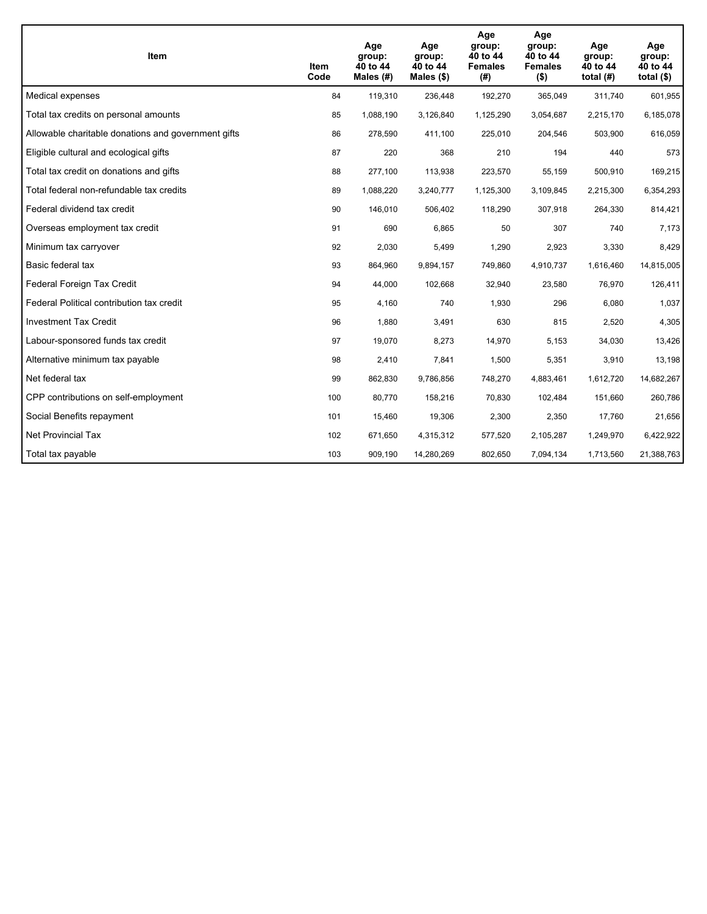| Item                                                | Item<br>Code | Age<br>group:<br>40 to 44<br>Males $(H)$ | Age<br>group:<br>40 to 44<br>Males $(\$)$ | Age<br>group:<br>40 to 44<br><b>Females</b><br>(#) | Age<br>group:<br>40 to 44<br><b>Females</b><br>$($ \$) | Age<br>group:<br>40 to 44<br>total $(H)$ | Age<br>group:<br>40 to 44<br>total $($)$ |
|-----------------------------------------------------|--------------|------------------------------------------|-------------------------------------------|----------------------------------------------------|--------------------------------------------------------|------------------------------------------|------------------------------------------|
| Medical expenses                                    | 84           | 119,310                                  | 236,448                                   | 192,270                                            | 365,049                                                | 311,740                                  | 601,955                                  |
| Total tax credits on personal amounts               | 85           | 1,088,190                                | 3,126,840                                 | 1,125,290                                          | 3,054,687                                              | 2,215,170                                | 6,185,078                                |
| Allowable charitable donations and government gifts | 86           | 278,590                                  | 411,100                                   | 225,010                                            | 204,546                                                | 503,900                                  | 616,059                                  |
| Eligible cultural and ecological gifts              | 87           | 220                                      | 368                                       | 210                                                | 194                                                    | 440                                      | 573                                      |
| Total tax credit on donations and gifts             | 88           | 277,100                                  | 113,938                                   | 223,570                                            | 55,159                                                 | 500,910                                  | 169,215                                  |
| Total federal non-refundable tax credits            | 89           | 1,088,220                                | 3,240,777                                 | 1,125,300                                          | 3,109,845                                              | 2,215,300                                | 6,354,293                                |
| Federal dividend tax credit                         | 90           | 146,010                                  | 506,402                                   | 118,290                                            | 307,918                                                | 264,330                                  | 814,421                                  |
| Overseas employment tax credit                      | 91           | 690                                      | 6,865                                     | 50                                                 | 307                                                    | 740                                      | 7,173                                    |
| Minimum tax carryover                               | 92           | 2,030                                    | 5,499                                     | 1,290                                              | 2,923                                                  | 3,330                                    | 8,429                                    |
| Basic federal tax                                   | 93           | 864,960                                  | 9,894,157                                 | 749.860                                            | 4,910,737                                              | 1,616,460                                | 14,815,005                               |
| Federal Foreign Tax Credit                          | 94           | 44,000                                   | 102,668                                   | 32,940                                             | 23,580                                                 | 76,970                                   | 126,411                                  |
| Federal Political contribution tax credit           | 95           | 4,160                                    | 740                                       | 1,930                                              | 296                                                    | 6,080                                    | 1,037                                    |
| <b>Investment Tax Credit</b>                        | 96           | 1,880                                    | 3,491                                     | 630                                                | 815                                                    | 2,520                                    | 4,305                                    |
| Labour-sponsored funds tax credit                   | 97           | 19,070                                   | 8,273                                     | 14,970                                             | 5,153                                                  | 34,030                                   | 13,426                                   |
| Alternative minimum tax payable                     | 98           | 2,410                                    | 7,841                                     | 1,500                                              | 5,351                                                  | 3,910                                    | 13,198                                   |
| Net federal tax                                     | 99           | 862,830                                  | 9,786,856                                 | 748,270                                            | 4,883,461                                              | 1,612,720                                | 14,682,267                               |
| CPP contributions on self-employment                | 100          | 80,770                                   | 158,216                                   | 70,830                                             | 102,484                                                | 151,660                                  | 260,786                                  |
| Social Benefits repayment                           | 101          | 15,460                                   | 19,306                                    | 2,300                                              | 2,350                                                  | 17,760                                   | 21,656                                   |
| <b>Net Provincial Tax</b>                           | 102          | 671,650                                  | 4,315,312                                 | 577,520                                            | 2,105,287                                              | 1,249,970                                | 6,422,922                                |
| Total tax payable                                   | 103          | 909,190                                  | 14,280,269                                | 802,650                                            | 7,094,134                                              | 1,713,560                                | 21,388,763                               |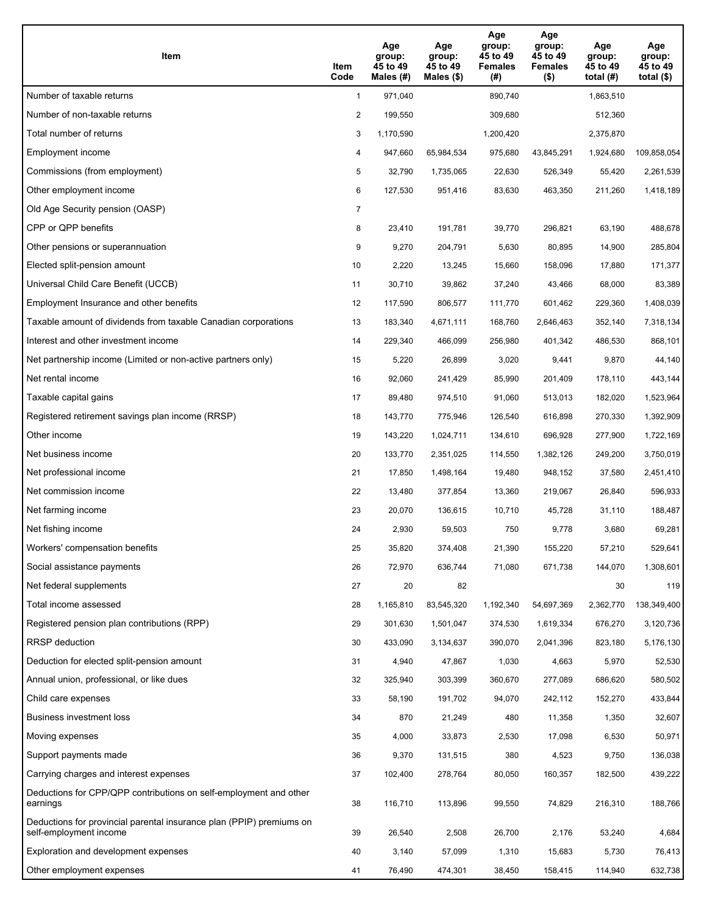| Item                                                                                           | Item<br>Code   | Age<br>group:<br>45 to 49<br>Males (#) | Age<br>group:<br>45 to 49<br>Males $(\$)$ | Age<br>group:<br>45 to 49<br><b>Females</b><br>(# ) | Age<br>group:<br>45 to 49<br><b>Females</b><br>$($ \$) | Age<br>group:<br>45 to 49<br>total $(H)$ | Age<br>group:<br>45 to 49<br>total $($)$ |
|------------------------------------------------------------------------------------------------|----------------|----------------------------------------|-------------------------------------------|-----------------------------------------------------|--------------------------------------------------------|------------------------------------------|------------------------------------------|
| Number of taxable returns                                                                      | $\mathbf{1}$   | 971,040                                |                                           | 890,740                                             |                                                        | 1,863,510                                |                                          |
| Number of non-taxable returns                                                                  | 2              | 199,550                                |                                           | 309,680                                             |                                                        | 512,360                                  |                                          |
| Total number of returns                                                                        | 3              | 1,170,590                              |                                           | 1,200,420                                           |                                                        | 2,375,870                                |                                          |
| Employment income                                                                              | 4              | 947,660                                | 65,984,534                                | 975,680                                             | 43,845,291                                             | 1,924,680                                | 109,858,054                              |
| Commissions (from employment)                                                                  | 5              | 32,790                                 | 1,735,065                                 | 22,630                                              | 526,349                                                | 55,420                                   | 2,261,539                                |
| Other employment income                                                                        | 6              | 127,530                                | 951,416                                   | 83,630                                              | 463,350                                                | 211,260                                  | 1,418,189                                |
| Old Age Security pension (OASP)                                                                | $\overline{7}$ |                                        |                                           |                                                     |                                                        |                                          |                                          |
| CPP or QPP benefits                                                                            | 8              | 23,410                                 | 191,781                                   | 39,770                                              | 296,821                                                | 63,190                                   | 488,678                                  |
| Other pensions or superannuation                                                               | 9              | 9,270                                  | 204,791                                   | 5,630                                               | 80,895                                                 | 14,900                                   | 285,804                                  |
| Elected split-pension amount                                                                   | 10             | 2,220                                  | 13,245                                    | 15,660                                              | 158,096                                                | 17,880                                   | 171,377                                  |
| Universal Child Care Benefit (UCCB)                                                            | 11             | 30,710                                 | 39,862                                    | 37,240                                              | 43,466                                                 | 68,000                                   | 83,389                                   |
| Employment Insurance and other benefits                                                        | 12             | 117,590                                | 806,577                                   | 111,770                                             | 601,462                                                | 229,360                                  | 1,408,039                                |
| Taxable amount of dividends from taxable Canadian corporations                                 | 13             | 183,340                                | 4,671,111                                 | 168,760                                             | 2,646,463                                              | 352,140                                  | 7,318,134                                |
| Interest and other investment income                                                           | 14             | 229,340                                | 466,099                                   | 256,980                                             | 401,342                                                | 486,530                                  | 868,101                                  |
| Net partnership income (Limited or non-active partners only)                                   | 15             | 5,220                                  | 26,899                                    | 3,020                                               | 9,441                                                  | 9,870                                    | 44,140                                   |
| Net rental income                                                                              | 16             | 92,060                                 | 241,429                                   | 85,990                                              | 201,409                                                | 178,110                                  | 443,144                                  |
| Taxable capital gains                                                                          | 17             | 89,480                                 | 974,510                                   | 91,060                                              | 513,013                                                | 182,020                                  | 1,523,964                                |
| Registered retirement savings plan income (RRSP)                                               | 18             | 143,770                                | 775,946                                   | 126,540                                             | 616,898                                                | 270,330                                  | 1,392,909                                |
| Other income                                                                                   | 19             | 143,220                                | 1,024,711                                 | 134,610                                             | 696,928                                                | 277,900                                  | 1,722,169                                |
| Net business income                                                                            | 20             | 133,770                                | 2,351,025                                 | 114,550                                             | 1,382,126                                              | 249,200                                  | 3,750,019                                |
| Net professional income                                                                        | 21             | 17,850                                 | 1,498,164                                 | 19,480                                              | 948,152                                                | 37,580                                   | 2,451,410                                |
| Net commission income                                                                          | 22             | 13,480                                 | 377,854                                   | 13,360                                              | 219,067                                                | 26,840                                   | 596,933                                  |
| Net farming income                                                                             | 23             | 20,070                                 | 136,615                                   | 10,710                                              | 45,728                                                 | 31,110                                   | 188,487                                  |
| Net fishing income                                                                             | 24             | 2,930                                  | 59,503                                    | 750                                                 | 9,778                                                  | 3,680                                    | 69,281                                   |
| Workers' compensation benefits                                                                 | 25             | 35,820                                 | 374,408                                   | 21,390                                              | 155,220                                                | 57,210                                   | 529,641                                  |
| Social assistance payments                                                                     | 26             | 72,970                                 | 636,744                                   | 71,080                                              | 671,738                                                | 144,070                                  | 1,308,601                                |
| Net federal supplements                                                                        | 27             | 20                                     | 82                                        |                                                     |                                                        | 30                                       | 119                                      |
| Total income assessed                                                                          | 28             | 1,165,810                              | 83,545,320                                | 1,192,340                                           | 54,697,369                                             | 2,362,770                                | 138,349,400                              |
| Registered pension plan contributions (RPP)                                                    | 29             | 301,630                                | 1,501,047                                 | 374,530                                             | 1,619,334                                              | 676,270                                  | 3,120,736                                |
| RRSP deduction                                                                                 | 30             | 433,090                                | 3,134,637                                 | 390,070                                             | 2,041,396                                              | 823,180                                  | 5,176,130                                |
| Deduction for elected split-pension amount                                                     | 31             | 4,940                                  | 47,867                                    | 1,030                                               | 4,663                                                  | 5,970                                    | 52,530                                   |
| Annual union, professional, or like dues                                                       | 32             | 325,940                                | 303,399                                   | 360,670                                             | 277,089                                                | 686,620                                  | 580,502                                  |
| Child care expenses                                                                            | 33             | 58,190                                 | 191,702                                   | 94,070                                              | 242,112                                                | 152,270                                  | 433,844                                  |
| <b>Business investment loss</b>                                                                | 34             | 870                                    | 21,249                                    | 480                                                 | 11,358                                                 | 1,350                                    | 32,607                                   |
| Moving expenses                                                                                | 35             | 4,000                                  | 33,873                                    | 2,530                                               | 17,098                                                 | 6,530                                    | 50,971                                   |
| Support payments made                                                                          | 36             | 9,370                                  | 131,515                                   | 380                                                 | 4,523                                                  | 9,750                                    | 136,038                                  |
| Carrying charges and interest expenses                                                         | 37             | 102,400                                | 278,764                                   | 80,050                                              | 160,357                                                | 182,500                                  | 439,222                                  |
| Deductions for CPP/QPP contributions on self-employment and other<br>earnings                  | 38             | 116,710                                | 113,896                                   | 99,550                                              | 74,829                                                 | 216,310                                  | 188,766                                  |
| Deductions for provincial parental insurance plan (PPIP) premiums on<br>self-employment income | 39             | 26,540                                 | 2,508                                     | 26,700                                              | 2,176                                                  | 53,240                                   | 4,684                                    |
| Exploration and development expenses                                                           | 40             | 3,140                                  | 57,099                                    | 1,310                                               | 15,683                                                 | 5,730                                    | 76,413                                   |
| Other employment expenses                                                                      | 41             | 76,490                                 | 474,301                                   | 38,450                                              | 158,415                                                | 114,940                                  | 632,738                                  |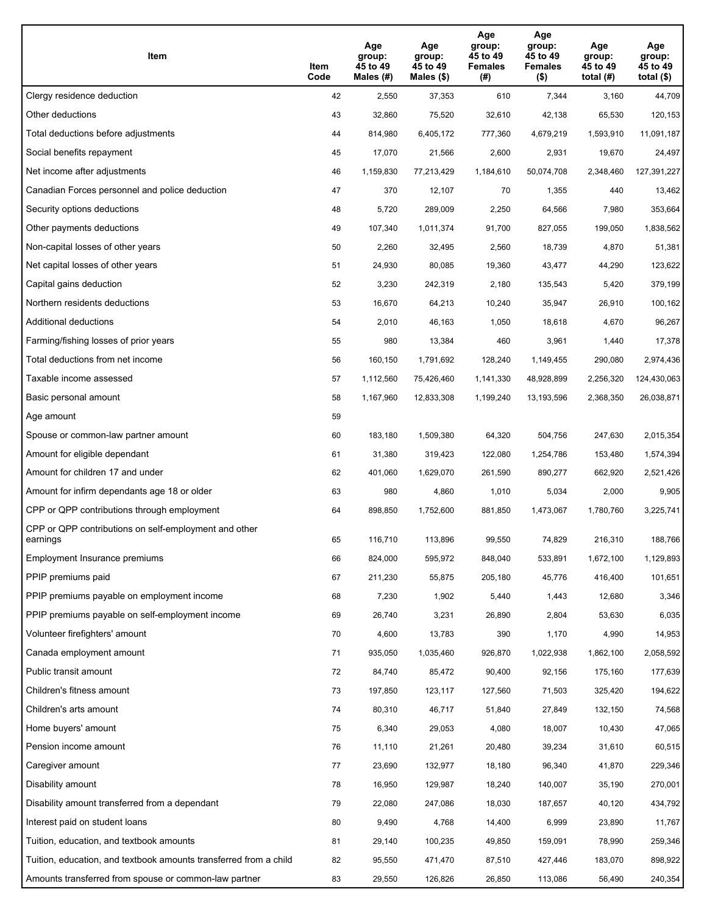| Item                                                              | Item<br>Code | Age<br>group:<br>45 to 49<br>Males (#) | Age<br>group:<br>45 to 49<br>Males (\$) | Age<br>group:<br>45 to 49<br><b>Females</b><br>(# ) | Age<br>group:<br>45 to 49<br><b>Females</b><br>$($ \$) | Age<br>group:<br>45 to 49<br>total $(#)$ | Age<br>group:<br>45 to 49<br>total $($)$ |
|-------------------------------------------------------------------|--------------|----------------------------------------|-----------------------------------------|-----------------------------------------------------|--------------------------------------------------------|------------------------------------------|------------------------------------------|
| Clergy residence deduction                                        | 42           | 2,550                                  | 37,353                                  | 610                                                 | 7,344                                                  | 3,160                                    | 44,709                                   |
| Other deductions                                                  | 43           | 32,860                                 | 75,520                                  | 32,610                                              | 42,138                                                 | 65,530                                   | 120,153                                  |
| Total deductions before adjustments                               | 44           | 814,980                                | 6,405,172                               | 777,360                                             | 4,679,219                                              | 1,593,910                                | 11,091,187                               |
| Social benefits repayment                                         | 45           | 17,070                                 | 21,566                                  | 2,600                                               | 2,931                                                  | 19,670                                   | 24,497                                   |
| Net income after adjustments                                      | 46           | 1,159,830                              | 77,213,429                              | 1,184,610                                           | 50,074,708                                             | 2,348,460                                | 127,391,227                              |
| Canadian Forces personnel and police deduction                    | 47           | 370                                    | 12,107                                  | 70                                                  | 1,355                                                  | 440                                      | 13,462                                   |
| Security options deductions                                       | 48           | 5,720                                  | 289,009                                 | 2,250                                               | 64,566                                                 | 7,980                                    | 353,664                                  |
| Other payments deductions                                         | 49           | 107,340                                | 1,011,374                               | 91,700                                              | 827,055                                                | 199,050                                  | 1,838,562                                |
| Non-capital losses of other years                                 | 50           | 2,260                                  | 32,495                                  | 2,560                                               | 18,739                                                 | 4,870                                    | 51,381                                   |
| Net capital losses of other years                                 | 51           | 24,930                                 | 80,085                                  | 19,360                                              | 43,477                                                 | 44,290                                   | 123,622                                  |
| Capital gains deduction                                           | 52           | 3,230                                  | 242,319                                 | 2,180                                               | 135,543                                                | 5,420                                    | 379,199                                  |
| Northern residents deductions                                     | 53           | 16,670                                 | 64,213                                  | 10,240                                              | 35,947                                                 | 26,910                                   | 100,162                                  |
| Additional deductions                                             | 54           | 2,010                                  | 46,163                                  | 1,050                                               | 18,618                                                 | 4,670                                    | 96,267                                   |
| Farming/fishing losses of prior years                             | 55           | 980                                    | 13,384                                  | 460                                                 | 3,961                                                  | 1,440                                    | 17,378                                   |
| Total deductions from net income                                  | 56           | 160,150                                | 1,791,692                               | 128,240                                             | 1,149,455                                              | 290,080                                  | 2,974,436                                |
| Taxable income assessed                                           | 57           | 1,112,560                              | 75,426,460                              | 1,141,330                                           | 48,928,899                                             | 2,256,320                                | 124,430,063                              |
| Basic personal amount                                             | 58           | 1,167,960                              | 12,833,308                              | 1,199,240                                           | 13,193,596                                             | 2,368,350                                | 26,038,871                               |
| Age amount                                                        | 59           |                                        |                                         |                                                     |                                                        |                                          |                                          |
| Spouse or common-law partner amount                               | 60           | 183,180                                | 1,509,380                               | 64,320                                              | 504,756                                                | 247,630                                  | 2,015,354                                |
| Amount for eligible dependant                                     | 61           | 31,380                                 | 319,423                                 | 122,080                                             | 1,254,786                                              | 153,480                                  | 1,574,394                                |
| Amount for children 17 and under                                  | 62           | 401,060                                | 1,629,070                               | 261,590                                             | 890,277                                                | 662,920                                  | 2,521,426                                |
| Amount for infirm dependants age 18 or older                      | 63           | 980                                    | 4,860                                   | 1,010                                               | 5,034                                                  | 2,000                                    | 9,905                                    |
| CPP or QPP contributions through employment                       | 64           | 898,850                                | 1,752,600                               | 881,850                                             | 1,473,067                                              | 1,780,760                                | 3,225,741                                |
| CPP or QPP contributions on self-employment and other<br>earnings | 65           | 116,710                                | 113,896                                 | 99,550                                              | 74,829                                                 | 216,310                                  | 188,766                                  |
| Employment Insurance premiums                                     | 66           | 824,000                                | 595,972                                 | 848,040                                             | 533,891                                                | 1,672,100                                | 1,129,893                                |
| PPIP premiums paid                                                | 67           | 211,230                                | 55,875                                  | 205,180                                             | 45,776                                                 | 416,400                                  | 101,651                                  |
| PPIP premiums payable on employment income                        | 68           | 7,230                                  | 1,902                                   | 5,440                                               | 1,443                                                  | 12,680                                   | 3,346                                    |
| PPIP premiums payable on self-employment income                   | 69           | 26,740                                 | 3,231                                   | 26,890                                              | 2,804                                                  | 53,630                                   | 6,035                                    |
| Volunteer firefighters' amount                                    | 70           | 4,600                                  | 13,783                                  | 390                                                 | 1,170                                                  | 4,990                                    | 14,953                                   |
| Canada employment amount                                          | 71           | 935,050                                | 1,035,460                               | 926,870                                             | 1,022,938                                              | 1,862,100                                | 2,058,592                                |
| Public transit amount                                             | 72           | 84,740                                 | 85,472                                  | 90,400                                              | 92,156                                                 | 175,160                                  | 177,639                                  |
| Children's fitness amount                                         | 73           | 197,850                                | 123,117                                 | 127,560                                             | 71,503                                                 | 325,420                                  | 194,622                                  |
| Children's arts amount                                            | 74           | 80,310                                 | 46,717                                  | 51,840                                              | 27,849                                                 | 132,150                                  | 74,568                                   |
| Home buyers' amount                                               | 75           | 6,340                                  | 29,053                                  | 4,080                                               | 18,007                                                 | 10,430                                   | 47,065                                   |
| Pension income amount                                             | 76           | 11,110                                 | 21,261                                  | 20,480                                              | 39,234                                                 | 31,610                                   | 60,515                                   |
| Caregiver amount                                                  | 77           | 23,690                                 | 132,977                                 | 18,180                                              | 96,340                                                 | 41,870                                   | 229,346                                  |
| Disability amount                                                 | 78           | 16,950                                 | 129,987                                 | 18,240                                              | 140,007                                                | 35,190                                   | 270,001                                  |
| Disability amount transferred from a dependant                    | 79           | 22,080                                 | 247,086                                 | 18,030                                              | 187,657                                                | 40,120                                   | 434,792                                  |
| Interest paid on student loans                                    | 80           | 9,490                                  | 4,768                                   | 14,400                                              | 6,999                                                  | 23,890                                   | 11,767                                   |
| Tuition, education, and textbook amounts                          | 81           | 29,140                                 | 100,235                                 | 49,850                                              | 159,091                                                | 78,990                                   | 259,346                                  |
| Tuition, education, and textbook amounts transferred from a child | 82           | 95,550                                 | 471,470                                 | 87,510                                              | 427,446                                                | 183,070                                  | 898,922                                  |
| Amounts transferred from spouse or common-law partner             | 83           | 29,550                                 | 126,826                                 | 26,850                                              | 113,086                                                | 56,490                                   | 240,354                                  |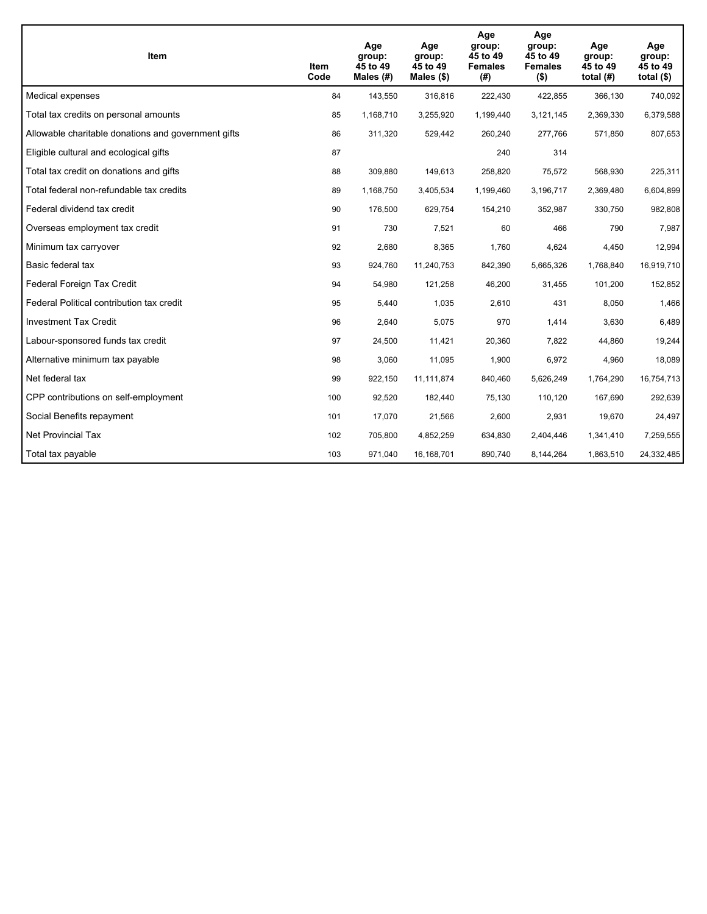| Item                                                | Item<br>Code | Age<br>group:<br>45 to 49<br>Males $(H)$ | Age<br>group:<br>45 to 49<br>Males $(\$)$ | Age<br>group:<br>45 to 49<br><b>Females</b><br>(#) | Age<br>group:<br>45 to 49<br><b>Females</b><br>$($ \$) | Age<br>group:<br>45 to 49<br>total $(H)$ | Age<br>group:<br>45 to 49<br>total $($)$ |
|-----------------------------------------------------|--------------|------------------------------------------|-------------------------------------------|----------------------------------------------------|--------------------------------------------------------|------------------------------------------|------------------------------------------|
| Medical expenses                                    | 84           | 143,550                                  | 316,816                                   | 222,430                                            | 422,855                                                | 366,130                                  | 740,092                                  |
| Total tax credits on personal amounts               | 85           | 1,168,710                                | 3,255,920                                 | 1,199,440                                          | 3,121,145                                              | 2,369,330                                | 6,379,588                                |
| Allowable charitable donations and government gifts | 86           | 311,320                                  | 529,442                                   | 260,240                                            | 277,766                                                | 571,850                                  | 807,653                                  |
| Eligible cultural and ecological gifts              | 87           |                                          |                                           | 240                                                | 314                                                    |                                          |                                          |
| Total tax credit on donations and gifts             | 88           | 309,880                                  | 149,613                                   | 258,820                                            | 75,572                                                 | 568,930                                  | 225,311                                  |
| Total federal non-refundable tax credits            | 89           | 1,168,750                                | 3,405,534                                 | 1,199,460                                          | 3,196,717                                              | 2,369,480                                | 6,604,899                                |
| Federal dividend tax credit                         | 90           | 176,500                                  | 629,754                                   | 154,210                                            | 352,987                                                | 330,750                                  | 982,808                                  |
| Overseas employment tax credit                      | 91           | 730                                      | 7,521                                     | 60                                                 | 466                                                    | 790                                      | 7,987                                    |
| Minimum tax carryover                               | 92           | 2,680                                    | 8,365                                     | 1.760                                              | 4,624                                                  | 4,450                                    | 12,994                                   |
| Basic federal tax                                   | 93           | 924,760                                  | 11,240,753                                | 842,390                                            | 5,665,326                                              | 1.768.840                                | 16,919,710                               |
| Federal Foreign Tax Credit                          | 94           | 54,980                                   | 121,258                                   | 46,200                                             | 31,455                                                 | 101,200                                  | 152,852                                  |
| Federal Political contribution tax credit           | 95           | 5,440                                    | 1,035                                     | 2,610                                              | 431                                                    | 8,050                                    | 1,466                                    |
| <b>Investment Tax Credit</b>                        | 96           | 2,640                                    | 5,075                                     | 970                                                | 1,414                                                  | 3,630                                    | 6,489                                    |
| Labour-sponsored funds tax credit                   | 97           | 24,500                                   | 11,421                                    | 20,360                                             | 7,822                                                  | 44,860                                   | 19,244                                   |
| Alternative minimum tax payable                     | 98           | 3,060                                    | 11,095                                    | 1,900                                              | 6,972                                                  | 4,960                                    | 18,089                                   |
| Net federal tax                                     | 99           | 922,150                                  | 11,111,874                                | 840,460                                            | 5,626,249                                              | 1,764,290                                | 16,754,713                               |
| CPP contributions on self-employment                | 100          | 92,520                                   | 182,440                                   | 75,130                                             | 110,120                                                | 167,690                                  | 292,639                                  |
| Social Benefits repayment                           | 101          | 17,070                                   | 21,566                                    | 2,600                                              | 2,931                                                  | 19,670                                   | 24,497                                   |
| <b>Net Provincial Tax</b>                           | 102          | 705,800                                  | 4,852,259                                 | 634,830                                            | 2,404,446                                              | 1,341,410                                | 7,259,555                                |
| Total tax payable                                   | 103          | 971,040                                  | 16,168,701                                | 890,740                                            | 8,144,264                                              | 1,863,510                                | 24,332,485                               |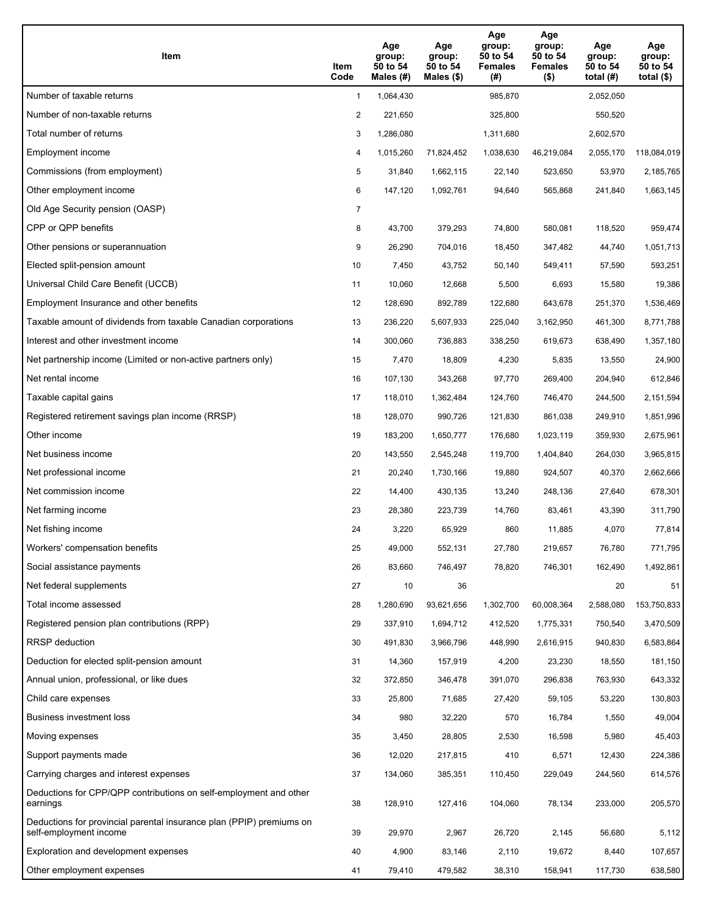| Item                                                                                           | Item<br>Code   | Age<br>group:<br>50 to 54<br>Males (#) | Age<br>group:<br>50 to 54<br>Males $(\$)$ | Age<br>group:<br>50 to 54<br><b>Females</b><br>(# ) | Age<br>group:<br>50 to 54<br><b>Females</b><br>$($ \$) | Age<br>group:<br>50 to 54<br>total $(H)$ | Age<br>group:<br>50 to 54<br>total $($)$ |
|------------------------------------------------------------------------------------------------|----------------|----------------------------------------|-------------------------------------------|-----------------------------------------------------|--------------------------------------------------------|------------------------------------------|------------------------------------------|
| Number of taxable returns                                                                      | $\mathbf{1}$   | 1,064,430                              |                                           | 985,870                                             |                                                        | 2,052,050                                |                                          |
| Number of non-taxable returns                                                                  | 2              | 221,650                                |                                           | 325,800                                             |                                                        | 550,520                                  |                                          |
| Total number of returns                                                                        | 3              | 1,286,080                              |                                           | 1,311,680                                           |                                                        | 2,602,570                                |                                          |
| Employment income                                                                              | 4              | 1,015,260                              | 71,824,452                                | 1,038,630                                           | 46,219,084                                             | 2,055,170                                | 118,084,019                              |
| Commissions (from employment)                                                                  | 5              | 31,840                                 | 1,662,115                                 | 22,140                                              | 523,650                                                | 53,970                                   | 2,185,765                                |
| Other employment income                                                                        | 6              | 147,120                                | 1,092,761                                 | 94,640                                              | 565,868                                                | 241,840                                  | 1,663,145                                |
| Old Age Security pension (OASP)                                                                | $\overline{7}$ |                                        |                                           |                                                     |                                                        |                                          |                                          |
| CPP or QPP benefits                                                                            | 8              | 43,700                                 | 379,293                                   | 74,800                                              | 580,081                                                | 118,520                                  | 959,474                                  |
| Other pensions or superannuation                                                               | 9              | 26,290                                 | 704,016                                   | 18,450                                              | 347,482                                                | 44,740                                   | 1,051,713                                |
| Elected split-pension amount                                                                   | 10             | 7,450                                  | 43,752                                    | 50,140                                              | 549,411                                                | 57,590                                   | 593,251                                  |
| Universal Child Care Benefit (UCCB)                                                            | 11             | 10,060                                 | 12,668                                    | 5,500                                               | 6,693                                                  | 15,580                                   | 19,386                                   |
| Employment Insurance and other benefits                                                        | 12             | 128,690                                | 892,789                                   | 122,680                                             | 643,678                                                | 251,370                                  | 1,536,469                                |
| Taxable amount of dividends from taxable Canadian corporations                                 | 13             | 236,220                                | 5,607,933                                 | 225,040                                             | 3,162,950                                              | 461,300                                  | 8,771,788                                |
| Interest and other investment income                                                           | 14             | 300.060                                | 736,883                                   | 338,250                                             | 619,673                                                | 638,490                                  | 1,357,180                                |
| Net partnership income (Limited or non-active partners only)                                   | 15             | 7,470                                  | 18,809                                    | 4,230                                               | 5,835                                                  | 13,550                                   | 24,900                                   |
| Net rental income                                                                              | 16             | 107,130                                | 343,268                                   | 97,770                                              | 269,400                                                | 204,940                                  | 612,846                                  |
| Taxable capital gains                                                                          | 17             | 118,010                                | 1,362,484                                 | 124,760                                             | 746,470                                                | 244,500                                  | 2,151,594                                |
| Registered retirement savings plan income (RRSP)                                               | 18             | 128,070                                | 990,726                                   | 121,830                                             | 861,038                                                | 249,910                                  | 1,851,996                                |
| Other income                                                                                   | 19             | 183,200                                | 1,650,777                                 | 176,680                                             | 1,023,119                                              | 359,930                                  | 2,675,961                                |
| Net business income                                                                            | 20             | 143,550                                | 2,545,248                                 | 119,700                                             | 1,404,840                                              | 264,030                                  | 3,965,815                                |
| Net professional income                                                                        | 21             | 20,240                                 | 1,730,166                                 | 19,880                                              | 924,507                                                | 40,370                                   | 2,662,666                                |
| Net commission income                                                                          | 22             | 14,400                                 | 430,135                                   | 13,240                                              | 248,136                                                | 27,640                                   | 678,301                                  |
| Net farming income                                                                             | 23             | 28,380                                 | 223,739                                   | 14,760                                              | 83,461                                                 | 43,390                                   | 311,790                                  |
| Net fishing income                                                                             | 24             | 3,220                                  | 65,929                                    | 860                                                 | 11,885                                                 | 4,070                                    | 77,814                                   |
| Workers' compensation benefits                                                                 | 25             | 49,000                                 | 552,131                                   | 27,780                                              | 219,657                                                | 76,780                                   | 771,795                                  |
| Social assistance payments                                                                     | 26             | 83,660                                 | 746,497                                   | 78,820                                              | 746,301                                                | 162,490                                  | 1,492,861                                |
| Net federal supplements                                                                        | 27             | 10                                     | 36                                        |                                                     |                                                        | 20                                       | 51                                       |
| Total income assessed                                                                          | 28             | 1,280,690                              | 93,621,656                                | 1,302,700                                           | 60,008,364                                             | 2,588,080                                | 153,750,833                              |
| Registered pension plan contributions (RPP)                                                    | 29             | 337,910                                | 1,694,712                                 | 412,520                                             | 1,775,331                                              | 750,540                                  | 3,470,509                                |
| RRSP deduction                                                                                 | 30             | 491,830                                | 3,966,796                                 | 448,990                                             | 2,616,915                                              | 940,830                                  | 6,583,864                                |
| Deduction for elected split-pension amount                                                     | 31             | 14,360                                 | 157,919                                   | 4,200                                               | 23,230                                                 | 18,550                                   | 181,150                                  |
| Annual union, professional, or like dues                                                       | 32             | 372,850                                | 346,478                                   | 391,070                                             | 296,838                                                | 763,930                                  | 643,332                                  |
| Child care expenses                                                                            | 33             | 25,800                                 | 71,685                                    | 27,420                                              | 59,105                                                 | 53,220                                   | 130,803                                  |
| <b>Business investment loss</b>                                                                | 34             | 980                                    | 32,220                                    | 570                                                 | 16,784                                                 | 1,550                                    | 49,004                                   |
| Moving expenses                                                                                | 35             | 3,450                                  | 28,805                                    | 2,530                                               | 16,598                                                 | 5,980                                    | 45,403                                   |
| Support payments made                                                                          | 36             | 12,020                                 | 217,815                                   | 410                                                 | 6,571                                                  | 12,430                                   | 224,386                                  |
| Carrying charges and interest expenses                                                         | 37             | 134,060                                | 385,351                                   | 110,450                                             | 229,049                                                | 244,560                                  | 614,576                                  |
| Deductions for CPP/QPP contributions on self-employment and other<br>earnings                  | 38             | 128,910                                | 127,416                                   | 104,060                                             | 78,134                                                 | 233,000                                  | 205,570                                  |
| Deductions for provincial parental insurance plan (PPIP) premiums on<br>self-employment income | 39             | 29,970                                 | 2,967                                     | 26,720                                              | 2,145                                                  | 56,680                                   | 5,112                                    |
| Exploration and development expenses                                                           | 40             | 4,900                                  | 83,146                                    | 2,110                                               | 19,672                                                 | 8,440                                    | 107,657                                  |
| Other employment expenses                                                                      | 41             | 79,410                                 | 479,582                                   | 38,310                                              | 158,941                                                | 117,730                                  | 638,580                                  |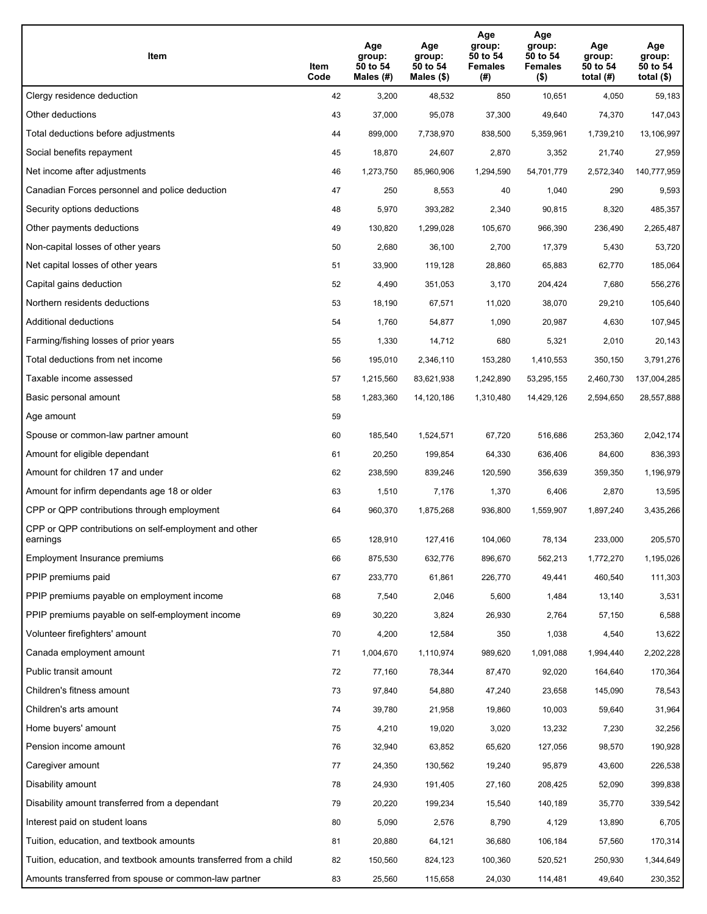| Item                                                              | Item<br>Code | Age<br>group:<br>50 to 54<br>Males (#) | Age<br>group:<br>50 to 54<br>Males (\$) | Age<br>group:<br>50 to 54<br><b>Females</b><br>(# ) | Age<br>group:<br>50 to 54<br><b>Females</b><br>$($ \$) | Age<br>group:<br>50 to 54<br>total $(H)$ | Age<br>group:<br>50 to 54<br>total $($)$ |
|-------------------------------------------------------------------|--------------|----------------------------------------|-----------------------------------------|-----------------------------------------------------|--------------------------------------------------------|------------------------------------------|------------------------------------------|
| Clergy residence deduction                                        | 42           | 3,200                                  | 48,532                                  | 850                                                 | 10,651                                                 | 4,050                                    | 59,183                                   |
| Other deductions                                                  | 43           | 37,000                                 | 95,078                                  | 37,300                                              | 49,640                                                 | 74,370                                   | 147,043                                  |
| Total deductions before adjustments                               | 44           | 899,000                                | 7,738,970                               | 838,500                                             | 5,359,961                                              | 1,739,210                                | 13,106,997                               |
| Social benefits repayment                                         | 45           | 18,870                                 | 24,607                                  | 2,870                                               | 3,352                                                  | 21,740                                   | 27,959                                   |
| Net income after adjustments                                      | 46           | 1,273,750                              | 85,960,906                              | 1,294,590                                           | 54,701,779                                             | 2,572,340                                | 140,777,959                              |
| Canadian Forces personnel and police deduction                    | 47           | 250                                    | 8,553                                   | 40                                                  | 1,040                                                  | 290                                      | 9,593                                    |
| Security options deductions                                       | 48           | 5,970                                  | 393,282                                 | 2,340                                               | 90,815                                                 | 8,320                                    | 485,357                                  |
| Other payments deductions                                         | 49           | 130,820                                | 1,299,028                               | 105,670                                             | 966,390                                                | 236,490                                  | 2,265,487                                |
| Non-capital losses of other years                                 | 50           | 2,680                                  | 36,100                                  | 2,700                                               | 17,379                                                 | 5,430                                    | 53,720                                   |
| Net capital losses of other years                                 | 51           | 33,900                                 | 119,128                                 | 28,860                                              | 65,883                                                 | 62,770                                   | 185,064                                  |
| Capital gains deduction                                           | 52           | 4,490                                  | 351,053                                 | 3,170                                               | 204,424                                                | 7,680                                    | 556,276                                  |
| Northern residents deductions                                     | 53           | 18,190                                 | 67,571                                  | 11,020                                              | 38,070                                                 | 29,210                                   | 105,640                                  |
| Additional deductions                                             | 54           | 1,760                                  | 54,877                                  | 1,090                                               | 20,987                                                 | 4,630                                    | 107,945                                  |
| Farming/fishing losses of prior years                             | 55           | 1,330                                  | 14,712                                  | 680                                                 | 5,321                                                  | 2,010                                    | 20,143                                   |
| Total deductions from net income                                  | 56           | 195,010                                | 2,346,110                               | 153,280                                             | 1,410,553                                              | 350,150                                  | 3,791,276                                |
| Taxable income assessed                                           | 57           | 1,215,560                              | 83,621,938                              | 1,242,890                                           | 53,295,155                                             | 2,460,730                                | 137,004,285                              |
| Basic personal amount                                             | 58           | 1,283,360                              | 14,120,186                              | 1,310,480                                           | 14,429,126                                             | 2,594,650                                | 28,557,888                               |
| Age amount                                                        | 59           |                                        |                                         |                                                     |                                                        |                                          |                                          |
| Spouse or common-law partner amount                               | 60           | 185,540                                | 1,524,571                               | 67,720                                              | 516,686                                                | 253,360                                  | 2,042,174                                |
| Amount for eligible dependant                                     | 61           | 20,250                                 | 199,854                                 | 64,330                                              | 636,406                                                | 84,600                                   | 836,393                                  |
| Amount for children 17 and under                                  | 62           | 238,590                                | 839,246                                 | 120,590                                             | 356,639                                                | 359,350                                  | 1,196,979                                |
| Amount for infirm dependants age 18 or older                      | 63           | 1,510                                  | 7,176                                   | 1,370                                               | 6,406                                                  | 2,870                                    | 13,595                                   |
| CPP or QPP contributions through employment                       | 64           | 960,370                                | 1,875,268                               | 936,800                                             | 1,559,907                                              | 1,897,240                                | 3,435,266                                |
| CPP or QPP contributions on self-employment and other<br>earnings | 65           | 128,910                                | 127,416                                 | 104,060                                             | 78,134                                                 | 233,000                                  | 205,570                                  |
| Employment Insurance premiums                                     | 66           | 875,530                                | 632,776                                 | 896,670                                             | 562,213                                                | 1,772,270                                | 1,195,026                                |
| PPIP premiums paid                                                | 67           | 233,770                                | 61,861                                  | 226,770                                             | 49,441                                                 | 460,540                                  | 111,303                                  |
| PPIP premiums payable on employment income                        | 68           | 7,540                                  | 2,046                                   | 5,600                                               | 1,484                                                  | 13,140                                   | 3,531                                    |
| PPIP premiums payable on self-employment income                   | 69           | 30,220                                 | 3,824                                   | 26,930                                              | 2,764                                                  | 57,150                                   | 6,588                                    |
| Volunteer firefighters' amount                                    | 70           | 4,200                                  | 12,584                                  | 350                                                 | 1,038                                                  | 4,540                                    | 13,622                                   |
| Canada employment amount                                          | 71           | 1,004,670                              | 1,110,974                               | 989,620                                             | 1,091,088                                              | 1,994,440                                | 2,202,228                                |
| Public transit amount                                             | 72           | 77,160                                 | 78,344                                  | 87,470                                              | 92,020                                                 | 164,640                                  | 170,364                                  |
| Children's fitness amount                                         | 73           | 97,840                                 | 54,880                                  | 47,240                                              | 23,658                                                 | 145,090                                  | 78,543                                   |
| Children's arts amount                                            | 74           | 39,780                                 | 21,958                                  | 19,860                                              | 10,003                                                 | 59,640                                   | 31,964                                   |
| Home buyers' amount                                               | 75           | 4,210                                  | 19,020                                  | 3,020                                               | 13,232                                                 | 7,230                                    | 32,256                                   |
| Pension income amount                                             | 76           | 32,940                                 | 63,852                                  | 65,620                                              | 127,056                                                | 98,570                                   | 190,928                                  |
| Caregiver amount                                                  | 77           | 24,350                                 | 130,562                                 | 19,240                                              | 95,879                                                 | 43,600                                   | 226,538                                  |
| Disability amount                                                 | 78           | 24,930                                 | 191,405                                 | 27,160                                              | 208,425                                                | 52,090                                   | 399,838                                  |
| Disability amount transferred from a dependant                    | 79           | 20,220                                 | 199,234                                 | 15,540                                              | 140,189                                                | 35,770                                   | 339,542                                  |
| Interest paid on student loans                                    | 80           | 5,090                                  | 2,576                                   | 8,790                                               | 4,129                                                  | 13,890                                   | 6,705                                    |
| Tuition, education, and textbook amounts                          | 81           | 20,880                                 | 64,121                                  | 36,680                                              | 106,184                                                | 57,560                                   | 170,314                                  |
| Tuition, education, and textbook amounts transferred from a child | 82           | 150,560                                | 824,123                                 | 100,360                                             | 520,521                                                | 250,930                                  | 1,344,649                                |
| Amounts transferred from spouse or common-law partner             | 83           | 25,560                                 | 115,658                                 | 24,030                                              | 114,481                                                | 49,640                                   | 230,352                                  |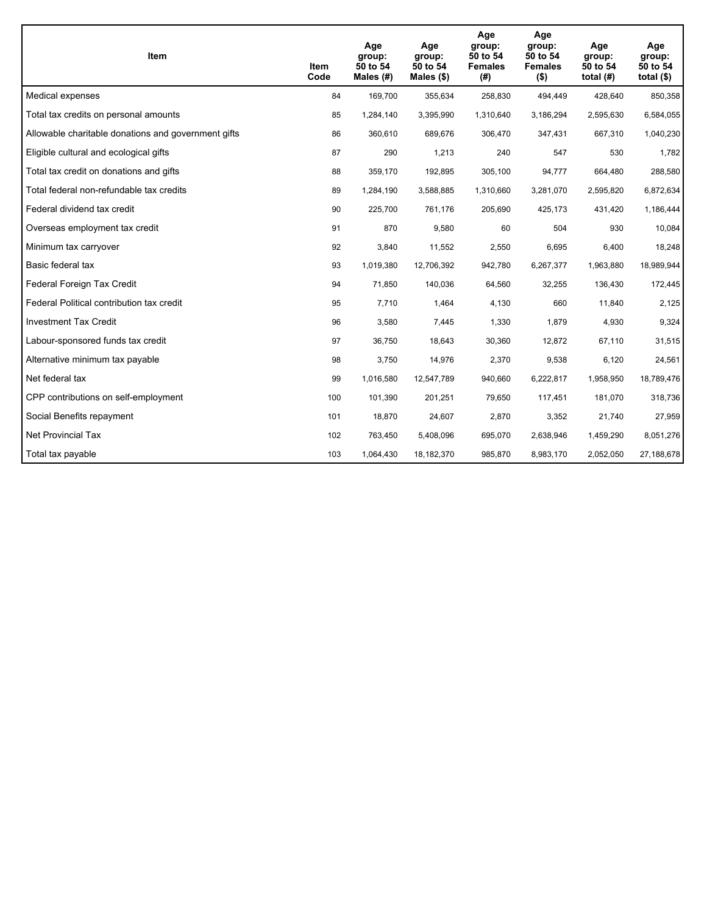| Item                                                | Item<br>Code | Age<br>group:<br>50 to 54<br>Males $(H)$ | Age<br>group:<br>50 to 54<br>Males $(\$)$ | Age<br>group:<br>50 to 54<br><b>Females</b><br>(#) | Age<br>group:<br>50 to 54<br><b>Females</b><br>$($ \$) | Age<br>group:<br>50 to 54<br>total $(H)$ | Age<br>group:<br>50 to 54<br>total $($)$ |
|-----------------------------------------------------|--------------|------------------------------------------|-------------------------------------------|----------------------------------------------------|--------------------------------------------------------|------------------------------------------|------------------------------------------|
| Medical expenses                                    | 84           | 169,700                                  | 355,634                                   | 258,830                                            | 494,449                                                | 428,640                                  | 850,358                                  |
| Total tax credits on personal amounts               | 85           | 1,284,140                                | 3,395,990                                 | 1,310,640                                          | 3,186,294                                              | 2,595,630                                | 6,584,055                                |
| Allowable charitable donations and government gifts | 86           | 360,610                                  | 689,676                                   | 306,470                                            | 347,431                                                | 667,310                                  | 1,040,230                                |
| Eligible cultural and ecological gifts              | 87           | 290                                      | 1,213                                     | 240                                                | 547                                                    | 530                                      | 1,782                                    |
| Total tax credit on donations and gifts             | 88           | 359,170                                  | 192,895                                   | 305,100                                            | 94,777                                                 | 664,480                                  | 288,580                                  |
| Total federal non-refundable tax credits            | 89           | 1,284,190                                | 3,588,885                                 | 1,310,660                                          | 3,281,070                                              | 2,595,820                                | 6,872,634                                |
| Federal dividend tax credit                         | 90           | 225,700                                  | 761,176                                   | 205,690                                            | 425,173                                                | 431,420                                  | 1,186,444                                |
| Overseas employment tax credit                      | 91           | 870                                      | 9,580                                     | 60                                                 | 504                                                    | 930                                      | 10,084                                   |
| Minimum tax carryover                               | 92           | 3,840                                    | 11,552                                    | 2,550                                              | 6,695                                                  | 6,400                                    | 18,248                                   |
| Basic federal tax                                   | 93           | 1,019,380                                | 12,706,392                                | 942,780                                            | 6,267,377                                              | 1,963,880                                | 18,989,944                               |
| Federal Foreign Tax Credit                          | 94           | 71,850                                   | 140,036                                   | 64,560                                             | 32,255                                                 | 136,430                                  | 172,445                                  |
| Federal Political contribution tax credit           | 95           | 7,710                                    | 1,464                                     | 4,130                                              | 660                                                    | 11,840                                   | 2,125                                    |
| <b>Investment Tax Credit</b>                        | 96           | 3,580                                    | 7,445                                     | 1,330                                              | 1,879                                                  | 4,930                                    | 9,324                                    |
| Labour-sponsored funds tax credit                   | 97           | 36,750                                   | 18,643                                    | 30,360                                             | 12,872                                                 | 67,110                                   | 31,515                                   |
| Alternative minimum tax payable                     | 98           | 3,750                                    | 14,976                                    | 2,370                                              | 9,538                                                  | 6,120                                    | 24,561                                   |
| Net federal tax                                     | 99           | 1,016,580                                | 12,547,789                                | 940,660                                            | 6,222,817                                              | 1,958,950                                | 18,789,476                               |
| CPP contributions on self-employment                | 100          | 101,390                                  | 201,251                                   | 79,650                                             | 117,451                                                | 181,070                                  | 318,736                                  |
| Social Benefits repayment                           | 101          | 18,870                                   | 24,607                                    | 2,870                                              | 3,352                                                  | 21,740                                   | 27,959                                   |
| Net Provincial Tax                                  | 102          | 763,450                                  | 5,408,096                                 | 695,070                                            | 2,638,946                                              | 1,459,290                                | 8,051,276                                |
| Total tax payable                                   | 103          | 1,064,430                                | 18,182,370                                | 985,870                                            | 8,983,170                                              | 2,052,050                                | 27,188,678                               |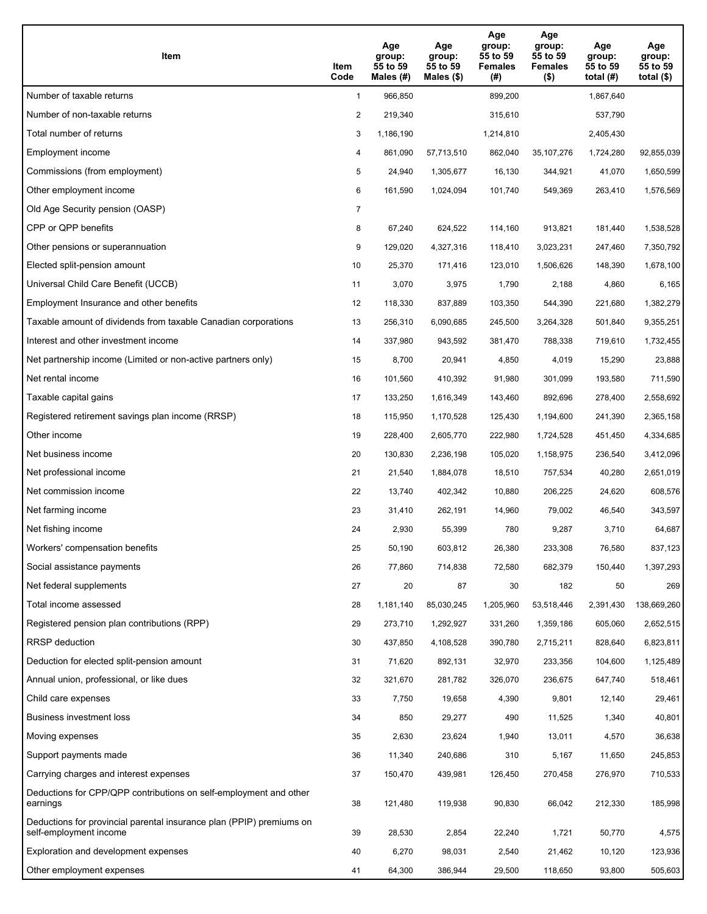| Item                                                                                           | Item<br>Code   | Age<br>group:<br>55 to 59<br>Males (#) | Age<br>group:<br>55 to 59<br>Males $(\$)$ | Age<br>group:<br>55 to 59<br><b>Females</b><br>(#) | Age<br>group:<br>55 to 59<br><b>Females</b><br>$($ \$) | Age<br>group:<br>55 to 59<br>total $(H)$ | Age<br>group:<br>55 to 59<br>total $($)$ |
|------------------------------------------------------------------------------------------------|----------------|----------------------------------------|-------------------------------------------|----------------------------------------------------|--------------------------------------------------------|------------------------------------------|------------------------------------------|
| Number of taxable returns                                                                      | $\mathbf{1}$   | 966,850                                |                                           | 899,200                                            |                                                        | 1,867,640                                |                                          |
| Number of non-taxable returns                                                                  | 2              | 219,340                                |                                           | 315,610                                            |                                                        | 537,790                                  |                                          |
| Total number of returns                                                                        | 3              | 1,186,190                              |                                           | 1,214,810                                          |                                                        | 2,405,430                                |                                          |
| Employment income                                                                              | 4              | 861,090                                | 57,713,510                                | 862,040                                            | 35, 107, 276                                           | 1,724,280                                | 92,855,039                               |
| Commissions (from employment)                                                                  | 5              | 24,940                                 | 1,305,677                                 | 16,130                                             | 344,921                                                | 41,070                                   | 1,650,599                                |
| Other employment income                                                                        | 6              | 161,590                                | 1,024,094                                 | 101,740                                            | 549,369                                                | 263,410                                  | 1,576,569                                |
| Old Age Security pension (OASP)                                                                | $\overline{7}$ |                                        |                                           |                                                    |                                                        |                                          |                                          |
| CPP or QPP benefits                                                                            | 8              | 67,240                                 | 624,522                                   | 114,160                                            | 913,821                                                | 181,440                                  | 1,538,528                                |
| Other pensions or superannuation                                                               | 9              | 129,020                                | 4,327,316                                 | 118,410                                            | 3,023,231                                              | 247,460                                  | 7,350,792                                |
| Elected split-pension amount                                                                   | 10             | 25,370                                 | 171,416                                   | 123,010                                            | 1,506,626                                              | 148,390                                  | 1,678,100                                |
| Universal Child Care Benefit (UCCB)                                                            | 11             | 3,070                                  | 3,975                                     | 1,790                                              | 2,188                                                  | 4,860                                    | 6,165                                    |
| Employment Insurance and other benefits                                                        | 12             | 118,330                                | 837,889                                   | 103,350                                            | 544,390                                                | 221,680                                  | 1,382,279                                |
| Taxable amount of dividends from taxable Canadian corporations                                 | 13             | 256,310                                | 6,090,685                                 | 245,500                                            | 3,264,328                                              | 501,840                                  | 9,355,251                                |
| Interest and other investment income                                                           | 14             | 337,980                                | 943,592                                   | 381,470                                            | 788,338                                                | 719,610                                  | 1,732,455                                |
| Net partnership income (Limited or non-active partners only)                                   | 15             | 8,700                                  | 20,941                                    | 4,850                                              | 4,019                                                  | 15,290                                   | 23,888                                   |
| Net rental income                                                                              | 16             | 101,560                                | 410,392                                   | 91,980                                             | 301,099                                                | 193,580                                  | 711,590                                  |
| Taxable capital gains                                                                          | 17             | 133,250                                | 1,616,349                                 | 143,460                                            | 892,696                                                | 278,400                                  | 2,558,692                                |
| Registered retirement savings plan income (RRSP)                                               | 18             | 115,950                                | 1,170,528                                 | 125,430                                            | 1,194,600                                              | 241,390                                  | 2,365,158                                |
| Other income                                                                                   | 19             | 228,400                                | 2,605,770                                 | 222,980                                            | 1,724,528                                              | 451,450                                  | 4,334,685                                |
| Net business income                                                                            | 20             | 130,830                                | 2,236,198                                 | 105,020                                            | 1,158,975                                              | 236,540                                  | 3,412,096                                |
| Net professional income                                                                        | 21             | 21,540                                 | 1,884,078                                 | 18,510                                             | 757,534                                                | 40,280                                   | 2,651,019                                |
| Net commission income                                                                          | 22             | 13,740                                 | 402,342                                   | 10,880                                             | 206,225                                                | 24,620                                   | 608,576                                  |
| Net farming income                                                                             | 23             | 31,410                                 | 262,191                                   | 14,960                                             | 79,002                                                 | 46,540                                   | 343,597                                  |
| Net fishing income                                                                             | 24             | 2,930                                  | 55,399                                    | 780                                                | 9,287                                                  | 3,710                                    | 64,687                                   |
| Workers' compensation benefits                                                                 | 25             | 50,190                                 | 603,812                                   | 26,380                                             | 233,308                                                | 76,580                                   | 837,123                                  |
| Social assistance payments                                                                     | 26             | 77,860                                 | 714,838                                   | 72,580                                             | 682,379                                                | 150,440                                  | 1,397,293                                |
| Net federal supplements                                                                        | 27             | 20                                     | 87                                        | 30                                                 | 182                                                    | 50                                       | 269                                      |
| Total income assessed                                                                          | 28             | 1,181,140                              | 85,030,245                                | 1,205,960                                          | 53,518,446                                             | 2,391,430                                | 138,669,260                              |
| Registered pension plan contributions (RPP)                                                    | 29             | 273,710                                | 1,292,927                                 | 331,260                                            | 1,359,186                                              | 605,060                                  | 2,652,515                                |
| RRSP deduction                                                                                 | 30             | 437,850                                | 4,108,528                                 | 390,780                                            | 2,715,211                                              | 828,640                                  | 6,823,811                                |
| Deduction for elected split-pension amount                                                     | 31             | 71,620                                 | 892,131                                   | 32,970                                             | 233,356                                                | 104,600                                  | 1,125,489                                |
| Annual union, professional, or like dues                                                       | 32             | 321,670                                | 281,782                                   | 326,070                                            | 236,675                                                | 647,740                                  | 518,461                                  |
| Child care expenses                                                                            | 33             | 7,750                                  | 19,658                                    | 4,390                                              | 9,801                                                  | 12,140                                   | 29,461                                   |
| <b>Business investment loss</b>                                                                | 34             | 850                                    | 29,277                                    | 490                                                | 11,525                                                 | 1,340                                    | 40,801                                   |
| Moving expenses                                                                                | 35             | 2,630                                  | 23,624                                    | 1,940                                              | 13,011                                                 | 4,570                                    | 36,638                                   |
| Support payments made                                                                          | 36             | 11,340                                 | 240,686                                   | 310                                                | 5,167                                                  | 11,650                                   | 245,853                                  |
| Carrying charges and interest expenses                                                         | 37             | 150,470                                | 439,981                                   | 126,450                                            | 270,458                                                | 276,970                                  | 710,533                                  |
| Deductions for CPP/QPP contributions on self-employment and other<br>earnings                  | 38             | 121,480                                | 119,938                                   | 90,830                                             | 66,042                                                 | 212,330                                  | 185,998                                  |
| Deductions for provincial parental insurance plan (PPIP) premiums on<br>self-employment income | 39             | 28,530                                 | 2,854                                     | 22,240                                             | 1,721                                                  | 50,770                                   | 4,575                                    |
| Exploration and development expenses                                                           | 40             | 6,270                                  | 98,031                                    | 2,540                                              | 21,462                                                 | 10,120                                   | 123,936                                  |
| Other employment expenses                                                                      | 41             | 64,300                                 | 386,944                                   | 29,500                                             | 118,650                                                | 93,800                                   | 505,603                                  |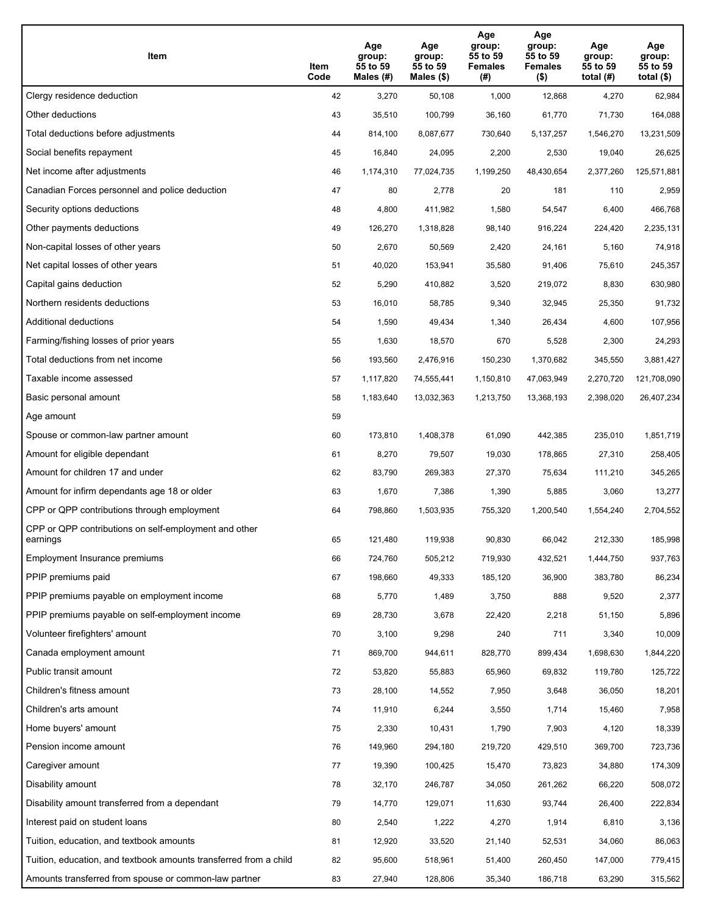| Item                                                              | Item<br>Code | Age<br>group:<br>55 to 59<br>Males (#) | Age<br>group:<br>55 to 59<br>Males (\$) | Age<br>group:<br>55 to 59<br><b>Females</b><br>(# ) | Age<br>group:<br>55 to 59<br>Females<br>$($ \$) | Age<br>group:<br>55 to 59<br>total $(#)$ | Age<br>group:<br>55 to 59<br>total $($)$ |
|-------------------------------------------------------------------|--------------|----------------------------------------|-----------------------------------------|-----------------------------------------------------|-------------------------------------------------|------------------------------------------|------------------------------------------|
| Clergy residence deduction                                        | 42           | 3,270                                  | 50,108                                  | 1,000                                               | 12,868                                          | 4,270                                    | 62,984                                   |
| Other deductions                                                  | 43           | 35,510                                 | 100,799                                 | 36,160                                              | 61,770                                          | 71,730                                   | 164,088                                  |
| Total deductions before adjustments                               | 44           | 814,100                                | 8,087,677                               | 730,640                                             | 5, 137, 257                                     | 1,546,270                                | 13,231,509                               |
| Social benefits repayment                                         | 45           | 16,840                                 | 24,095                                  | 2,200                                               | 2,530                                           | 19,040                                   | 26,625                                   |
| Net income after adjustments                                      | 46           | 1,174,310                              | 77,024,735                              | 1,199,250                                           | 48,430,654                                      | 2,377,260                                | 125,571,881                              |
| Canadian Forces personnel and police deduction                    | 47           | 80                                     | 2,778                                   | 20                                                  | 181                                             | 110                                      | 2,959                                    |
| Security options deductions                                       | 48           | 4,800                                  | 411,982                                 | 1,580                                               | 54,547                                          | 6,400                                    | 466,768                                  |
| Other payments deductions                                         | 49           | 126,270                                | 1,318,828                               | 98,140                                              | 916,224                                         | 224,420                                  | 2,235,131                                |
| Non-capital losses of other years                                 | 50           | 2,670                                  | 50,569                                  | 2,420                                               | 24,161                                          | 5,160                                    | 74,918                                   |
| Net capital losses of other years                                 | 51           | 40,020                                 | 153,941                                 | 35,580                                              | 91,406                                          | 75,610                                   | 245,357                                  |
| Capital gains deduction                                           | 52           | 5,290                                  | 410,882                                 | 3,520                                               | 219,072                                         | 8,830                                    | 630,980                                  |
| Northern residents deductions                                     | 53           | 16,010                                 | 58,785                                  | 9,340                                               | 32,945                                          | 25,350                                   | 91,732                                   |
| Additional deductions                                             | 54           | 1,590                                  | 49,434                                  | 1,340                                               | 26,434                                          | 4,600                                    | 107,956                                  |
| Farming/fishing losses of prior years                             | 55           | 1,630                                  | 18,570                                  | 670                                                 | 5,528                                           | 2,300                                    | 24,293                                   |
| Total deductions from net income                                  | 56           | 193,560                                | 2,476,916                               | 150,230                                             | 1,370,682                                       | 345,550                                  | 3,881,427                                |
| Taxable income assessed                                           | 57           | 1,117,820                              | 74,555,441                              | 1,150,810                                           | 47,063,949                                      | 2,270,720                                | 121,708,090                              |
| Basic personal amount                                             | 58           | 1,183,640                              | 13,032,363                              | 1,213,750                                           | 13,368,193                                      | 2,398,020                                | 26,407,234                               |
| Age amount                                                        | 59           |                                        |                                         |                                                     |                                                 |                                          |                                          |
| Spouse or common-law partner amount                               | 60           | 173,810                                | 1,408,378                               | 61,090                                              | 442,385                                         | 235,010                                  | 1,851,719                                |
| Amount for eligible dependant                                     | 61           | 8,270                                  | 79,507                                  | 19,030                                              | 178,865                                         | 27,310                                   | 258,405                                  |
| Amount for children 17 and under                                  | 62           | 83,790                                 | 269,383                                 | 27,370                                              | 75,634                                          | 111,210                                  | 345,265                                  |
| Amount for infirm dependants age 18 or older                      | 63           | 1,670                                  | 7,386                                   | 1,390                                               | 5,885                                           | 3,060                                    | 13,277                                   |
| CPP or QPP contributions through employment                       | 64           | 798,860                                | 1,503,935                               | 755,320                                             | 1,200,540                                       | 1,554,240                                | 2,704,552                                |
| CPP or QPP contributions on self-employment and other<br>earnings | 65           | 121,480                                | 119,938                                 | 90,830                                              | 66,042                                          | 212,330                                  | 185,998                                  |
| Employment Insurance premiums                                     | 66           | 724,760                                | 505,212                                 | 719,930                                             | 432,521                                         | 1,444,750                                | 937,763                                  |
| PPIP premiums paid                                                | 67           | 198,660                                | 49,333                                  | 185,120                                             | 36,900                                          | 383,780                                  | 86,234                                   |
| PPIP premiums payable on employment income                        | 68           | 5,770                                  | 1,489                                   | 3,750                                               | 888                                             | 9,520                                    | 2,377                                    |
| PPIP premiums payable on self-employment income                   | 69           | 28,730                                 | 3,678                                   | 22,420                                              | 2,218                                           | 51,150                                   | 5,896                                    |
| Volunteer firefighters' amount                                    | 70           | 3,100                                  | 9,298                                   | 240                                                 | 711                                             | 3,340                                    | 10,009                                   |
| Canada employment amount                                          | 71           | 869,700                                | 944,611                                 | 828,770                                             | 899,434                                         | 1,698,630                                | 1,844,220                                |
| Public transit amount                                             | 72           | 53,820                                 | 55,883                                  | 65,960                                              | 69,832                                          | 119,780                                  | 125,722                                  |
| Children's fitness amount                                         | 73           | 28,100                                 | 14,552                                  | 7,950                                               | 3,648                                           | 36,050                                   | 18,201                                   |
| Children's arts amount                                            | 74           | 11,910                                 | 6,244                                   | 3,550                                               | 1,714                                           | 15,460                                   | 7,958                                    |
| Home buyers' amount                                               | 75           | 2,330                                  | 10,431                                  | 1,790                                               | 7,903                                           | 4,120                                    | 18,339                                   |
| Pension income amount                                             | 76           | 149,960                                | 294,180                                 | 219,720                                             | 429,510                                         | 369,700                                  | 723,736                                  |
| Caregiver amount                                                  | 77           | 19,390                                 | 100,425                                 | 15,470                                              | 73,823                                          | 34,880                                   | 174,309                                  |
| Disability amount                                                 | 78           | 32,170                                 | 246,787                                 | 34,050                                              | 261,262                                         | 66,220                                   | 508,072                                  |
| Disability amount transferred from a dependant                    | 79           | 14,770                                 | 129,071                                 | 11,630                                              | 93,744                                          | 26,400                                   | 222,834                                  |
| Interest paid on student loans                                    | 80           | 2,540                                  | 1,222                                   | 4,270                                               | 1,914                                           | 6,810                                    | 3,136                                    |
| Tuition, education, and textbook amounts                          | 81           | 12,920                                 | 33,520                                  | 21,140                                              | 52,531                                          | 34,060                                   | 86,063                                   |
| Tuition, education, and textbook amounts transferred from a child | 82           | 95,600                                 | 518,961                                 | 51,400                                              | 260,450                                         | 147,000                                  | 779,415                                  |
| Amounts transferred from spouse or common-law partner             | 83           | 27,940                                 | 128,806                                 | 35,340                                              | 186,718                                         | 63,290                                   | 315,562                                  |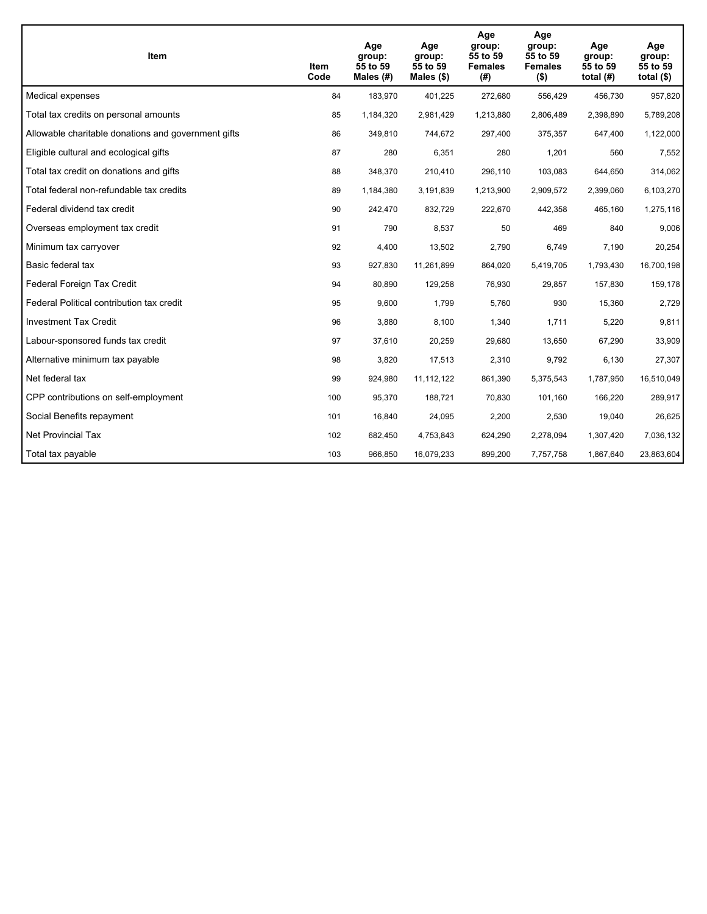| Item                                                | Item<br>Code | Age<br>group:<br>55 to 59<br>Males $(H)$ | Age<br>group:<br>55 to 59<br>Males $(\$)$ | Age<br>group:<br>55 to 59<br><b>Females</b><br>(# ) | Age<br>group:<br>55 to 59<br><b>Females</b><br>$($ \$) | Age<br>group:<br>55 to 59<br>total $(H)$ | Age<br>group:<br>55 to 59<br>total $($)$ |
|-----------------------------------------------------|--------------|------------------------------------------|-------------------------------------------|-----------------------------------------------------|--------------------------------------------------------|------------------------------------------|------------------------------------------|
| Medical expenses                                    | 84           | 183,970                                  | 401,225                                   | 272,680                                             | 556,429                                                | 456,730                                  | 957,820                                  |
| Total tax credits on personal amounts               | 85           | 1,184,320                                | 2,981,429                                 | 1,213,880                                           | 2,806,489                                              | 2,398,890                                | 5,789,208                                |
| Allowable charitable donations and government gifts | 86           | 349,810                                  | 744,672                                   | 297,400                                             | 375,357                                                | 647,400                                  | 1,122,000                                |
| Eligible cultural and ecological gifts              | 87           | 280                                      | 6,351                                     | 280                                                 | 1,201                                                  | 560                                      | 7,552                                    |
| Total tax credit on donations and gifts             | 88           | 348,370                                  | 210,410                                   | 296,110                                             | 103,083                                                | 644,650                                  | 314,062                                  |
| Total federal non-refundable tax credits            | 89           | 1,184,380                                | 3,191,839                                 | 1,213,900                                           | 2,909,572                                              | 2,399,060                                | 6,103,270                                |
| Federal dividend tax credit                         | 90           | 242,470                                  | 832,729                                   | 222,670                                             | 442,358                                                | 465,160                                  | 1,275,116                                |
| Overseas employment tax credit                      | 91           | 790                                      | 8,537                                     | 50                                                  | 469                                                    | 840                                      | 9,006                                    |
| Minimum tax carryover                               | 92           | 4,400                                    | 13,502                                    | 2,790                                               | 6,749                                                  | 7,190                                    | 20,254                                   |
| Basic federal tax                                   | 93           | 927,830                                  | 11.261.899                                | 864,020                                             | 5,419,705                                              | 1,793,430                                | 16,700,198                               |
| Federal Foreign Tax Credit                          | 94           | 80,890                                   | 129,258                                   | 76,930                                              | 29,857                                                 | 157,830                                  | 159,178                                  |
| Federal Political contribution tax credit           | 95           | 9,600                                    | 1,799                                     | 5,760                                               | 930                                                    | 15,360                                   | 2,729                                    |
| <b>Investment Tax Credit</b>                        | 96           | 3,880                                    | 8,100                                     | 1,340                                               | 1,711                                                  | 5,220                                    | 9,811                                    |
| Labour-sponsored funds tax credit                   | 97           | 37,610                                   | 20,259                                    | 29,680                                              | 13,650                                                 | 67,290                                   | 33,909                                   |
| Alternative minimum tax payable                     | 98           | 3,820                                    | 17,513                                    | 2,310                                               | 9,792                                                  | 6,130                                    | 27,307                                   |
| Net federal tax                                     | 99           | 924,980                                  | 11,112,122                                | 861,390                                             | 5,375,543                                              | 1,787,950                                | 16,510,049                               |
| CPP contributions on self-employment                | 100          | 95,370                                   | 188,721                                   | 70,830                                              | 101,160                                                | 166,220                                  | 289,917                                  |
| Social Benefits repayment                           | 101          | 16,840                                   | 24,095                                    | 2,200                                               | 2,530                                                  | 19,040                                   | 26,625                                   |
| <b>Net Provincial Tax</b>                           | 102          | 682,450                                  | 4,753,843                                 | 624,290                                             | 2,278,094                                              | 1,307,420                                | 7,036,132                                |
| Total tax payable                                   | 103          | 966,850                                  | 16,079,233                                | 899,200                                             | 7,757,758                                              | 1,867,640                                | 23,863,604                               |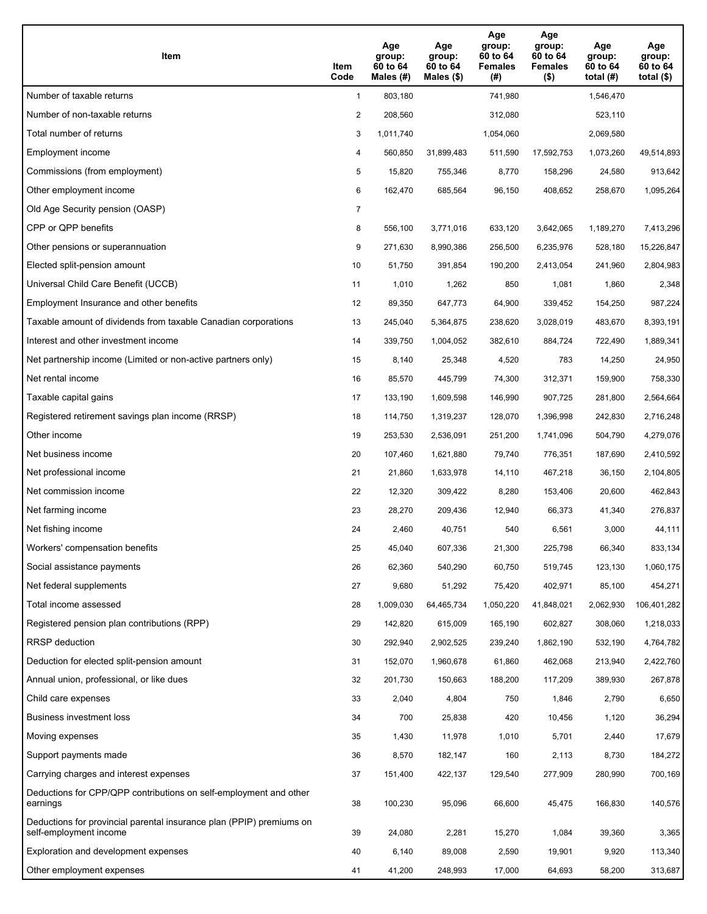| Item                                                                                           | Item<br>Code   | Age<br>group:<br>60 to 64<br>Males (#) | Age<br>group:<br>60 to 64<br>Males (\$) | Age<br>group:<br>60 to 64<br><b>Females</b><br>(#) | Age<br>group:<br>60 to 64<br><b>Females</b><br>$($ \$) | Age<br>group:<br>60 to 64<br>total $(H)$ | Age<br>group:<br>60 to 64<br>total $($)$ |
|------------------------------------------------------------------------------------------------|----------------|----------------------------------------|-----------------------------------------|----------------------------------------------------|--------------------------------------------------------|------------------------------------------|------------------------------------------|
| Number of taxable returns                                                                      | $\mathbf{1}$   | 803,180                                |                                         | 741,980                                            |                                                        | 1,546,470                                |                                          |
| Number of non-taxable returns                                                                  | 2              | 208,560                                |                                         | 312,080                                            |                                                        | 523,110                                  |                                          |
| Total number of returns                                                                        | 3              | 1,011,740                              |                                         | 1,054,060                                          |                                                        | 2,069,580                                |                                          |
| Employment income                                                                              | 4              | 560,850                                | 31,899,483                              | 511,590                                            | 17,592,753                                             | 1,073,260                                | 49,514,893                               |
| Commissions (from employment)                                                                  | 5              | 15,820                                 | 755,346                                 | 8,770                                              | 158,296                                                | 24,580                                   | 913,642                                  |
| Other employment income                                                                        | 6              | 162,470                                | 685,564                                 | 96,150                                             | 408,652                                                | 258,670                                  | 1,095,264                                |
| Old Age Security pension (OASP)                                                                | $\overline{7}$ |                                        |                                         |                                                    |                                                        |                                          |                                          |
| CPP or QPP benefits                                                                            | 8              | 556,100                                | 3,771,016                               | 633,120                                            | 3,642,065                                              | 1,189,270                                | 7,413,296                                |
| Other pensions or superannuation                                                               | 9              | 271,630                                | 8,990,386                               | 256,500                                            | 6,235,976                                              | 528,180                                  | 15,226,847                               |
| Elected split-pension amount                                                                   | 10             | 51,750                                 | 391,854                                 | 190,200                                            | 2,413,054                                              | 241,960                                  | 2,804,983                                |
| Universal Child Care Benefit (UCCB)                                                            | 11             | 1,010                                  | 1,262                                   | 850                                                | 1,081                                                  | 1,860                                    | 2,348                                    |
| Employment Insurance and other benefits                                                        | 12             | 89,350                                 | 647,773                                 | 64,900                                             | 339,452                                                | 154,250                                  | 987,224                                  |
| Taxable amount of dividends from taxable Canadian corporations                                 | 13             | 245,040                                | 5,364,875                               | 238,620                                            | 3,028,019                                              | 483,670                                  | 8,393,191                                |
| Interest and other investment income                                                           | 14             | 339,750                                | 1,004,052                               | 382,610                                            | 884,724                                                | 722,490                                  | 1,889,341                                |
| Net partnership income (Limited or non-active partners only)                                   | 15             | 8,140                                  | 25,348                                  | 4,520                                              | 783                                                    | 14,250                                   | 24,950                                   |
| Net rental income                                                                              | 16             | 85,570                                 | 445,799                                 | 74,300                                             | 312,371                                                | 159,900                                  | 758,330                                  |
| Taxable capital gains                                                                          | 17             | 133,190                                | 1,609,598                               | 146,990                                            | 907,725                                                | 281,800                                  | 2,564,664                                |
| Registered retirement savings plan income (RRSP)                                               | 18             | 114,750                                | 1,319,237                               | 128,070                                            | 1,396,998                                              | 242,830                                  | 2,716,248                                |
| Other income                                                                                   | 19             | 253,530                                | 2,536,091                               | 251,200                                            | 1,741,096                                              | 504,790                                  | 4,279,076                                |
| Net business income                                                                            | 20             | 107,460                                | 1,621,880                               | 79,740                                             | 776,351                                                | 187,690                                  | 2,410,592                                |
| Net professional income                                                                        | 21             | 21,860                                 | 1,633,978                               | 14,110                                             | 467,218                                                | 36,150                                   | 2,104,805                                |
| Net commission income                                                                          | 22             | 12,320                                 | 309,422                                 | 8,280                                              | 153,406                                                | 20,600                                   | 462,843                                  |
| Net farming income                                                                             | 23             | 28,270                                 | 209,436                                 | 12,940                                             | 66,373                                                 | 41,340                                   | 276,837                                  |
| Net fishing income                                                                             | 24             | 2,460                                  | 40,751                                  | 540                                                | 6,561                                                  | 3,000                                    | 44,111                                   |
| Workers' compensation benefits                                                                 | 25             | 45,040                                 | 607,336                                 | 21,300                                             | 225,798                                                | 66,340                                   | 833,134                                  |
| Social assistance payments                                                                     | 26             | 62,360                                 | 540,290                                 | 60,750                                             | 519,745                                                | 123,130                                  | 1,060,175                                |
| Net federal supplements                                                                        | 27             | 9,680                                  | 51,292                                  | 75,420                                             | 402,971                                                | 85,100                                   | 454,271                                  |
| Total income assessed                                                                          | 28             | 1,009,030                              | 64,465,734                              | 1,050,220                                          | 41,848,021                                             | 2,062,930                                | 106,401,282                              |
| Registered pension plan contributions (RPP)                                                    | 29             | 142,820                                | 615,009                                 | 165,190                                            | 602,827                                                | 308,060                                  | 1,218,033                                |
| RRSP deduction                                                                                 | 30             | 292,940                                | 2,902,525                               | 239,240                                            | 1,862,190                                              | 532,190                                  | 4,764,782                                |
| Deduction for elected split-pension amount                                                     | 31             | 152,070                                | 1,960,678                               | 61,860                                             | 462,068                                                | 213,940                                  | 2,422,760                                |
| Annual union, professional, or like dues                                                       | 32             | 201,730                                | 150,663                                 | 188,200                                            | 117,209                                                | 389,930                                  | 267,878                                  |
| Child care expenses                                                                            | 33             | 2,040                                  | 4,804                                   | 750                                                | 1,846                                                  | 2,790                                    | 6,650                                    |
| Business investment loss                                                                       | 34             | 700                                    | 25,838                                  | 420                                                | 10,456                                                 | 1,120                                    | 36,294                                   |
| Moving expenses                                                                                | 35             | 1,430                                  | 11,978                                  | 1,010                                              | 5,701                                                  | 2,440                                    | 17,679                                   |
| Support payments made                                                                          | 36             | 8,570                                  | 182,147                                 | 160                                                | 2,113                                                  | 8,730                                    | 184,272                                  |
| Carrying charges and interest expenses                                                         | 37             | 151,400                                | 422,137                                 | 129,540                                            | 277,909                                                | 280,990                                  | 700,169                                  |
| Deductions for CPP/QPP contributions on self-employment and other<br>earnings                  | 38             | 100,230                                | 95,096                                  | 66,600                                             | 45,475                                                 | 166,830                                  | 140,576                                  |
| Deductions for provincial parental insurance plan (PPIP) premiums on<br>self-employment income | 39             | 24,080                                 | 2,281                                   | 15,270                                             | 1,084                                                  | 39,360                                   | 3,365                                    |
| Exploration and development expenses                                                           | 40             | 6,140                                  | 89,008                                  | 2,590                                              | 19,901                                                 | 9,920                                    | 113,340                                  |
| Other employment expenses                                                                      | 41             | 41,200                                 | 248,993                                 | 17,000                                             | 64,693                                                 | 58,200                                   | 313,687                                  |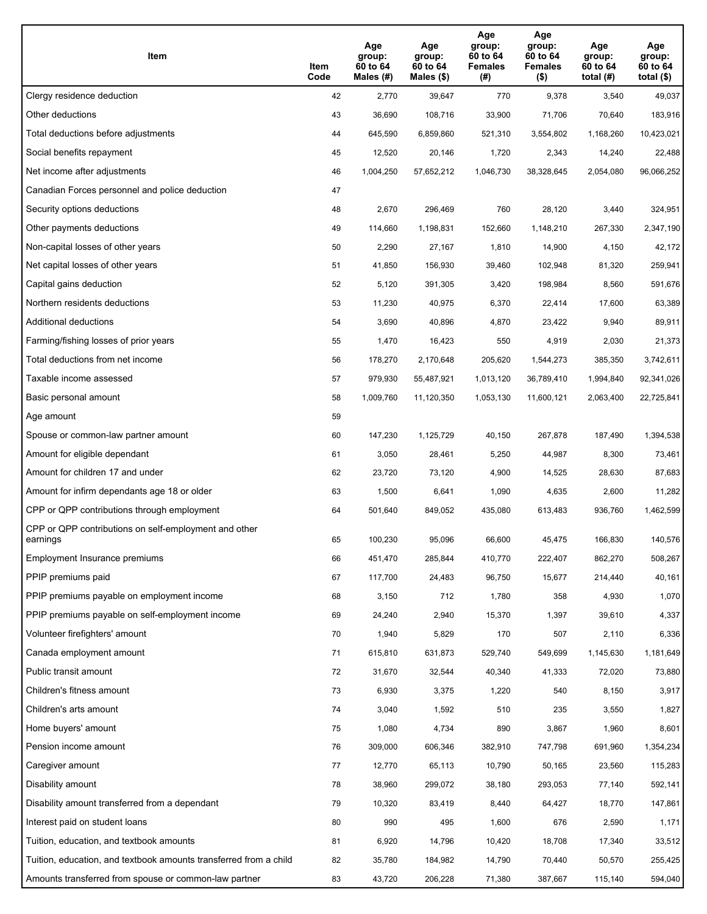| Item                                                              | Item<br>Code | Age<br>group:<br>60 to 64<br>Males (#) | Age<br>group:<br>60 to 64<br>Males (\$) | Age<br>group:<br>60 to 64<br><b>Females</b><br>(#) | Age<br>group:<br>60 to 64<br><b>Females</b><br>$($ \$) | Age<br>group:<br>60 to 64<br>total (#) | Age<br>group:<br>60 to 64<br>total $($)$ |
|-------------------------------------------------------------------|--------------|----------------------------------------|-----------------------------------------|----------------------------------------------------|--------------------------------------------------------|----------------------------------------|------------------------------------------|
| Clergy residence deduction                                        | 42           | 2,770                                  | 39,647                                  | 770                                                | 9,378                                                  | 3,540                                  | 49,037                                   |
| Other deductions                                                  | 43           | 36,690                                 | 108,716                                 | 33,900                                             | 71,706                                                 | 70,640                                 | 183,916                                  |
| Total deductions before adjustments                               | 44           | 645,590                                | 6,859,860                               | 521,310                                            | 3,554,802                                              | 1,168,260                              | 10,423,021                               |
| Social benefits repayment                                         | 45           | 12,520                                 | 20,146                                  | 1,720                                              | 2,343                                                  | 14,240                                 | 22,488                                   |
| Net income after adjustments                                      | 46           | 1,004,250                              | 57,652,212                              | 1,046,730                                          | 38,328,645                                             | 2,054,080                              | 96,066,252                               |
| Canadian Forces personnel and police deduction                    | 47           |                                        |                                         |                                                    |                                                        |                                        |                                          |
| Security options deductions                                       | 48           | 2,670                                  | 296,469                                 | 760                                                | 28,120                                                 | 3,440                                  | 324,951                                  |
| Other payments deductions                                         | 49           | 114,660                                | 1,198,831                               | 152,660                                            | 1,148,210                                              | 267,330                                | 2,347,190                                |
| Non-capital losses of other years                                 | 50           | 2,290                                  | 27,167                                  | 1,810                                              | 14,900                                                 | 4,150                                  | 42,172                                   |
| Net capital losses of other years                                 | 51           | 41,850                                 | 156,930                                 | 39,460                                             | 102,948                                                | 81,320                                 | 259,941                                  |
| Capital gains deduction                                           | 52           | 5,120                                  | 391,305                                 | 3,420                                              | 198,984                                                | 8,560                                  | 591,676                                  |
| Northern residents deductions                                     | 53           | 11,230                                 | 40,975                                  | 6,370                                              | 22,414                                                 | 17,600                                 | 63,389                                   |
| <b>Additional deductions</b>                                      | 54           | 3,690                                  | 40,896                                  | 4,870                                              | 23,422                                                 | 9,940                                  | 89,911                                   |
| Farming/fishing losses of prior years                             | 55           | 1,470                                  | 16,423                                  | 550                                                | 4,919                                                  | 2,030                                  | 21,373                                   |
| Total deductions from net income                                  | 56           | 178,270                                | 2,170,648                               | 205,620                                            | 1,544,273                                              | 385,350                                | 3,742,611                                |
| Taxable income assessed                                           | 57           | 979,930                                | 55,487,921                              | 1,013,120                                          | 36,789,410                                             | 1,994,840                              | 92,341,026                               |
| Basic personal amount                                             | 58           | 1,009,760                              | 11,120,350                              | 1,053,130                                          | 11,600,121                                             | 2,063,400                              | 22,725,841                               |
| Age amount                                                        | 59           |                                        |                                         |                                                    |                                                        |                                        |                                          |
| Spouse or common-law partner amount                               | 60           | 147,230                                | 1,125,729                               | 40,150                                             | 267,878                                                | 187,490                                | 1,394,538                                |
| Amount for eligible dependant                                     | 61           | 3,050                                  | 28,461                                  | 5,250                                              | 44,987                                                 | 8,300                                  | 73,461                                   |
| Amount for children 17 and under                                  | 62           | 23,720                                 | 73,120                                  | 4,900                                              | 14,525                                                 | 28,630                                 | 87,683                                   |
| Amount for infirm dependants age 18 or older                      | 63           | 1,500                                  | 6,641                                   | 1,090                                              | 4,635                                                  | 2,600                                  | 11,282                                   |
| CPP or QPP contributions through employment                       | 64           | 501,640                                | 849,052                                 | 435,080                                            | 613,483                                                | 936,760                                | 1,462,599                                |
| CPP or QPP contributions on self-employment and other<br>earnings | 65           | 100,230                                | 95,096                                  | 66,600                                             | 45,475                                                 | 166,830                                | 140,576                                  |
| Employment Insurance premiums                                     | 66           | 451,470                                | 285,844                                 | 410,770                                            | 222,407                                                | 862,270                                | 508,267                                  |
| PPIP premiums paid                                                | 67           | 117,700                                | 24,483                                  | 96,750                                             | 15,677                                                 | 214,440                                | 40,161                                   |
| PPIP premiums payable on employment income                        | 68           | 3,150                                  | 712                                     | 1,780                                              | 358                                                    | 4,930                                  | 1,070                                    |
| PPIP premiums payable on self-employment income                   | 69           | 24,240                                 | 2,940                                   | 15,370                                             | 1,397                                                  | 39,610                                 | 4,337                                    |
| Volunteer firefighters' amount                                    | 70           | 1,940                                  | 5,829                                   | 170                                                | 507                                                    | 2,110                                  | 6,336                                    |
| Canada employment amount                                          | 71           | 615,810                                | 631,873                                 | 529,740                                            | 549,699                                                | 1,145,630                              | 1,181,649                                |
| Public transit amount                                             | 72           | 31,670                                 | 32,544                                  | 40,340                                             | 41,333                                                 | 72,020                                 | 73,880                                   |
| Children's fitness amount                                         | 73           | 6,930                                  | 3,375                                   | 1,220                                              | 540                                                    | 8,150                                  | 3,917                                    |
| Children's arts amount                                            | 74           | 3,040                                  | 1,592                                   | 510                                                | 235                                                    | 3,550                                  | 1,827                                    |
| Home buyers' amount                                               | 75           | 1,080                                  | 4,734                                   | 890                                                | 3,867                                                  | 1,960                                  | 8,601                                    |
| Pension income amount                                             | 76           | 309,000                                | 606,346                                 | 382,910                                            | 747,798                                                | 691,960                                | 1,354,234                                |
| Caregiver amount                                                  | 77           | 12,770                                 | 65,113                                  | 10,790                                             | 50,165                                                 | 23,560                                 | 115,283                                  |
| Disability amount                                                 | 78           | 38,960                                 | 299,072                                 | 38,180                                             | 293,053                                                | 77,140                                 | 592,141                                  |
| Disability amount transferred from a dependant                    | 79           | 10,320                                 | 83,419                                  | 8,440                                              | 64,427                                                 | 18,770                                 | 147,861                                  |
| Interest paid on student loans                                    | 80           | 990                                    | 495                                     | 1,600                                              | 676                                                    | 2,590                                  | 1,171                                    |
| Tuition, education, and textbook amounts                          | 81           | 6,920                                  | 14,796                                  | 10,420                                             | 18,708                                                 | 17,340                                 | 33,512                                   |
| Tuition, education, and textbook amounts transferred from a child | 82           | 35,780                                 | 184,982                                 | 14,790                                             | 70,440                                                 | 50,570                                 | 255,425                                  |
| Amounts transferred from spouse or common-law partner             | 83           | 43,720                                 | 206,228                                 | 71,380                                             | 387,667                                                | 115,140                                | 594,040                                  |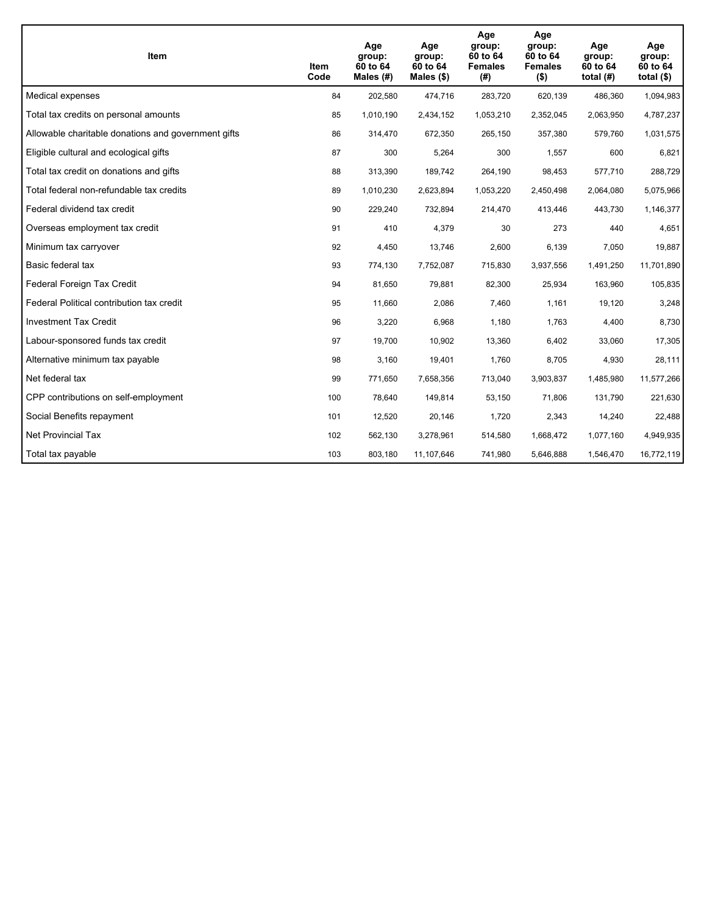| Item                                                | Item<br>Code | Age<br>group:<br>60 to 64<br>Males $(H)$ | Age<br>group:<br>60 to 64<br>Males $(\$)$ | Age<br>group:<br>60 to 64<br><b>Females</b><br>(#) | Age<br>group:<br>60 to 64<br><b>Females</b><br>$($ \$) | Age<br>group:<br>60 to 64<br>total $(H)$ | Age<br>group:<br>60 to 64<br>total $($)$ |
|-----------------------------------------------------|--------------|------------------------------------------|-------------------------------------------|----------------------------------------------------|--------------------------------------------------------|------------------------------------------|------------------------------------------|
| Medical expenses                                    | 84           | 202,580                                  | 474,716                                   | 283,720                                            | 620,139                                                | 486,360                                  | 1,094,983                                |
| Total tax credits on personal amounts               | 85           | 1,010,190                                | 2,434,152                                 | 1,053,210                                          | 2,352,045                                              | 2,063,950                                | 4,787,237                                |
| Allowable charitable donations and government gifts | 86           | 314,470                                  | 672,350                                   | 265,150                                            | 357,380                                                | 579,760                                  | 1,031,575                                |
| Eligible cultural and ecological gifts              | 87           | 300                                      | 5,264                                     | 300                                                | 1,557                                                  | 600                                      | 6,821                                    |
| Total tax credit on donations and gifts             | 88           | 313,390                                  | 189,742                                   | 264,190                                            | 98,453                                                 | 577,710                                  | 288,729                                  |
| Total federal non-refundable tax credits            | 89           | 1,010,230                                | 2,623,894                                 | 1,053,220                                          | 2,450,498                                              | 2,064,080                                | 5,075,966                                |
| Federal dividend tax credit                         | 90           | 229,240                                  | 732,894                                   | 214,470                                            | 413,446                                                | 443,730                                  | 1,146,377                                |
| Overseas employment tax credit                      | 91           | 410                                      | 4,379                                     | 30                                                 | 273                                                    | 440                                      | 4,651                                    |
| Minimum tax carryover                               | 92           | 4,450                                    | 13,746                                    | 2,600                                              | 6,139                                                  | 7,050                                    | 19,887                                   |
| Basic federal tax                                   | 93           | 774,130                                  | 7,752,087                                 | 715,830                                            | 3,937,556                                              | 1,491,250                                | 11,701,890                               |
| Federal Foreign Tax Credit                          | 94           | 81,650                                   | 79,881                                    | 82,300                                             | 25,934                                                 | 163,960                                  | 105,835                                  |
| Federal Political contribution tax credit           | 95           | 11,660                                   | 2,086                                     | 7,460                                              | 1,161                                                  | 19,120                                   | 3,248                                    |
| <b>Investment Tax Credit</b>                        | 96           | 3,220                                    | 6,968                                     | 1,180                                              | 1,763                                                  | 4,400                                    | 8,730                                    |
| Labour-sponsored funds tax credit                   | 97           | 19,700                                   | 10,902                                    | 13,360                                             | 6,402                                                  | 33,060                                   | 17,305                                   |
| Alternative minimum tax payable                     | 98           | 3,160                                    | 19,401                                    | 1,760                                              | 8,705                                                  | 4,930                                    | 28,111                                   |
| Net federal tax                                     | 99           | 771,650                                  | 7,658,356                                 | 713,040                                            | 3,903,837                                              | 1,485,980                                | 11,577,266                               |
| CPP contributions on self-employment                | 100          | 78,640                                   | 149,814                                   | 53,150                                             | 71,806                                                 | 131,790                                  | 221,630                                  |
| Social Benefits repayment                           | 101          | 12,520                                   | 20,146                                    | 1,720                                              | 2,343                                                  | 14,240                                   | 22,488                                   |
| <b>Net Provincial Tax</b>                           | 102          | 562,130                                  | 3,278,961                                 | 514,580                                            | 1,668,472                                              | 1,077,160                                | 4,949,935                                |
| Total tax payable                                   | 103          | 803,180                                  | 11,107,646                                | 741,980                                            | 5,646,888                                              | 1,546,470                                | 16,772,119                               |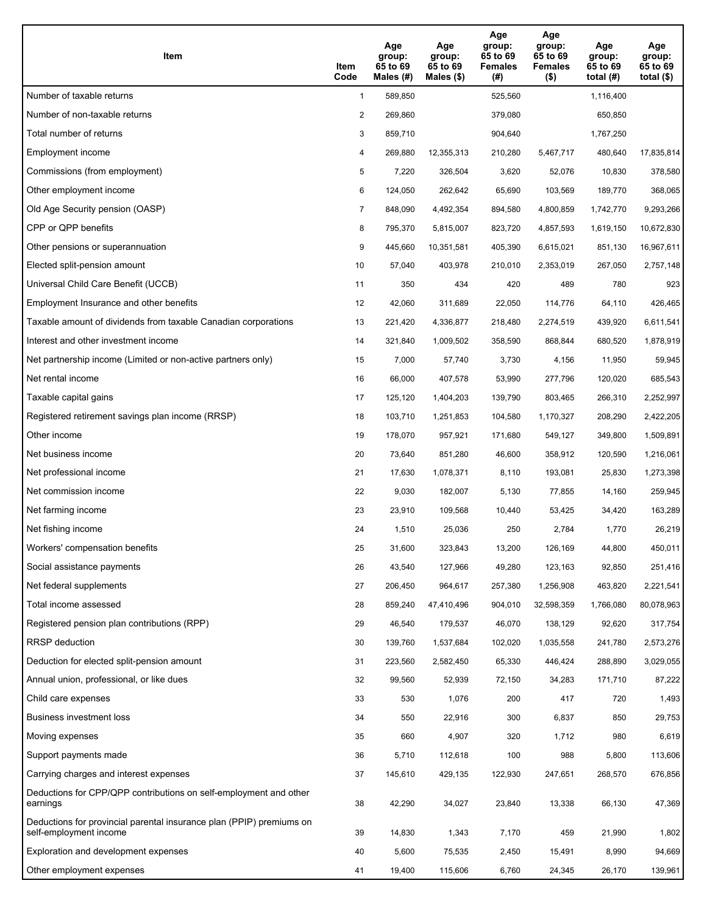| Item                                                                                           | Item<br>Code   | Age<br>group:<br>65 to 69<br>Males $(\#)$ | Age<br>group:<br>65 to 69<br>Males $(\$)$ | Age<br>group:<br>65 to 69<br><b>Females</b><br>(#) | Age<br>group:<br>65 to 69<br><b>Females</b><br>$($ \$) | Age<br>group:<br>65 to 69<br>total $(H)$ | Age<br>group:<br>65 to 69<br>total $(\$)$ |
|------------------------------------------------------------------------------------------------|----------------|-------------------------------------------|-------------------------------------------|----------------------------------------------------|--------------------------------------------------------|------------------------------------------|-------------------------------------------|
| Number of taxable returns                                                                      | $\mathbf{1}$   | 589,850                                   |                                           | 525,560                                            |                                                        | 1,116,400                                |                                           |
| Number of non-taxable returns                                                                  | $\overline{c}$ | 269,860                                   |                                           | 379,080                                            |                                                        | 650,850                                  |                                           |
| Total number of returns                                                                        | 3              | 859,710                                   |                                           | 904,640                                            |                                                        | 1,767,250                                |                                           |
| Employment income                                                                              | 4              | 269,880                                   | 12,355,313                                | 210,280                                            | 5,467,717                                              | 480,640                                  | 17,835,814                                |
| Commissions (from employment)                                                                  | 5              | 7,220                                     | 326,504                                   | 3,620                                              | 52,076                                                 | 10,830                                   | 378,580                                   |
| Other employment income                                                                        | 6              | 124,050                                   | 262.642                                   | 65,690                                             | 103,569                                                | 189,770                                  | 368,065                                   |
| Old Age Security pension (OASP)                                                                | $\overline{7}$ | 848,090                                   | 4,492,354                                 | 894,580                                            | 4,800,859                                              | 1,742,770                                | 9,293,266                                 |
| CPP or QPP benefits                                                                            | 8              | 795,370                                   | 5,815,007                                 | 823,720                                            | 4,857,593                                              | 1,619,150                                | 10,672,830                                |
| Other pensions or superannuation                                                               | 9              | 445,660                                   | 10,351,581                                | 405,390                                            | 6,615,021                                              | 851,130                                  | 16,967,611                                |
| Elected split-pension amount                                                                   | 10             | 57,040                                    | 403,978                                   | 210,010                                            | 2,353,019                                              | 267,050                                  | 2,757,148                                 |
| Universal Child Care Benefit (UCCB)                                                            | 11             | 350                                       | 434                                       | 420                                                | 489                                                    | 780                                      | 923                                       |
| Employment Insurance and other benefits                                                        | 12             | 42,060                                    | 311,689                                   | 22,050                                             | 114,776                                                | 64,110                                   | 426,465                                   |
| Taxable amount of dividends from taxable Canadian corporations                                 | 13             | 221,420                                   | 4,336,877                                 | 218,480                                            | 2,274,519                                              | 439,920                                  | 6,611,541                                 |
| Interest and other investment income                                                           | 14             | 321,840                                   | 1,009,502                                 | 358,590                                            | 868,844                                                | 680,520                                  | 1,878,919                                 |
| Net partnership income (Limited or non-active partners only)                                   | 15             | 7,000                                     | 57,740                                    | 3,730                                              | 4,156                                                  | 11,950                                   | 59,945                                    |
| Net rental income                                                                              | 16             | 66,000                                    | 407,578                                   | 53,990                                             | 277,796                                                | 120,020                                  | 685,543                                   |
| Taxable capital gains                                                                          | 17             | 125,120                                   | 1,404,203                                 | 139,790                                            | 803,465                                                | 266,310                                  | 2,252,997                                 |
| Registered retirement savings plan income (RRSP)                                               | 18             | 103,710                                   | 1,251,853                                 | 104,580                                            | 1,170,327                                              | 208,290                                  | 2,422,205                                 |
| Other income                                                                                   | 19             | 178,070                                   | 957,921                                   | 171,680                                            | 549,127                                                | 349,800                                  | 1,509,891                                 |
| Net business income                                                                            | 20             | 73,640                                    | 851,280                                   | 46,600                                             | 358,912                                                | 120,590                                  | 1,216,061                                 |
| Net professional income                                                                        | 21             | 17,630                                    | 1,078,371                                 | 8,110                                              | 193,081                                                | 25,830                                   | 1,273,398                                 |
| Net commission income                                                                          | 22             | 9,030                                     | 182,007                                   | 5,130                                              | 77,855                                                 | 14,160                                   | 259,945                                   |
| Net farming income                                                                             | 23             | 23,910                                    | 109,568                                   | 10,440                                             | 53,425                                                 | 34,420                                   | 163,289                                   |
| Net fishing income                                                                             | 24             | 1,510                                     | 25,036                                    | 250                                                | 2,784                                                  | 1,770                                    | 26,219                                    |
| Workers' compensation benefits                                                                 | 25             | 31,600                                    | 323,843                                   | 13,200                                             | 126,169                                                | 44,800                                   | 450,011                                   |
| Social assistance payments                                                                     | 26             | 43,540                                    | 127,966                                   | 49,280                                             | 123,163                                                | 92,850                                   | 251,416                                   |
| Net federal supplements                                                                        | 27             | 206,450                                   | 964,617                                   | 257,380                                            | 1,256,908                                              | 463,820                                  | 2,221,541                                 |
| Total income assessed                                                                          | 28             | 859,240                                   | 47,410,496                                | 904,010                                            | 32,598,359                                             | 1,766,080                                | 80,078,963                                |
| Registered pension plan contributions (RPP)                                                    | 29             | 46,540                                    | 179,537                                   | 46,070                                             | 138,129                                                | 92,620                                   | 317,754                                   |
| RRSP deduction                                                                                 | 30             | 139,760                                   | 1,537,684                                 | 102,020                                            | 1,035,558                                              | 241,780                                  | 2,573,276                                 |
| Deduction for elected split-pension amount                                                     | 31             | 223,560                                   | 2,582,450                                 | 65,330                                             | 446,424                                                | 288,890                                  | 3,029,055                                 |
| Annual union, professional, or like dues                                                       | 32             | 99,560                                    | 52,939                                    | 72,150                                             | 34,283                                                 | 171,710                                  | 87,222                                    |
| Child care expenses                                                                            | 33             | 530                                       | 1,076                                     | 200                                                | 417                                                    | 720                                      | 1,493                                     |
| <b>Business investment loss</b>                                                                | 34             | 550                                       | 22,916                                    | 300                                                | 6,837                                                  | 850                                      | 29,753                                    |
| Moving expenses                                                                                | 35             | 660                                       | 4,907                                     | 320                                                | 1,712                                                  | 980                                      | 6,619                                     |
| Support payments made                                                                          | 36             | 5,710                                     | 112,618                                   | 100                                                | 988                                                    | 5,800                                    | 113,606                                   |
| Carrying charges and interest expenses                                                         | 37             | 145,610                                   | 429,135                                   | 122,930                                            | 247,651                                                | 268,570                                  | 676,856                                   |
| Deductions for CPP/QPP contributions on self-employment and other<br>earnings                  | 38             | 42,290                                    | 34,027                                    | 23,840                                             | 13,338                                                 | 66,130                                   | 47,369                                    |
| Deductions for provincial parental insurance plan (PPIP) premiums on<br>self-employment income | 39             | 14,830                                    | 1,343                                     | 7,170                                              | 459                                                    | 21,990                                   | 1,802                                     |
| Exploration and development expenses                                                           | 40             | 5,600                                     | 75,535                                    | 2,450                                              | 15,491                                                 | 8,990                                    | 94,669                                    |
| Other employment expenses                                                                      | 41             | 19,400                                    | 115,606                                   | 6,760                                              | 24,345                                                 | 26,170                                   | 139,961                                   |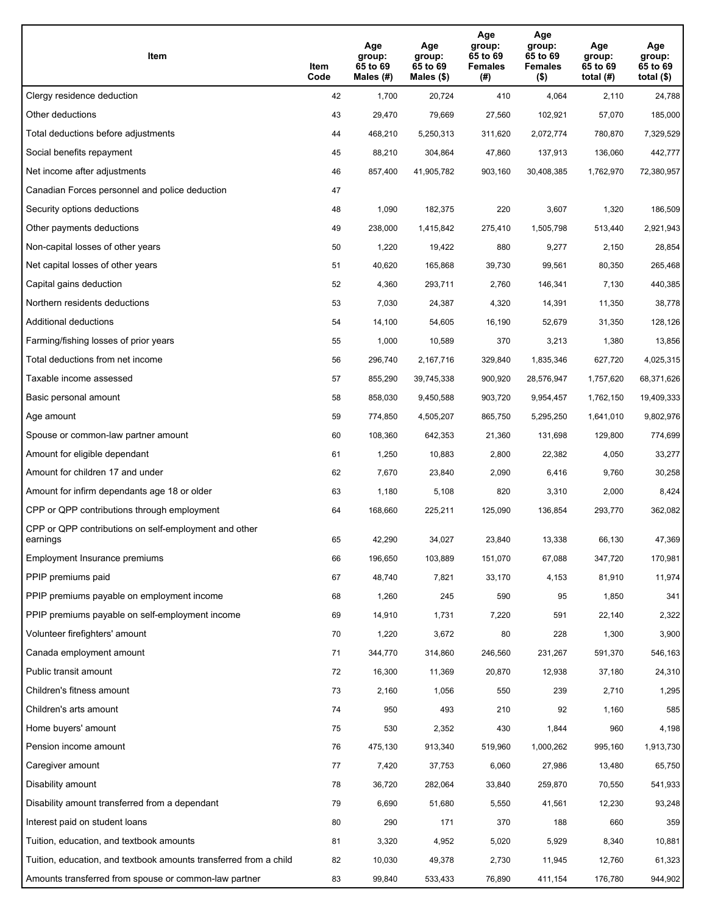| Item                                                              | Item<br>Code | Age<br>group:<br>65 to 69<br>Males (#) | Age<br>group:<br>65 to 69<br>Males (\$) | Age<br>group:<br>65 to 69<br><b>Females</b><br>(#) | Age<br>group:<br>65 to 69<br><b>Females</b><br>$($ \$) | Age<br>group:<br>65 to 69<br>total $(H)$ | Age<br>group:<br>65 to 69<br>total $($)$ |
|-------------------------------------------------------------------|--------------|----------------------------------------|-----------------------------------------|----------------------------------------------------|--------------------------------------------------------|------------------------------------------|------------------------------------------|
| Clergy residence deduction                                        | 42           | 1,700                                  | 20,724                                  | 410                                                | 4,064                                                  | 2,110                                    | 24,788                                   |
| Other deductions                                                  | 43           | 29,470                                 | 79,669                                  | 27,560                                             | 102,921                                                | 57,070                                   | 185,000                                  |
| Total deductions before adjustments                               | 44           | 468,210                                | 5,250,313                               | 311,620                                            | 2,072,774                                              | 780,870                                  | 7,329,529                                |
| Social benefits repayment                                         | 45           | 88,210                                 | 304,864                                 | 47,860                                             | 137,913                                                | 136,060                                  | 442,777                                  |
| Net income after adjustments                                      | 46           | 857,400                                | 41,905,782                              | 903,160                                            | 30,408,385                                             | 1,762,970                                | 72,380,957                               |
| Canadian Forces personnel and police deduction                    | 47           |                                        |                                         |                                                    |                                                        |                                          |                                          |
| Security options deductions                                       | 48           | 1,090                                  | 182,375                                 | 220                                                | 3,607                                                  | 1,320                                    | 186,509                                  |
| Other payments deductions                                         | 49           | 238,000                                | 1,415,842                               | 275,410                                            | 1,505,798                                              | 513,440                                  | 2,921,943                                |
| Non-capital losses of other years                                 | 50           | 1,220                                  | 19,422                                  | 880                                                | 9,277                                                  | 2,150                                    | 28,854                                   |
| Net capital losses of other years                                 | 51           | 40,620                                 | 165,868                                 | 39,730                                             | 99,561                                                 | 80,350                                   | 265,468                                  |
| Capital gains deduction                                           | 52           | 4,360                                  | 293,711                                 | 2,760                                              | 146,341                                                | 7,130                                    | 440,385                                  |
| Northern residents deductions                                     | 53           | 7,030                                  | 24,387                                  | 4,320                                              | 14,391                                                 | 11,350                                   | 38,778                                   |
| Additional deductions                                             | 54           | 14,100                                 | 54,605                                  | 16,190                                             | 52,679                                                 | 31,350                                   | 128,126                                  |
| Farming/fishing losses of prior years                             | 55           | 1,000                                  | 10,589                                  | 370                                                | 3,213                                                  | 1,380                                    | 13,856                                   |
| Total deductions from net income                                  | 56           | 296,740                                | 2,167,716                               | 329,840                                            | 1,835,346                                              | 627,720                                  | 4,025,315                                |
| Taxable income assessed                                           | 57           | 855,290                                | 39,745,338                              | 900,920                                            | 28,576,947                                             | 1,757,620                                | 68,371,626                               |
| Basic personal amount                                             | 58           | 858,030                                | 9,450,588                               | 903,720                                            | 9,954,457                                              | 1,762,150                                | 19,409,333                               |
| Age amount                                                        | 59           | 774,850                                | 4,505,207                               | 865,750                                            | 5,295,250                                              | 1,641,010                                | 9,802,976                                |
| Spouse or common-law partner amount                               | 60           | 108,360                                | 642,353                                 | 21,360                                             | 131,698                                                | 129,800                                  | 774,699                                  |
| Amount for eligible dependant                                     | 61           | 1,250                                  | 10,883                                  | 2,800                                              | 22,382                                                 | 4,050                                    | 33,277                                   |
| Amount for children 17 and under                                  | 62           | 7,670                                  | 23,840                                  | 2,090                                              | 6,416                                                  | 9,760                                    | 30,258                                   |
| Amount for infirm dependants age 18 or older                      | 63           | 1,180                                  | 5,108                                   | 820                                                | 3,310                                                  | 2,000                                    | 8,424                                    |
| CPP or QPP contributions through employment                       | 64           | 168,660                                | 225,211                                 | 125,090                                            | 136,854                                                | 293,770                                  | 362,082                                  |
| CPP or QPP contributions on self-employment and other<br>earnings | 65           | 42,290                                 | 34,027                                  | 23,840                                             | 13,338                                                 | 66,130                                   | 47,369                                   |
| Employment Insurance premiums                                     | 66           | 196,650                                | 103,889                                 | 151,070                                            | 67,088                                                 | 347,720                                  | 170,981                                  |
| PPIP premiums paid                                                | 67           | 48,740                                 | 7,821                                   | 33,170                                             | 4,153                                                  | 81,910                                   | 11,974                                   |
| PPIP premiums payable on employment income                        | 68           | 1,260                                  | 245                                     | 590                                                | 95                                                     | 1,850                                    | 341                                      |
| PPIP premiums payable on self-employment income                   | 69           | 14,910                                 | 1,731                                   | 7,220                                              | 591                                                    | 22,140                                   | 2,322                                    |
| Volunteer firefighters' amount                                    | 70           | 1,220                                  | 3,672                                   | 80                                                 | 228                                                    | 1,300                                    | 3,900                                    |
| Canada employment amount                                          | 71           | 344,770                                | 314,860                                 | 246,560                                            | 231,267                                                | 591,370                                  | 546,163                                  |
| Public transit amount                                             | 72           | 16,300                                 | 11,369                                  | 20,870                                             | 12,938                                                 | 37,180                                   | 24,310                                   |
| Children's fitness amount                                         | 73           | 2,160                                  | 1,056                                   | 550                                                | 239                                                    | 2,710                                    | 1,295                                    |
| Children's arts amount                                            | 74           | 950                                    | 493                                     | 210                                                | 92                                                     | 1,160                                    | 585                                      |
| Home buyers' amount                                               | 75           | 530                                    | 2,352                                   | 430                                                | 1,844                                                  | 960                                      | 4,198                                    |
| Pension income amount                                             | 76           | 475,130                                | 913,340                                 | 519,960                                            | 1,000,262                                              | 995,160                                  | 1,913,730                                |
| Caregiver amount                                                  | 77           | 7,420                                  | 37,753                                  | 6,060                                              | 27,986                                                 | 13,480                                   | 65,750                                   |
| Disability amount                                                 | 78           | 36,720                                 | 282,064                                 | 33,840                                             | 259,870                                                | 70,550                                   | 541,933                                  |
| Disability amount transferred from a dependant                    | 79           | 6,690                                  | 51,680                                  | 5,550                                              | 41,561                                                 | 12,230                                   | 93,248                                   |
| Interest paid on student loans                                    | 80           | 290                                    | 171                                     | 370                                                | 188                                                    | 660                                      | 359                                      |
| Tuition, education, and textbook amounts                          | 81           | 3,320                                  | 4,952                                   | 5,020                                              | 5,929                                                  | 8,340                                    | 10,881                                   |
| Tuition, education, and textbook amounts transferred from a child | 82           | 10,030                                 | 49,378                                  | 2,730                                              | 11,945                                                 | 12,760                                   | 61,323                                   |
| Amounts transferred from spouse or common-law partner             | 83           | 99,840                                 | 533,433                                 | 76,890                                             | 411,154                                                | 176,780                                  | 944,902                                  |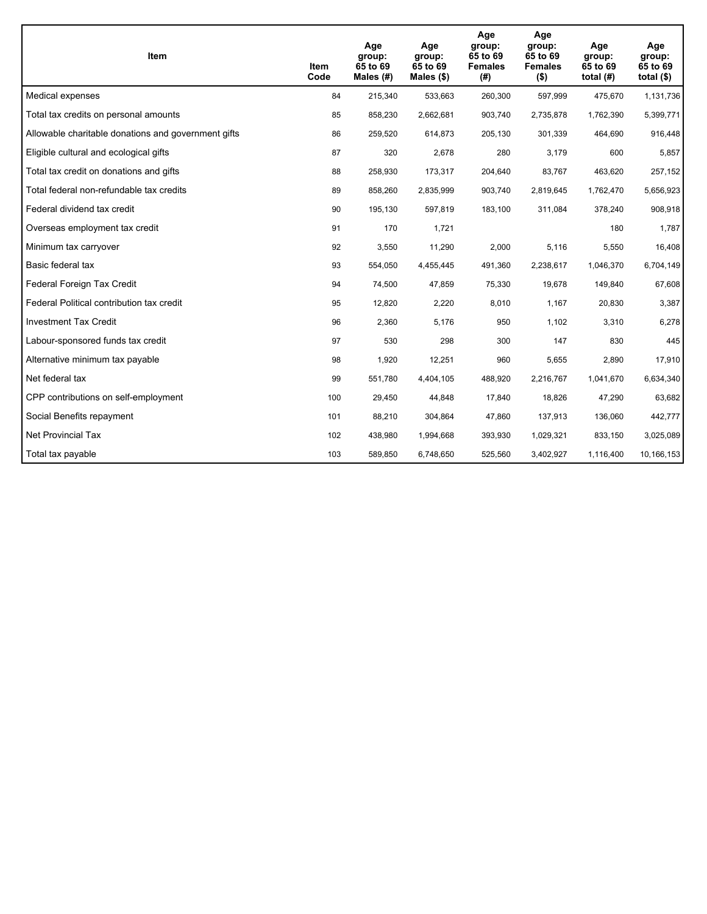| Item                                                | Item<br>Code | Age<br>group:<br>65 to 69<br>Males (#) | Age<br>group:<br>65 to 69<br>Males $(\$)$ | Age<br>group:<br>65 to 69<br><b>Females</b><br>(#) | Age<br>group:<br>65 to 69<br><b>Females</b><br>$($ \$) | Age<br>group:<br>65 to 69<br>total $(H)$ | Age<br>group:<br>65 to 69<br>total $($)$ |
|-----------------------------------------------------|--------------|----------------------------------------|-------------------------------------------|----------------------------------------------------|--------------------------------------------------------|------------------------------------------|------------------------------------------|
| Medical expenses                                    | 84           | 215,340                                | 533,663                                   | 260,300                                            | 597,999                                                | 475,670                                  | 1,131,736                                |
| Total tax credits on personal amounts               | 85           | 858,230                                | 2,662,681                                 | 903,740                                            | 2,735,878                                              | 1,762,390                                | 5,399,771                                |
| Allowable charitable donations and government gifts | 86           | 259,520                                | 614,873                                   | 205,130                                            | 301,339                                                | 464,690                                  | 916,448                                  |
| Eligible cultural and ecological gifts              | 87           | 320                                    | 2,678                                     | 280                                                | 3,179                                                  | 600                                      | 5,857                                    |
| Total tax credit on donations and gifts             | 88           | 258,930                                | 173,317                                   | 204,640                                            | 83,767                                                 | 463,620                                  | 257,152                                  |
| Total federal non-refundable tax credits            | 89           | 858,260                                | 2,835,999                                 | 903,740                                            | 2,819,645                                              | 1,762,470                                | 5,656,923                                |
| Federal dividend tax credit                         | 90           | 195,130                                | 597,819                                   | 183,100                                            | 311,084                                                | 378,240                                  | 908,918                                  |
| Overseas employment tax credit                      | 91           | 170                                    | 1,721                                     |                                                    |                                                        | 180                                      | 1,787                                    |
| Minimum tax carryover                               | 92           | 3,550                                  | 11,290                                    | 2,000                                              | 5,116                                                  | 5,550                                    | 16,408                                   |
| Basic federal tax                                   | 93           | 554,050                                | 4,455,445                                 | 491,360                                            | 2,238,617                                              | 1,046,370                                | 6,704,149                                |
| Federal Foreign Tax Credit                          | 94           | 74,500                                 | 47,859                                    | 75,330                                             | 19,678                                                 | 149,840                                  | 67,608                                   |
| Federal Political contribution tax credit           | 95           | 12,820                                 | 2,220                                     | 8,010                                              | 1,167                                                  | 20,830                                   | 3,387                                    |
| <b>Investment Tax Credit</b>                        | 96           | 2,360                                  | 5,176                                     | 950                                                | 1,102                                                  | 3,310                                    | 6,278                                    |
| Labour-sponsored funds tax credit                   | 97           | 530                                    | 298                                       | 300                                                | 147                                                    | 830                                      | 445                                      |
| Alternative minimum tax payable                     | 98           | 1,920                                  | 12,251                                    | 960                                                | 5,655                                                  | 2,890                                    | 17,910                                   |
| Net federal tax                                     | 99           | 551,780                                | 4,404,105                                 | 488,920                                            | 2,216,767                                              | 1,041,670                                | 6,634,340                                |
| CPP contributions on self-employment                | 100          | 29,450                                 | 44,848                                    | 17,840                                             | 18,826                                                 | 47,290                                   | 63,682                                   |
| Social Benefits repayment                           | 101          | 88,210                                 | 304,864                                   | 47,860                                             | 137,913                                                | 136,060                                  | 442,777                                  |
| Net Provincial Tax                                  | 102          | 438,980                                | 1,994,668                                 | 393,930                                            | 1,029,321                                              | 833,150                                  | 3,025,089                                |
| Total tax payable                                   | 103          | 589,850                                | 6,748,650                                 | 525,560                                            | 3,402,927                                              | 1,116,400                                | 10,166,153                               |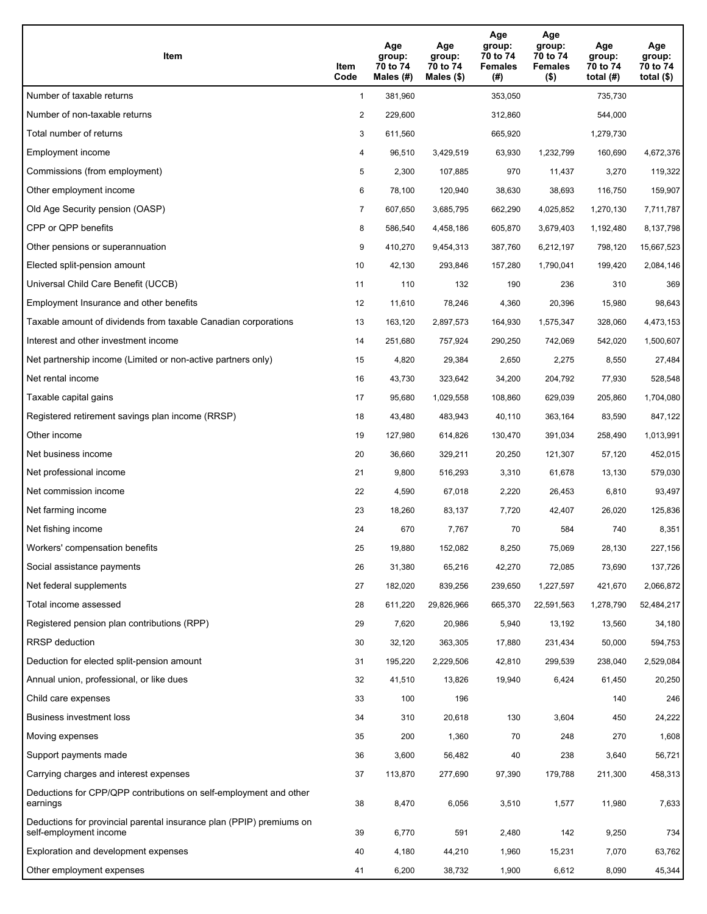| Item                                                                                           | Item<br>Code   | Age<br>group:<br>70 to 74<br>Males $(\#)$ | Age<br>group:<br>70 to 74<br>Males $(\$)$ | Age<br>group:<br>70 to 74<br><b>Females</b><br>(#) | Age<br>group:<br>70 to 74<br><b>Females</b><br>$($ \$) | Age<br>group:<br>70 to 74<br>total $(H)$ | Age<br>group:<br>70 to 74<br>total $(\$)$ |
|------------------------------------------------------------------------------------------------|----------------|-------------------------------------------|-------------------------------------------|----------------------------------------------------|--------------------------------------------------------|------------------------------------------|-------------------------------------------|
| Number of taxable returns                                                                      | $\mathbf{1}$   | 381,960                                   |                                           | 353,050                                            |                                                        | 735,730                                  |                                           |
| Number of non-taxable returns                                                                  | $\overline{c}$ | 229,600                                   |                                           | 312,860                                            |                                                        | 544,000                                  |                                           |
| Total number of returns                                                                        | 3              | 611,560                                   |                                           | 665,920                                            |                                                        | 1,279,730                                |                                           |
| Employment income                                                                              | 4              | 96,510                                    | 3,429,519                                 | 63,930                                             | 1,232,799                                              | 160,690                                  | 4,672,376                                 |
| Commissions (from employment)                                                                  | 5              | 2,300                                     | 107,885                                   | 970                                                | 11,437                                                 | 3,270                                    | 119,322                                   |
| Other employment income                                                                        | 6              | 78,100                                    | 120,940                                   | 38,630                                             | 38,693                                                 | 116,750                                  | 159,907                                   |
| Old Age Security pension (OASP)                                                                | $\overline{7}$ | 607,650                                   | 3,685,795                                 | 662,290                                            | 4,025,852                                              | 1,270,130                                | 7,711,787                                 |
| CPP or QPP benefits                                                                            | 8              | 586,540                                   | 4,458,186                                 | 605,870                                            | 3,679,403                                              | 1,192,480                                | 8,137,798                                 |
| Other pensions or superannuation                                                               | 9              | 410,270                                   | 9,454,313                                 | 387,760                                            | 6,212,197                                              | 798,120                                  | 15,667,523                                |
| Elected split-pension amount                                                                   | 10             | 42,130                                    | 293,846                                   | 157,280                                            | 1,790,041                                              | 199,420                                  | 2,084,146                                 |
| Universal Child Care Benefit (UCCB)                                                            | 11             | 110                                       | 132                                       | 190                                                | 236                                                    | 310                                      | 369                                       |
| Employment Insurance and other benefits                                                        | 12             | 11,610                                    | 78,246                                    | 4,360                                              | 20,396                                                 | 15,980                                   | 98,643                                    |
| Taxable amount of dividends from taxable Canadian corporations                                 | 13             | 163,120                                   | 2,897,573                                 | 164,930                                            | 1,575,347                                              | 328,060                                  | 4,473,153                                 |
| Interest and other investment income                                                           | 14             | 251,680                                   | 757,924                                   | 290,250                                            | 742,069                                                | 542,020                                  | 1,500,607                                 |
| Net partnership income (Limited or non-active partners only)                                   | 15             | 4,820                                     | 29,384                                    | 2,650                                              | 2,275                                                  | 8,550                                    | 27,484                                    |
| Net rental income                                                                              | 16             | 43,730                                    | 323,642                                   | 34,200                                             | 204,792                                                | 77,930                                   | 528,548                                   |
| Taxable capital gains                                                                          | 17             | 95,680                                    | 1,029,558                                 | 108,860                                            | 629,039                                                | 205,860                                  | 1,704,080                                 |
| Registered retirement savings plan income (RRSP)                                               | 18             | 43,480                                    | 483,943                                   | 40,110                                             | 363,164                                                | 83,590                                   | 847,122                                   |
| Other income                                                                                   | 19             | 127,980                                   | 614,826                                   | 130,470                                            | 391,034                                                | 258,490                                  | 1,013,991                                 |
| Net business income                                                                            | 20             | 36,660                                    | 329,211                                   | 20,250                                             | 121,307                                                | 57,120                                   | 452,015                                   |
| Net professional income                                                                        | 21             | 9,800                                     | 516,293                                   | 3,310                                              | 61,678                                                 | 13,130                                   | 579,030                                   |
| Net commission income                                                                          | 22             | 4,590                                     | 67,018                                    | 2,220                                              | 26,453                                                 | 6,810                                    | 93,497                                    |
| Net farming income                                                                             | 23             | 18,260                                    | 83,137                                    | 7,720                                              | 42,407                                                 | 26,020                                   | 125,836                                   |
| Net fishing income                                                                             | 24             | 670                                       | 7,767                                     | 70                                                 | 584                                                    | 740                                      | 8,351                                     |
| Workers' compensation benefits                                                                 | 25             | 19,880                                    | 152,082                                   | 8,250                                              | 75,069                                                 | 28,130                                   | 227,156                                   |
| Social assistance payments                                                                     | 26             | 31,380                                    | 65,216                                    | 42,270                                             | 72,085                                                 | 73,690                                   | 137,726                                   |
| Net federal supplements                                                                        | 27             | 182,020                                   | 839,256                                   | 239,650                                            | 1,227,597                                              | 421,670                                  | 2,066,872                                 |
| Total income assessed                                                                          | 28             | 611,220                                   | 29,826,966                                | 665,370                                            | 22,591,563                                             | 1,278,790                                | 52,484,217                                |
| Registered pension plan contributions (RPP)                                                    | 29             | 7,620                                     | 20,986                                    | 5,940                                              | 13,192                                                 | 13,560                                   | 34,180                                    |
| RRSP deduction                                                                                 | 30             | 32,120                                    | 363,305                                   | 17,880                                             | 231,434                                                | 50,000                                   | 594,753                                   |
| Deduction for elected split-pension amount                                                     | 31             | 195,220                                   | 2,229,506                                 | 42,810                                             | 299,539                                                | 238,040                                  | 2,529,084                                 |
| Annual union, professional, or like dues                                                       | 32             | 41,510                                    | 13,826                                    | 19,940                                             | 6,424                                                  | 61,450                                   | 20,250                                    |
| Child care expenses                                                                            | 33             | 100                                       | 196                                       |                                                    |                                                        | 140                                      | 246                                       |
| <b>Business investment loss</b>                                                                | 34             | 310                                       | 20,618                                    | 130                                                | 3,604                                                  | 450                                      | 24,222                                    |
| Moving expenses                                                                                | 35             | 200                                       | 1,360                                     | 70                                                 | 248                                                    | 270                                      | 1,608                                     |
| Support payments made                                                                          | 36             | 3,600                                     | 56,482                                    | 40                                                 | 238                                                    | 3,640                                    | 56,721                                    |
| Carrying charges and interest expenses                                                         | 37             | 113,870                                   | 277,690                                   | 97,390                                             | 179,788                                                | 211,300                                  | 458,313                                   |
| Deductions for CPP/QPP contributions on self-employment and other<br>earnings                  | 38             | 8,470                                     | 6,056                                     | 3,510                                              | 1,577                                                  | 11,980                                   | 7,633                                     |
| Deductions for provincial parental insurance plan (PPIP) premiums on<br>self-employment income | 39             | 6,770                                     | 591                                       | 2,480                                              | 142                                                    | 9,250                                    | 734                                       |
| Exploration and development expenses                                                           | 40             | 4,180                                     | 44,210                                    | 1,960                                              | 15,231                                                 | 7,070                                    | 63,762                                    |
| Other employment expenses                                                                      | 41             | 6,200                                     | 38,732                                    | 1,900                                              | 6,612                                                  | 8,090                                    | 45,344                                    |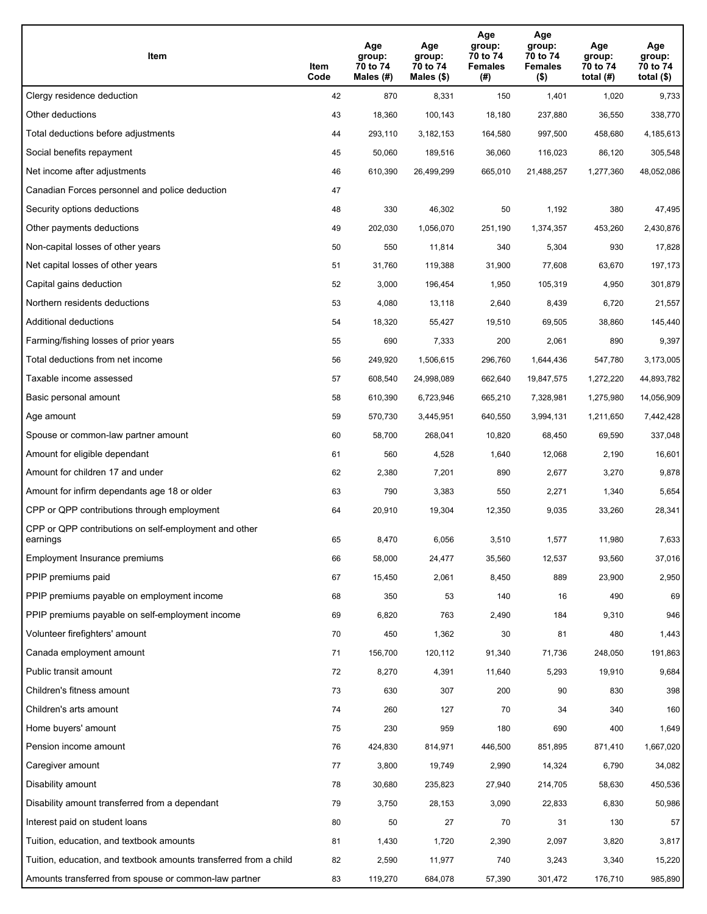| Item                                                              | Item<br>Code | Age<br>group:<br>70 to 74<br>Males (#) | Age<br>group:<br>70 to 74<br>Males (\$) | Age<br>group:<br>70 to 74<br><b>Females</b><br>(# ) | Age<br>group:<br>70 to 74<br><b>Females</b><br>$($ \$) | Age<br>group:<br>70 to 74<br>total $(H)$ | Age<br>group:<br>70 to 74<br>total $($)$ |
|-------------------------------------------------------------------|--------------|----------------------------------------|-----------------------------------------|-----------------------------------------------------|--------------------------------------------------------|------------------------------------------|------------------------------------------|
| Clergy residence deduction                                        | 42           | 870                                    | 8,331                                   | 150                                                 | 1,401                                                  | 1,020                                    | 9,733                                    |
| Other deductions                                                  | 43           | 18,360                                 | 100,143                                 | 18,180                                              | 237,880                                                | 36,550                                   | 338,770                                  |
| Total deductions before adjustments                               | 44           | 293,110                                | 3,182,153                               | 164,580                                             | 997,500                                                | 458,680                                  | 4,185,613                                |
| Social benefits repayment                                         | 45           | 50,060                                 | 189,516                                 | 36,060                                              | 116,023                                                | 86,120                                   | 305,548                                  |
| Net income after adjustments                                      | 46           | 610,390                                | 26,499,299                              | 665,010                                             | 21,488,257                                             | 1,277,360                                | 48,052,086                               |
| Canadian Forces personnel and police deduction                    | 47           |                                        |                                         |                                                     |                                                        |                                          |                                          |
| Security options deductions                                       | 48           | 330                                    | 46,302                                  | 50                                                  | 1,192                                                  | 380                                      | 47,495                                   |
| Other payments deductions                                         | 49           | 202,030                                | 1,056,070                               | 251,190                                             | 1,374,357                                              | 453,260                                  | 2,430,876                                |
| Non-capital losses of other years                                 | 50           | 550                                    | 11,814                                  | 340                                                 | 5,304                                                  | 930                                      | 17,828                                   |
| Net capital losses of other years                                 | 51           | 31,760                                 | 119,388                                 | 31,900                                              | 77,608                                                 | 63,670                                   | 197,173                                  |
| Capital gains deduction                                           | 52           | 3,000                                  | 196,454                                 | 1,950                                               | 105,319                                                | 4,950                                    | 301,879                                  |
| Northern residents deductions                                     | 53           | 4,080                                  | 13,118                                  | 2,640                                               | 8,439                                                  | 6,720                                    | 21,557                                   |
| Additional deductions                                             | 54           | 18,320                                 | 55,427                                  | 19,510                                              | 69,505                                                 | 38,860                                   | 145,440                                  |
| Farming/fishing losses of prior years                             | 55           | 690                                    | 7,333                                   | 200                                                 | 2,061                                                  | 890                                      | 9,397                                    |
| Total deductions from net income                                  | 56           | 249,920                                | 1,506,615                               | 296,760                                             | 1,644,436                                              | 547,780                                  | 3,173,005                                |
| Taxable income assessed                                           | 57           | 608,540                                | 24,998,089                              | 662,640                                             | 19,847,575                                             | 1,272,220                                | 44,893,782                               |
| Basic personal amount                                             | 58           | 610,390                                | 6,723,946                               | 665,210                                             | 7,328,981                                              | 1,275,980                                | 14,056,909                               |
| Age amount                                                        | 59           | 570,730                                | 3,445,951                               | 640,550                                             | 3,994,131                                              | 1,211,650                                | 7,442,428                                |
| Spouse or common-law partner amount                               | 60           | 58,700                                 | 268,041                                 | 10,820                                              | 68,450                                                 | 69,590                                   | 337,048                                  |
| Amount for eligible dependant                                     | 61           | 560                                    | 4,528                                   | 1,640                                               | 12,068                                                 | 2,190                                    | 16,601                                   |
| Amount for children 17 and under                                  | 62           | 2,380                                  | 7,201                                   | 890                                                 | 2,677                                                  | 3,270                                    | 9,878                                    |
| Amount for infirm dependants age 18 or older                      | 63           | 790                                    | 3,383                                   | 550                                                 | 2,271                                                  | 1,340                                    | 5,654                                    |
| CPP or QPP contributions through employment                       | 64           | 20,910                                 | 19,304                                  | 12,350                                              | 9,035                                                  | 33,260                                   | 28,341                                   |
| CPP or QPP contributions on self-employment and other<br>earnings | 65           | 8,470                                  | 6,056                                   | 3,510                                               | 1,577                                                  | 11,980                                   | 7,633                                    |
| Employment Insurance premiums                                     | 66           | 58,000                                 | 24,477                                  | 35,560                                              | 12,537                                                 | 93,560                                   | 37,016                                   |
| PPIP premiums paid                                                | 67           | 15,450                                 | 2,061                                   | 8,450                                               | 889                                                    | 23,900                                   | 2,950                                    |
| PPIP premiums payable on employment income                        | 68           | 350                                    | 53                                      | 140                                                 | 16                                                     | 490                                      | 69                                       |
| PPIP premiums payable on self-employment income                   | 69           | 6,820                                  | 763                                     | 2,490                                               | 184                                                    | 9,310                                    | 946                                      |
| Volunteer firefighters' amount                                    | 70           | 450                                    | 1,362                                   | 30                                                  | 81                                                     | 480                                      | 1,443                                    |
| Canada employment amount                                          | 71           | 156,700                                | 120,112                                 | 91,340                                              | 71,736                                                 | 248,050                                  | 191,863                                  |
| Public transit amount                                             | 72           | 8,270                                  | 4,391                                   | 11,640                                              | 5,293                                                  | 19,910                                   | 9,684                                    |
| Children's fitness amount                                         | 73           | 630                                    | 307                                     | 200                                                 | 90                                                     | 830                                      | 398                                      |
| Children's arts amount                                            | 74           | 260                                    | 127                                     | 70                                                  | 34                                                     | 340                                      | 160                                      |
| Home buyers' amount                                               | 75           | 230                                    | 959                                     | 180                                                 | 690                                                    | 400                                      | 1,649                                    |
| Pension income amount                                             | 76           | 424,830                                | 814,971                                 | 446,500                                             | 851,895                                                | 871,410                                  | 1,667,020                                |
| Caregiver amount                                                  | 77           | 3,800                                  | 19,749                                  | 2,990                                               | 14,324                                                 | 6,790                                    | 34,082                                   |
| Disability amount                                                 | 78           | 30,680                                 | 235,823                                 | 27,940                                              | 214,705                                                | 58,630                                   | 450,536                                  |
| Disability amount transferred from a dependant                    | 79           | 3,750                                  | 28,153                                  | 3,090                                               | 22,833                                                 | 6,830                                    | 50,986                                   |
| Interest paid on student loans                                    | 80           | 50                                     | 27                                      | 70                                                  | 31                                                     | 130                                      | 57                                       |
| Tuition, education, and textbook amounts                          | 81           | 1,430                                  | 1,720                                   | 2,390                                               | 2,097                                                  | 3,820                                    | 3,817                                    |
| Tuition, education, and textbook amounts transferred from a child | 82           | 2,590                                  | 11,977                                  | 740                                                 | 3,243                                                  | 3,340                                    | 15,220                                   |
| Amounts transferred from spouse or common-law partner             | 83           | 119,270                                | 684,078                                 | 57,390                                              | 301,472                                                | 176,710                                  | 985,890                                  |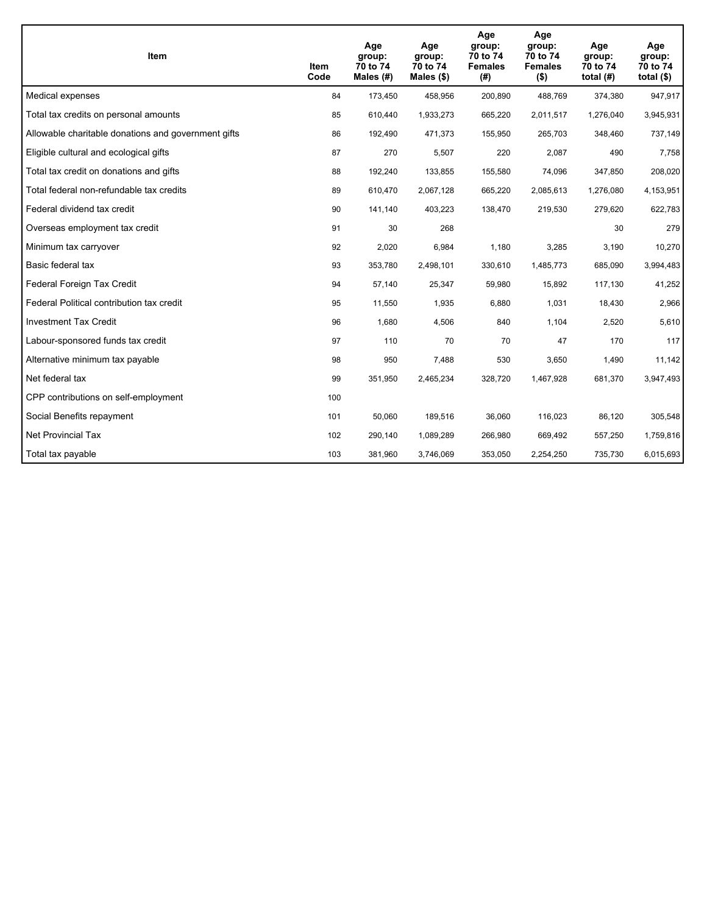| <b>Item</b>                                         | Item<br>Code | Age<br>group:<br>70 to 74<br>Males (#) | Age<br>group:<br>70 to 74<br>Males $(\$)$ | Age<br>group:<br>70 to 74<br><b>Females</b><br>(#) | Age<br>group:<br>70 to 74<br><b>Females</b><br>$($ \$) | Age<br>group:<br>70 to 74<br>total $(H)$ | Age<br>group:<br>70 to 74<br>total $($)$ |
|-----------------------------------------------------|--------------|----------------------------------------|-------------------------------------------|----------------------------------------------------|--------------------------------------------------------|------------------------------------------|------------------------------------------|
| Medical expenses                                    | 84           | 173,450                                | 458,956                                   | 200,890                                            | 488,769                                                | 374,380                                  | 947,917                                  |
| Total tax credits on personal amounts               | 85           | 610,440                                | 1,933,273                                 | 665,220                                            | 2,011,517                                              | 1,276,040                                | 3,945,931                                |
| Allowable charitable donations and government gifts | 86           | 192,490                                | 471,373                                   | 155,950                                            | 265,703                                                | 348,460                                  | 737,149                                  |
| Eligible cultural and ecological gifts              | 87           | 270                                    | 5,507                                     | 220                                                | 2,087                                                  | 490                                      | 7,758                                    |
| Total tax credit on donations and gifts             | 88           | 192,240                                | 133,855                                   | 155,580                                            | 74,096                                                 | 347,850                                  | 208,020                                  |
| Total federal non-refundable tax credits            | 89           | 610,470                                | 2,067,128                                 | 665,220                                            | 2,085,613                                              | 1,276,080                                | 4,153,951                                |
| Federal dividend tax credit                         | 90           | 141,140                                | 403,223                                   | 138,470                                            | 219,530                                                | 279,620                                  | 622,783                                  |
| Overseas employment tax credit                      | 91           | 30                                     | 268                                       |                                                    |                                                        | 30                                       | 279                                      |
| Minimum tax carryover                               | 92           | 2,020                                  | 6,984                                     | 1,180                                              | 3,285                                                  | 3,190                                    | 10,270                                   |
| Basic federal tax                                   | 93           | 353,780                                | 2,498,101                                 | 330,610                                            | 1,485,773                                              | 685,090                                  | 3,994,483                                |
| Federal Foreign Tax Credit                          | 94           | 57,140                                 | 25,347                                    | 59,980                                             | 15,892                                                 | 117,130                                  | 41,252                                   |
| Federal Political contribution tax credit           | 95           | 11,550                                 | 1,935                                     | 6,880                                              | 1,031                                                  | 18,430                                   | 2,966                                    |
| <b>Investment Tax Credit</b>                        | 96           | 1,680                                  | 4,506                                     | 840                                                | 1,104                                                  | 2,520                                    | 5,610                                    |
| Labour-sponsored funds tax credit                   | 97           | 110                                    | 70                                        | 70                                                 | 47                                                     | 170                                      | 117                                      |
| Alternative minimum tax payable                     | 98           | 950                                    | 7,488                                     | 530                                                | 3,650                                                  | 1,490                                    | 11,142                                   |
| Net federal tax                                     | 99           | 351,950                                | 2,465,234                                 | 328,720                                            | 1,467,928                                              | 681,370                                  | 3,947,493                                |
| CPP contributions on self-employment                | 100          |                                        |                                           |                                                    |                                                        |                                          |                                          |
| Social Benefits repayment                           | 101          | 50,060                                 | 189,516                                   | 36,060                                             | 116,023                                                | 86,120                                   | 305,548                                  |
| Net Provincial Tax                                  | 102          | 290,140                                | 1,089,289                                 | 266,980                                            | 669,492                                                | 557,250                                  | 1,759,816                                |
| Total tax payable                                   | 103          | 381,960                                | 3,746,069                                 | 353,050                                            | 2,254,250                                              | 735,730                                  | 6,015,693                                |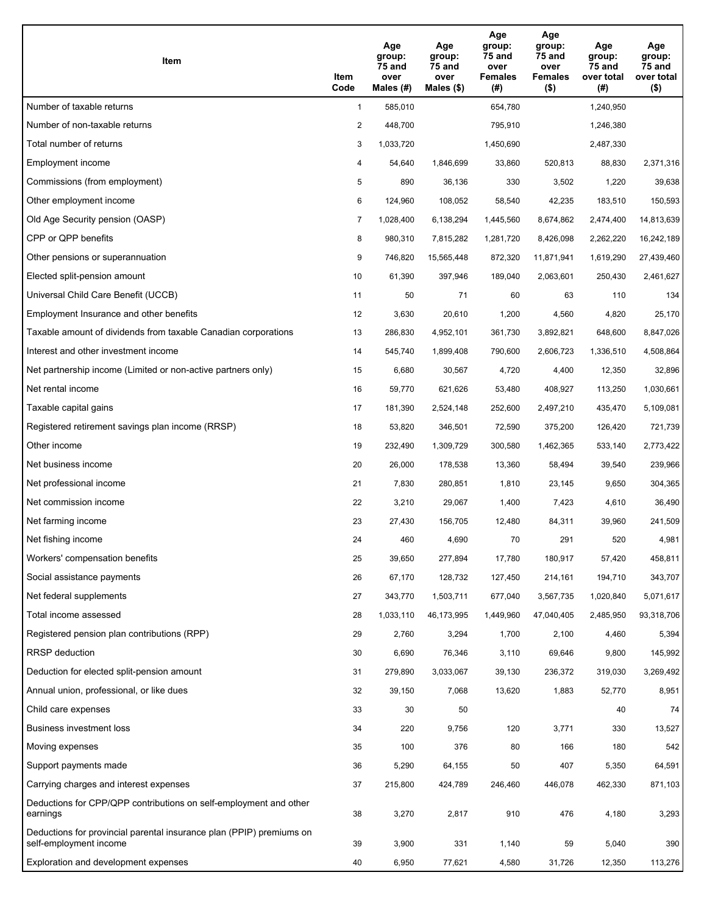| Item                                                                                           | Item<br>Code   | Age<br>group:<br>75 and<br>over<br>Males (#) | Age<br>group:<br>75 and<br>over<br>Males $(\$)$ | Age<br>group:<br>75 and<br>over<br><b>Females</b><br>(# ) | Age<br>group:<br>75 and<br>over<br>Females<br>$($ \$) | Age<br>group:<br>75 and<br>over total<br>(# ) | Age<br>group:<br>75 and<br>over total<br>$($ \$) |
|------------------------------------------------------------------------------------------------|----------------|----------------------------------------------|-------------------------------------------------|-----------------------------------------------------------|-------------------------------------------------------|-----------------------------------------------|--------------------------------------------------|
| Number of taxable returns                                                                      | $\mathbf{1}$   | 585,010                                      |                                                 | 654,780                                                   |                                                       | 1,240,950                                     |                                                  |
| Number of non-taxable returns                                                                  | 2              | 448,700                                      |                                                 | 795,910                                                   |                                                       | 1,246,380                                     |                                                  |
| Total number of returns                                                                        | 3              | 1,033,720                                    |                                                 | 1,450,690                                                 |                                                       | 2,487,330                                     |                                                  |
| Employment income                                                                              | 4              | 54,640                                       | 1,846,699                                       | 33,860                                                    | 520,813                                               | 88,830                                        | 2,371,316                                        |
| Commissions (from employment)                                                                  | 5              | 890                                          | 36.136                                          | 330                                                       | 3,502                                                 | 1,220                                         | 39,638                                           |
| Other employment income                                                                        | 6              | 124,960                                      | 108,052                                         | 58,540                                                    | 42,235                                                | 183,510                                       | 150,593                                          |
| Old Age Security pension (OASP)                                                                | $\overline{7}$ | 1,028,400                                    | 6,138,294                                       | 1,445,560                                                 | 8,674,862                                             | 2,474,400                                     | 14,813,639                                       |
| CPP or QPP benefits                                                                            | 8              | 980,310                                      | 7,815,282                                       | 1,281,720                                                 | 8,426,098                                             | 2,262,220                                     | 16,242,189                                       |
| Other pensions or superannuation                                                               | 9              | 746,820                                      | 15,565,448                                      | 872,320                                                   | 11,871,941                                            | 1,619,290                                     | 27,439,460                                       |
| Elected split-pension amount                                                                   | 10             | 61,390                                       | 397,946                                         | 189,040                                                   | 2,063,601                                             | 250,430                                       | 2,461,627                                        |
| Universal Child Care Benefit (UCCB)                                                            | 11             | 50                                           | 71                                              | 60                                                        | 63                                                    | 110                                           | 134                                              |
| Employment Insurance and other benefits                                                        | 12             | 3,630                                        | 20,610                                          | 1,200                                                     | 4,560                                                 | 4,820                                         | 25,170                                           |
| Taxable amount of dividends from taxable Canadian corporations                                 | 13             | 286,830                                      | 4,952,101                                       | 361,730                                                   | 3,892,821                                             | 648,600                                       | 8,847,026                                        |
| Interest and other investment income                                                           | 14             | 545,740                                      | 1,899,408                                       | 790,600                                                   | 2,606,723                                             | 1,336,510                                     | 4,508,864                                        |
| Net partnership income (Limited or non-active partners only)                                   | 15             | 6,680                                        | 30,567                                          | 4,720                                                     | 4,400                                                 | 12,350                                        | 32,896                                           |
| Net rental income                                                                              | 16             | 59,770                                       | 621,626                                         | 53,480                                                    | 408,927                                               | 113,250                                       | 1,030,661                                        |
| Taxable capital gains                                                                          | 17             | 181,390                                      | 2,524,148                                       | 252,600                                                   | 2,497,210                                             | 435,470                                       | 5,109,081                                        |
| Registered retirement savings plan income (RRSP)                                               | 18             | 53,820                                       | 346,501                                         | 72,590                                                    | 375,200                                               | 126,420                                       | 721,739                                          |
| Other income                                                                                   | 19             | 232,490                                      | 1,309,729                                       | 300,580                                                   | 1,462,365                                             | 533,140                                       | 2,773,422                                        |
| Net business income                                                                            | 20             | 26,000                                       | 178,538                                         | 13,360                                                    | 58,494                                                | 39,540                                        | 239,966                                          |
| Net professional income                                                                        | 21             | 7,830                                        | 280,851                                         | 1,810                                                     | 23,145                                                | 9,650                                         | 304,365                                          |
| Net commission income                                                                          | 22             | 3,210                                        | 29,067                                          | 1,400                                                     | 7,423                                                 | 4,610                                         | 36,490                                           |
| Net farming income                                                                             | 23             | 27,430                                       | 156,705                                         | 12,480                                                    | 84,311                                                | 39,960                                        | 241,509                                          |
| Net fishing income                                                                             | 24             | 460                                          | 4,690                                           | 70                                                        | 291                                                   | 520                                           | 4,981                                            |
| Workers' compensation benefits                                                                 | 25             | 39,650                                       | 277,894                                         | 17,780                                                    | 180,917                                               | 57,420                                        | 458,811                                          |
| Social assistance payments                                                                     | 26             | 67,170                                       | 128,732                                         | 127,450                                                   | 214,161                                               | 194,710                                       | 343,707                                          |
| Net federal supplements                                                                        | 27             | 343,770                                      | 1,503,711                                       | 677,040                                                   | 3,567,735                                             | 1,020,840                                     | 5,071,617                                        |
| Total income assessed                                                                          | 28             | 1,033,110                                    | 46,173,995                                      | 1,449,960                                                 | 47,040,405                                            | 2,485,950                                     | 93,318,706                                       |
| Registered pension plan contributions (RPP)                                                    | 29             | 2,760                                        | 3,294                                           | 1,700                                                     | 2,100                                                 | 4,460                                         | 5,394                                            |
| RRSP deduction                                                                                 | 30             | 6,690                                        | 76,346                                          | 3,110                                                     | 69,646                                                | 9,800                                         | 145,992                                          |
| Deduction for elected split-pension amount                                                     | 31             | 279,890                                      | 3,033,067                                       | 39,130                                                    | 236,372                                               | 319,030                                       | 3,269,492                                        |
| Annual union, professional, or like dues                                                       | 32             | 39,150                                       | 7,068                                           | 13,620                                                    | 1,883                                                 | 52,770                                        | 8,951                                            |
| Child care expenses                                                                            | 33             | 30                                           | 50                                              |                                                           |                                                       | 40                                            | 74                                               |
| <b>Business investment loss</b>                                                                | 34             | 220                                          | 9,756                                           | 120                                                       | 3,771                                                 | 330                                           | 13,527                                           |
| Moving expenses                                                                                | 35             | 100                                          | 376                                             | 80                                                        | 166                                                   | 180                                           | 542                                              |
| Support payments made                                                                          | 36             | 5,290                                        | 64,155                                          | 50                                                        | 407                                                   | 5,350                                         | 64,591                                           |
| Carrying charges and interest expenses                                                         | 37             | 215,800                                      | 424,789                                         | 246,460                                                   | 446,078                                               | 462,330                                       | 871,103                                          |
| Deductions for CPP/QPP contributions on self-employment and other<br>earnings                  | 38             | 3,270                                        | 2,817                                           | 910                                                       | 476                                                   | 4,180                                         | 3,293                                            |
| Deductions for provincial parental insurance plan (PPIP) premiums on<br>self-employment income | 39             | 3,900                                        | 331                                             | 1,140                                                     | 59                                                    | 5,040                                         | 390                                              |
| Exploration and development expenses                                                           | 40             | 6,950                                        | 77,621                                          | 4,580                                                     | 31,726                                                | 12,350                                        | 113,276                                          |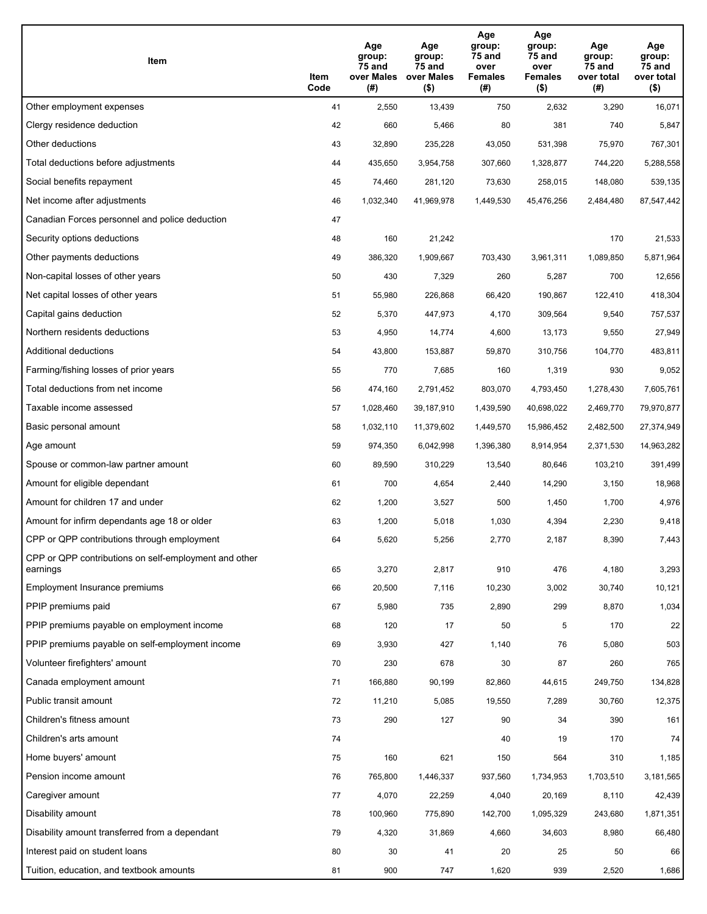| Item                                                              | Item<br>Code | Age<br>group:<br>75 and<br>over Males<br>(# ) | Age<br>group:<br>75 and<br>over Males<br>$($ \$) | Age<br>group:<br>75 and<br>over<br><b>Females</b><br>(#) | Age<br>group:<br>75 and<br>over<br><b>Females</b><br>$($ \$) | Age<br>group:<br>75 and<br>over total<br>(#) | Age<br>group:<br>75 and<br>over total<br>$($ \$) |
|-------------------------------------------------------------------|--------------|-----------------------------------------------|--------------------------------------------------|----------------------------------------------------------|--------------------------------------------------------------|----------------------------------------------|--------------------------------------------------|
| Other employment expenses                                         | 41           | 2,550                                         | 13,439                                           | 750                                                      | 2,632                                                        | 3,290                                        | 16,071                                           |
| Clergy residence deduction                                        | 42           | 660                                           | 5,466                                            | 80                                                       | 381                                                          | 740                                          | 5,847                                            |
| Other deductions                                                  | 43           | 32,890                                        | 235,228                                          | 43,050                                                   | 531,398                                                      | 75,970                                       | 767,301                                          |
| Total deductions before adjustments                               | 44           | 435,650                                       | 3,954,758                                        | 307,660                                                  | 1,328,877                                                    | 744,220                                      | 5,288,558                                        |
| Social benefits repayment                                         | 45           | 74,460                                        | 281,120                                          | 73,630                                                   | 258,015                                                      | 148,080                                      | 539,135                                          |
| Net income after adjustments                                      | 46           | 1,032,340                                     | 41,969,978                                       | 1,449,530                                                | 45,476,256                                                   | 2,484,480                                    | 87,547,442                                       |
| Canadian Forces personnel and police deduction                    | 47           |                                               |                                                  |                                                          |                                                              |                                              |                                                  |
| Security options deductions                                       | 48           | 160                                           | 21,242                                           |                                                          |                                                              | 170                                          | 21,533                                           |
| Other payments deductions                                         | 49           | 386,320                                       | 1,909,667                                        | 703,430                                                  | 3,961,311                                                    | 1,089,850                                    | 5,871,964                                        |
| Non-capital losses of other years                                 | 50           | 430                                           | 7,329                                            | 260                                                      | 5,287                                                        | 700                                          | 12,656                                           |
| Net capital losses of other years                                 | 51           | 55,980                                        | 226,868                                          | 66,420                                                   | 190,867                                                      | 122,410                                      | 418,304                                          |
| Capital gains deduction                                           | 52           | 5,370                                         | 447,973                                          | 4,170                                                    | 309,564                                                      | 9,540                                        | 757,537                                          |
| Northern residents deductions                                     | 53           | 4,950                                         | 14,774                                           | 4,600                                                    | 13,173                                                       | 9,550                                        | 27,949                                           |
| Additional deductions                                             | 54           | 43,800                                        | 153,887                                          | 59,870                                                   | 310,756                                                      | 104,770                                      | 483,811                                          |
| Farming/fishing losses of prior years                             | 55           | 770                                           | 7,685                                            | 160                                                      | 1,319                                                        | 930                                          | 9,052                                            |
| Total deductions from net income                                  | 56           | 474,160                                       | 2,791,452                                        | 803,070                                                  | 4,793,450                                                    | 1,278,430                                    | 7,605,761                                        |
| Taxable income assessed                                           | 57           | 1,028,460                                     | 39,187,910                                       | 1,439,590                                                | 40,698,022                                                   | 2,469,770                                    | 79,970,877                                       |
| Basic personal amount                                             | 58           | 1,032,110                                     | 11,379,602                                       | 1,449,570                                                | 15,986,452                                                   | 2,482,500                                    | 27,374,949                                       |
| Age amount                                                        | 59           | 974,350                                       | 6,042,998                                        | 1,396,380                                                | 8,914,954                                                    | 2,371,530                                    | 14,963,282                                       |
| Spouse or common-law partner amount                               | 60           | 89,590                                        | 310,229                                          | 13,540                                                   | 80,646                                                       | 103,210                                      | 391,499                                          |
| Amount for eligible dependant                                     | 61           | 700                                           | 4,654                                            | 2,440                                                    | 14,290                                                       | 3,150                                        | 18,968                                           |
| Amount for children 17 and under                                  | 62           | 1,200                                         | 3,527                                            | 500                                                      | 1,450                                                        | 1,700                                        | 4,976                                            |
| Amount for infirm dependants age 18 or older                      | 63           | 1,200                                         | 5,018                                            | 1,030                                                    | 4,394                                                        | 2,230                                        | 9,418                                            |
| CPP or QPP contributions through employment                       | 64           | 5,620                                         | 5,256                                            | 2,770                                                    | 2,187                                                        | 8,390                                        | 7,443                                            |
| CPP or QPP contributions on self-employment and other<br>earnings | 65           | 3,270                                         | 2,817                                            | 910                                                      | 476                                                          | 4,180                                        | 3,293                                            |
| Employment Insurance premiums                                     | 66           | 20,500                                        | 7,116                                            | 10,230                                                   | 3,002                                                        | 30,740                                       | 10,121                                           |
| PPIP premiums paid                                                | 67           | 5,980                                         | 735                                              | 2,890                                                    | 299                                                          | 8,870                                        | 1,034                                            |
| PPIP premiums payable on employment income                        | 68           | 120                                           | 17                                               | 50                                                       | 5                                                            | 170                                          | 22                                               |
| PPIP premiums payable on self-employment income                   | 69           | 3,930                                         | 427                                              | 1,140                                                    | 76                                                           | 5,080                                        | 503                                              |
| Volunteer firefighters' amount                                    | 70           | 230                                           | 678                                              | 30                                                       | 87                                                           | 260                                          | 765                                              |
| Canada employment amount                                          | 71           | 166,880                                       | 90,199                                           | 82,860                                                   | 44,615                                                       | 249,750                                      | 134,828                                          |
| Public transit amount                                             | 72           | 11,210                                        | 5,085                                            | 19,550                                                   | 7,289                                                        | 30,760                                       | 12,375                                           |
| Children's fitness amount                                         | 73           | 290                                           | 127                                              | 90                                                       | 34                                                           | 390                                          | 161                                              |
| Children's arts amount                                            | 74           |                                               |                                                  | 40                                                       | 19                                                           | 170                                          | 74                                               |
| Home buyers' amount                                               | 75           | 160                                           | 621                                              | 150                                                      | 564                                                          | 310                                          | 1,185                                            |
| Pension income amount                                             | 76           | 765,800                                       | 1,446,337                                        | 937,560                                                  | 1,734,953                                                    | 1,703,510                                    | 3,181,565                                        |
| Caregiver amount                                                  | 77           | 4,070                                         | 22,259                                           | 4,040                                                    | 20,169                                                       | 8,110                                        | 42,439                                           |
| Disability amount                                                 | 78           | 100,960                                       | 775,890                                          | 142,700                                                  | 1,095,329                                                    | 243,680                                      | 1,871,351                                        |
| Disability amount transferred from a dependant                    | 79           | 4,320                                         | 31,869                                           | 4,660                                                    | 34,603                                                       | 8,980                                        | 66,480                                           |
| Interest paid on student loans                                    | 80           | 30                                            | 41                                               | 20                                                       | 25                                                           | 50                                           | 66                                               |
| Tuition, education, and textbook amounts                          | 81           | 900                                           | 747                                              | 1,620                                                    | 939                                                          | 2,520                                        | 1,686                                            |